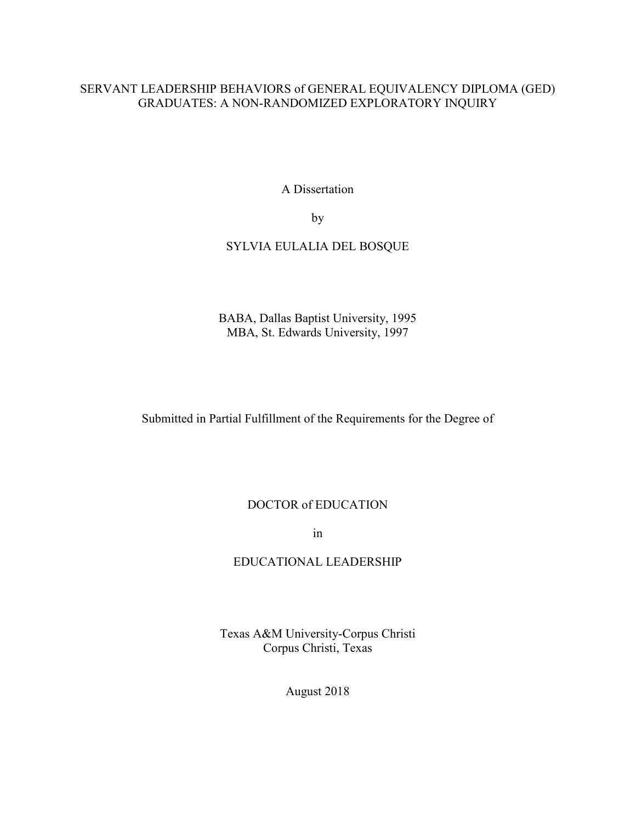# SERVANT LEADERSHIP BEHAVIORS of GENERAL EQUIVALENCY DIPLOMA (GED) GRADUATES: A NON-RANDOMIZED EXPLORATORY INQUIRY

A Dissertation

by

## SYLVIA EULALIA DEL BOSQUE

BABA, Dallas Baptist University, 1995 MBA, St. Edwards University, 1997

Submitted in Partial Fulfillment of the Requirements for the Degree of

## DOCTOR of EDUCATION

in

# EDUCATIONAL LEADERSHIP

Texas A&M University-Corpus Christi Corpus Christi, Texas

August 2018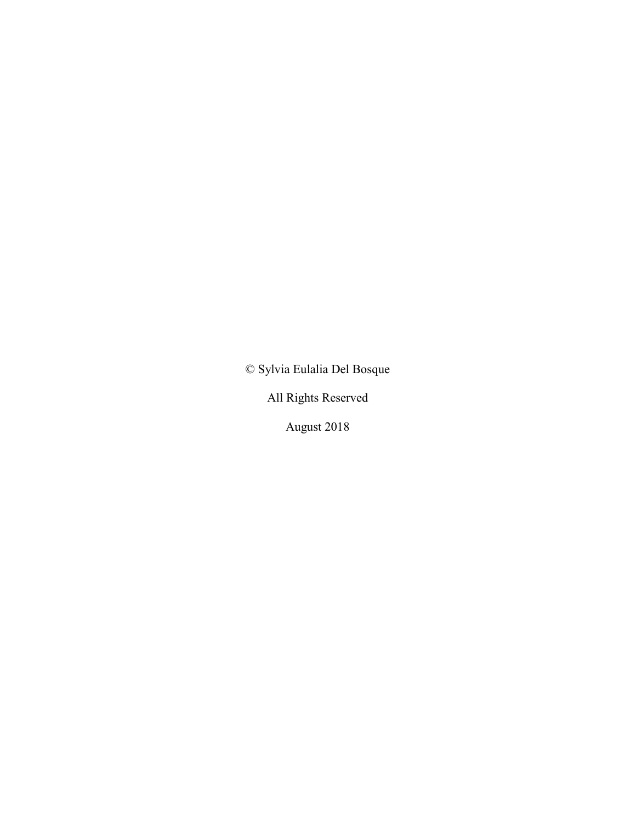© Sylvia Eulalia Del Bosque

All Rights Reserved

August 2018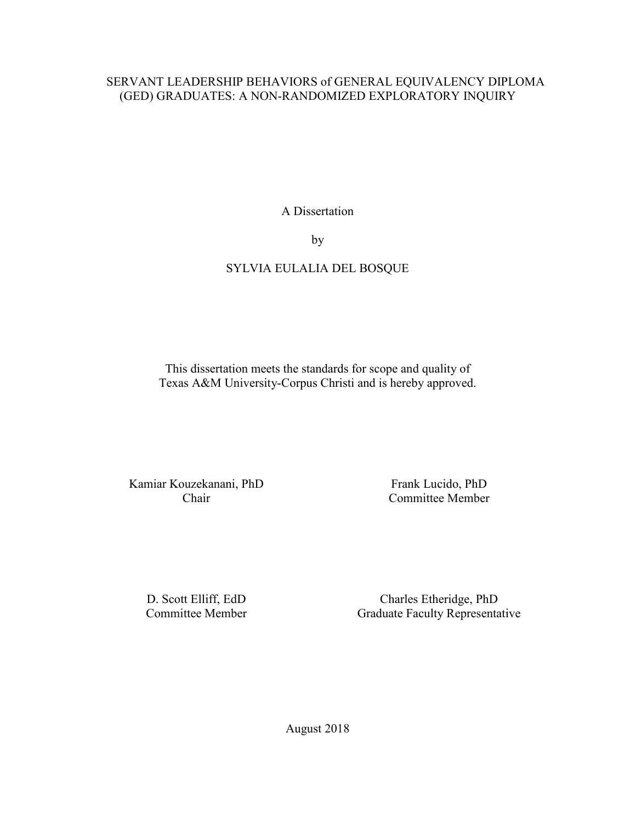# SERVANT LEADERSHIP BEHAVIORS of GENERAL EQUIVALENCY DIPLOMA (GED) GRADUATES: A NON-RANDOMIZED EXPLORATORY INQUIRY

A Dissertation

by

# SYLVIA EULALIA DEL BOSQUE

This dissertation meets the standards for scope and quality of Texas A&M University-Corpus Christi and is hereby approved.

Kamiar Kouzekanani, PhD Chair

Frank Lucido, PhD Committee Member

D. Scott Elliff, EdD Committee Member

Charles Etheridge, PhD Graduate Faculty Representative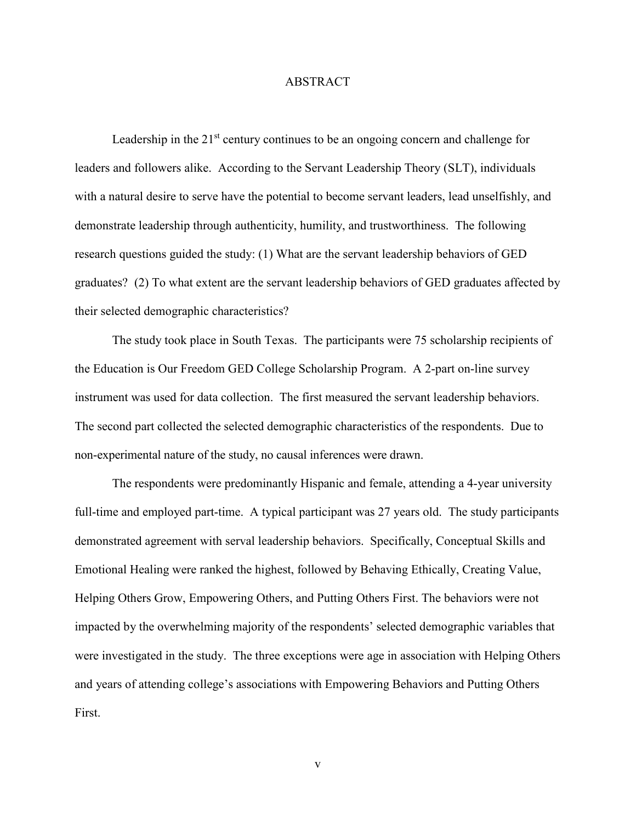### ABSTRACT

Leadership in the  $21<sup>st</sup>$  century continues to be an ongoing concern and challenge for leaders and followers alike. According to the Servant Leadership Theory (SLT), individuals with a natural desire to serve have the potential to become servant leaders, lead unselfishly, and demonstrate leadership through authenticity, humility, and trustworthiness. The following research questions guided the study: (1) What are the servant leadership behaviors of GED graduates? (2) To what extent are the servant leadership behaviors of GED graduates affected by their selected demographic characteristics?

 The study took place in South Texas. The participants were 75 scholarship recipients of the Education is Our Freedom GED College Scholarship Program. A 2-part on-line survey instrument was used for data collection. The first measured the servant leadership behaviors. The second part collected the selected demographic characteristics of the respondents. Due to non-experimental nature of the study, no causal inferences were drawn.

The respondents were predominantly Hispanic and female, attending a 4-year university full-time and employed part-time. A typical participant was 27 years old. The study participants demonstrated agreement with serval leadership behaviors. Specifically, Conceptual Skills and Emotional Healing were ranked the highest, followed by Behaving Ethically, Creating Value, Helping Others Grow, Empowering Others, and Putting Others First. The behaviors were not impacted by the overwhelming majority of the respondents' selected demographic variables that were investigated in the study. The three exceptions were age in association with Helping Others and years of attending college's associations with Empowering Behaviors and Putting Others First.

v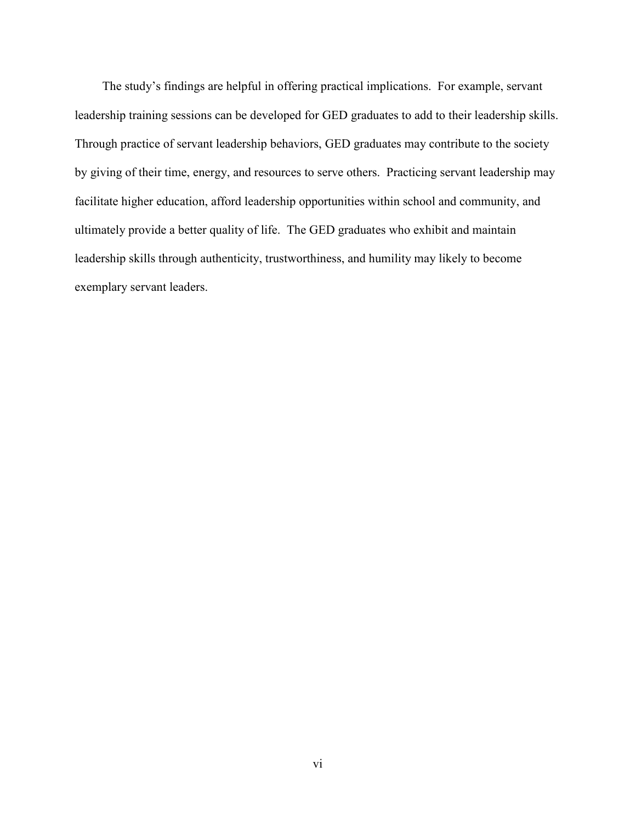The study's findings are helpful in offering practical implications. For example, servant leadership training sessions can be developed for GED graduates to add to their leadership skills. Through practice of servant leadership behaviors, GED graduates may contribute to the society by giving of their time, energy, and resources to serve others. Practicing servant leadership may facilitate higher education, afford leadership opportunities within school and community, and ultimately provide a better quality of life. The GED graduates who exhibit and maintain leadership skills through authenticity, trustworthiness, and humility may likely to become exemplary servant leaders.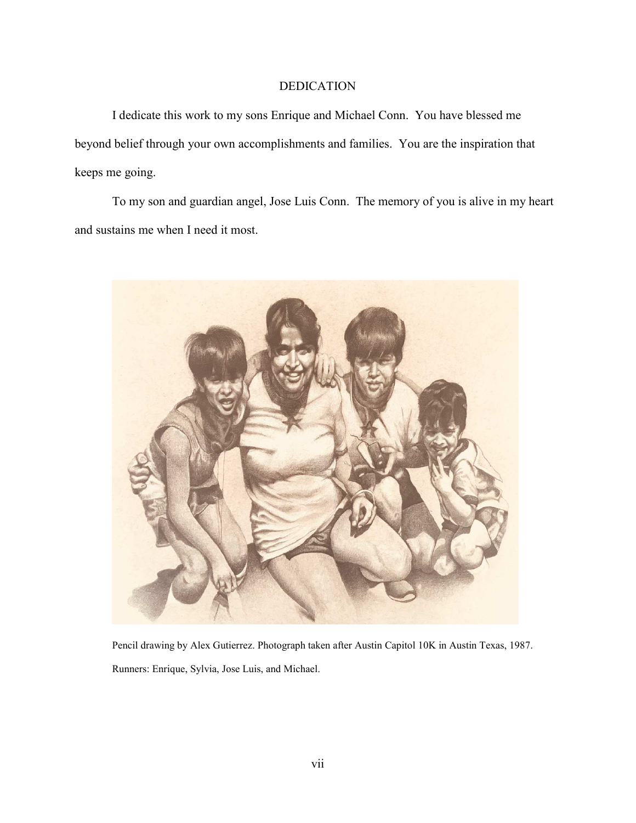### DEDICATION

I dedicate this work to my sons Enrique and Michael Conn. You have blessed me beyond belief through your own accomplishments and families. You are the inspiration that keeps me going.

To my son and guardian angel, Jose Luis Conn. The memory of you is alive in my heart and sustains me when I need it most.



Pencil drawing by Alex Gutierrez. Photograph taken after Austin Capitol 10K in Austin Texas, 1987. Runners: Enrique, Sylvia, Jose Luis, and Michael.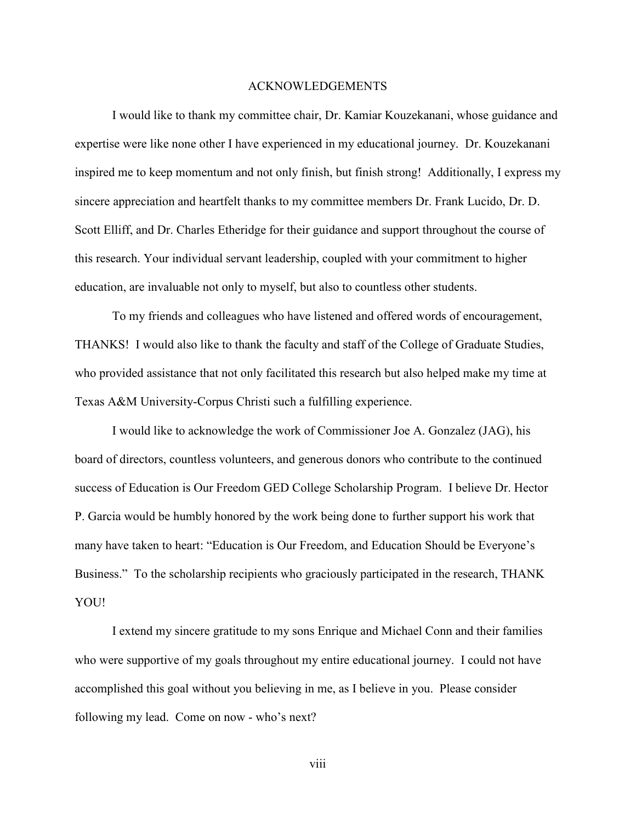### ACKNOWLEDGEMENTS

I would like to thank my committee chair, Dr. Kamiar Kouzekanani, whose guidance and expertise were like none other I have experienced in my educational journey. Dr. Kouzekanani inspired me to keep momentum and not only finish, but finish strong! Additionally, I express my sincere appreciation and heartfelt thanks to my committee members Dr. Frank Lucido, Dr. D. Scott Elliff, and Dr. Charles Etheridge for their guidance and support throughout the course of this research. Your individual servant leadership, coupled with your commitment to higher education, are invaluable not only to myself, but also to countless other students.

To my friends and colleagues who have listened and offered words of encouragement, THANKS! I would also like to thank the faculty and staff of the College of Graduate Studies, who provided assistance that not only facilitated this research but also helped make my time at Texas A&M University-Corpus Christi such a fulfilling experience.

I would like to acknowledge the work of Commissioner Joe A. Gonzalez (JAG), his board of directors, countless volunteers, and generous donors who contribute to the continued success of Education is Our Freedom GED College Scholarship Program. I believe Dr. Hector P. Garcia would be humbly honored by the work being done to further support his work that many have taken to heart: "Education is Our Freedom, and Education Should be Everyone's Business." To the scholarship recipients who graciously participated in the research, THANK YOU!

I extend my sincere gratitude to my sons Enrique and Michael Conn and their families who were supportive of my goals throughout my entire educational journey. I could not have accomplished this goal without you believing in me, as I believe in you. Please consider following my lead. Come on now - who's next?

viii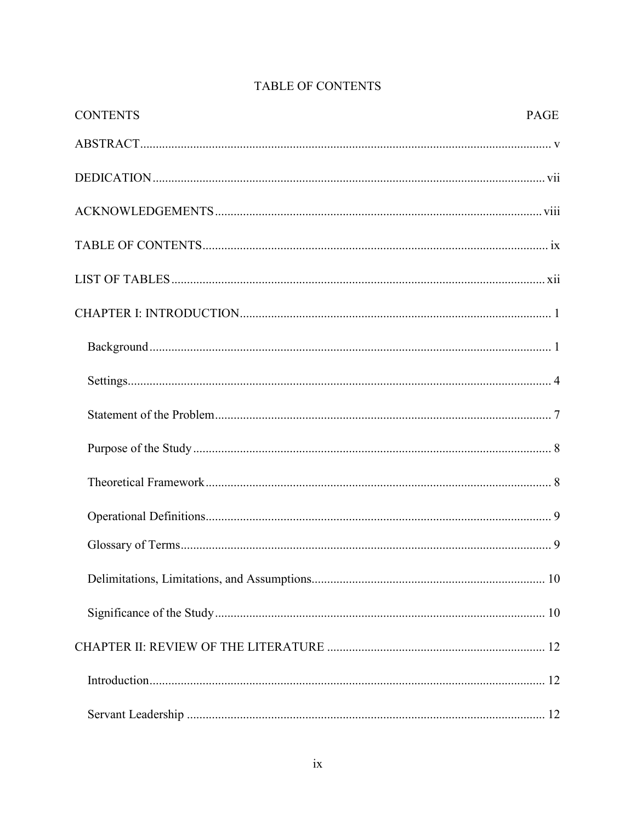| <b>CONTENTS</b> | <b>PAGE</b> |
|-----------------|-------------|
|                 |             |
|                 |             |
|                 |             |
|                 |             |
|                 |             |
|                 |             |
|                 |             |
|                 |             |
|                 |             |
|                 |             |
|                 |             |
|                 |             |
|                 |             |
|                 |             |
|                 |             |
|                 |             |
|                 |             |
|                 |             |

# TABLE OF CONTENTS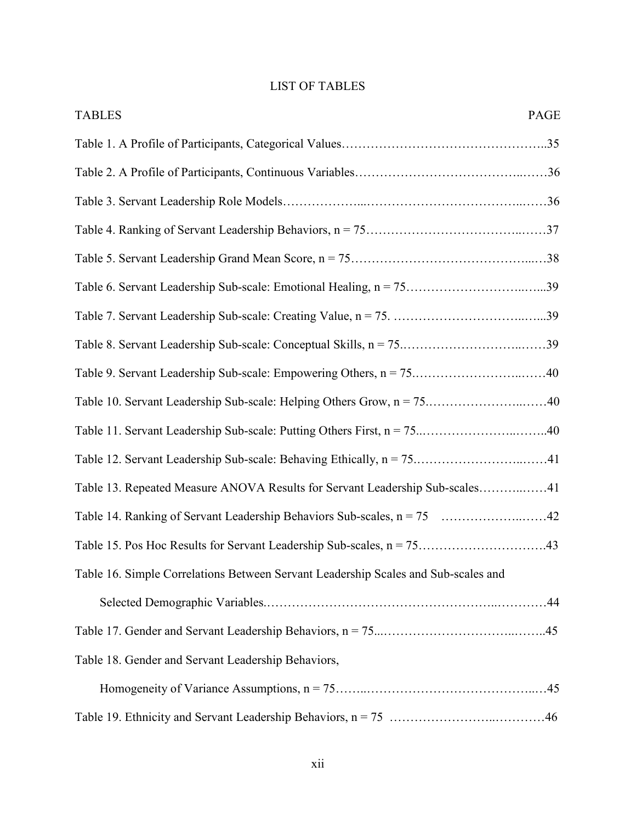|  |  |  | <b>LIST OF TABLES</b> |
|--|--|--|-----------------------|
|--|--|--|-----------------------|

| <b>TABLES</b><br>PAGE                                                              |
|------------------------------------------------------------------------------------|
|                                                                                    |
|                                                                                    |
|                                                                                    |
|                                                                                    |
|                                                                                    |
|                                                                                    |
|                                                                                    |
|                                                                                    |
|                                                                                    |
|                                                                                    |
|                                                                                    |
|                                                                                    |
| Table 13. Repeated Measure ANOVA Results for Servant Leadership Sub-scales41       |
| Table 14. Ranking of Servant Leadership Behaviors Sub-scales, n = 75 42            |
|                                                                                    |
| Table 16. Simple Correlations Between Servant Leadership Scales and Sub-scales and |
|                                                                                    |
|                                                                                    |
| Table 18. Gender and Servant Leadership Behaviors,                                 |
|                                                                                    |
|                                                                                    |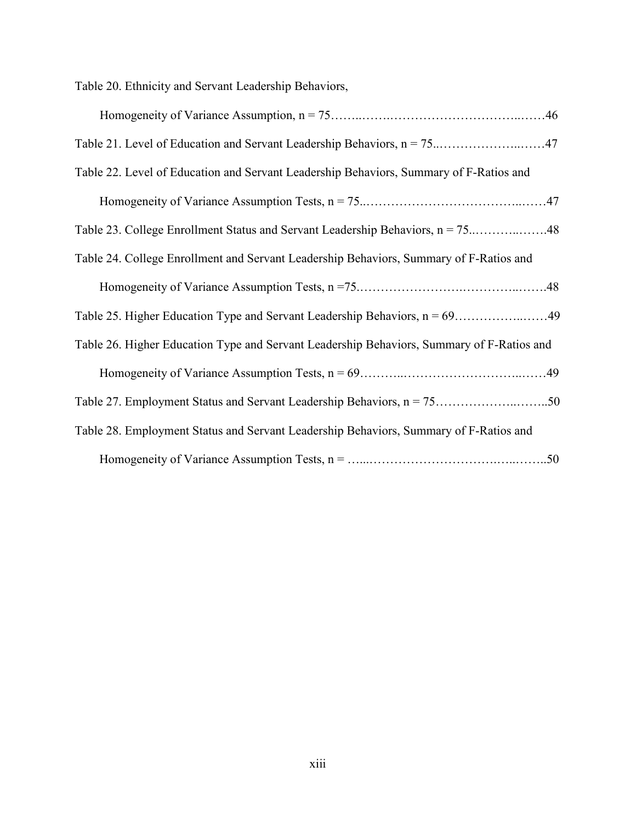Table 20. Ethnicity and Servant Leadership Behaviors,

| Table 22. Level of Education and Servant Leadership Behaviors, Summary of F-Ratios and    |
|-------------------------------------------------------------------------------------------|
|                                                                                           |
| Table 23. College Enrollment Status and Servant Leadership Behaviors, n = 7548            |
| Table 24. College Enrollment and Servant Leadership Behaviors, Summary of F-Ratios and    |
|                                                                                           |
|                                                                                           |
| Table 26. Higher Education Type and Servant Leadership Behaviors, Summary of F-Ratios and |
|                                                                                           |
|                                                                                           |
| Table 28. Employment Status and Servant Leadership Behaviors, Summary of F-Ratios and     |
|                                                                                           |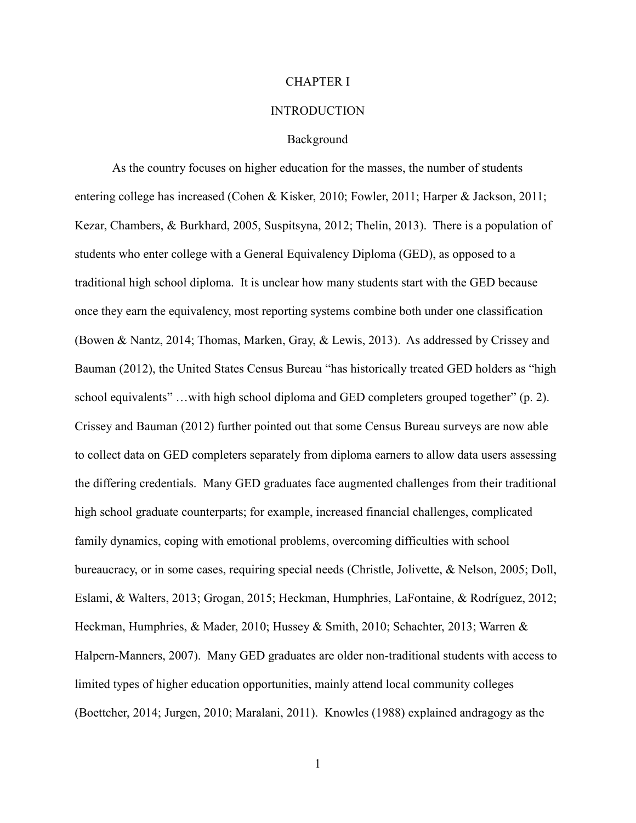### CHAPTER I

#### **INTRODUCTION**

### Background

 As the country focuses on higher education for the masses, the number of students entering college has increased (Cohen & Kisker, 2010; Fowler, 2011; Harper & Jackson, 2011; Kezar, Chambers, & Burkhard, 2005, Suspitsyna, 2012; Thelin, 2013). There is a population of students who enter college with a General Equivalency Diploma (GED), as opposed to a traditional high school diploma. It is unclear how many students start with the GED because once they earn the equivalency, most reporting systems combine both under one classification (Bowen & Nantz, 2014; Thomas, Marken, Gray, & Lewis, 2013). As addressed by Crissey and Bauman (2012), the United States Census Bureau "has historically treated GED holders as "high school equivalents" …with high school diploma and GED completers grouped together" (p. 2). Crissey and Bauman (2012) further pointed out that some Census Bureau surveys are now able to collect data on GED completers separately from diploma earners to allow data users assessing the differing credentials. Many GED graduates face augmented challenges from their traditional high school graduate counterparts; for example, increased financial challenges, complicated family dynamics, coping with emotional problems, overcoming difficulties with school bureaucracy, or in some cases, requiring special needs (Christle, Jolivette, & Nelson, 2005; Doll, Eslami, & Walters, 2013; Grogan, 2015; Heckman, Humphries, LaFontaine, & Rodríguez, 2012; Heckman, Humphries, & Mader, 2010; Hussey & Smith, 2010; Schachter, 2013; Warren & Halpern-Manners, 2007). Many GED graduates are older non-traditional students with access to limited types of higher education opportunities, mainly attend local community colleges (Boettcher, 2014; Jurgen, 2010; Maralani, 2011). Knowles (1988) explained andragogy as the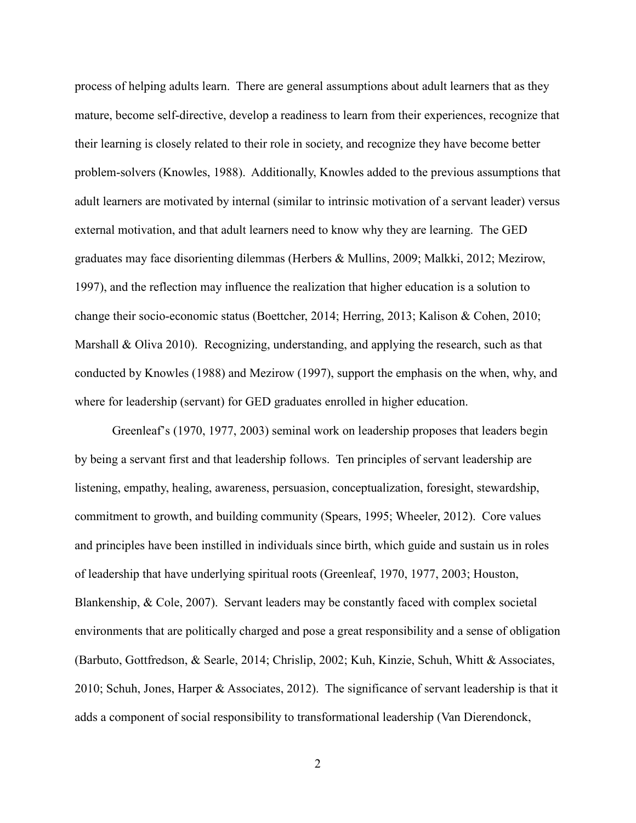process of helping adults learn. There are general assumptions about adult learners that as they mature, become self-directive, develop a readiness to learn from their experiences, recognize that their learning is closely related to their role in society, and recognize they have become better problem-solvers (Knowles, 1988). Additionally, Knowles added to the previous assumptions that adult learners are motivated by internal (similar to intrinsic motivation of a servant leader) versus external motivation, and that adult learners need to know why they are learning. The GED graduates may face disorienting dilemmas (Herbers & Mullins, 2009; Malkki, 2012; Mezirow, 1997), and the reflection may influence the realization that higher education is a solution to change their socio-economic status (Boettcher, 2014; Herring, 2013; Kalison & Cohen, 2010; Marshall & Oliva 2010). Recognizing, understanding, and applying the research, such as that conducted by Knowles (1988) and Mezirow (1997), support the emphasis on the when, why, and where for leadership (servant) for GED graduates enrolled in higher education.

 Greenleaf's (1970, 1977, 2003) seminal work on leadership proposes that leaders begin by being a servant first and that leadership follows. Ten principles of servant leadership are listening, empathy, healing, awareness, persuasion, conceptualization, foresight, stewardship, commitment to growth, and building community (Spears, 1995; Wheeler, 2012). Core values and principles have been instilled in individuals since birth, which guide and sustain us in roles of leadership that have underlying spiritual roots (Greenleaf, 1970, 1977, 2003; Houston, Blankenship, & Cole, 2007). Servant leaders may be constantly faced with complex societal environments that are politically charged and pose a great responsibility and a sense of obligation (Barbuto, Gottfredson, & Searle, 2014; Chrislip, 2002; Kuh, Kinzie, Schuh, Whitt & Associates, 2010; Schuh, Jones, Harper & Associates, 2012). The significance of servant leadership is that it adds a component of social responsibility to transformational leadership (Van Dierendonck,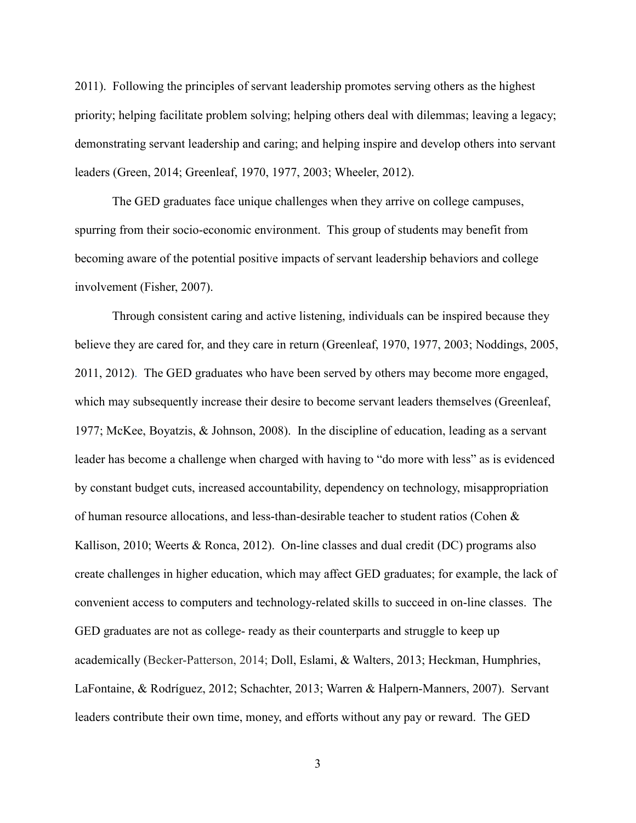2011). Following the principles of servant leadership promotes serving others as the highest priority; helping facilitate problem solving; helping others deal with dilemmas; leaving a legacy; demonstrating servant leadership and caring; and helping inspire and develop others into servant leaders (Green, 2014; Greenleaf, 1970, 1977, 2003; Wheeler, 2012).

The GED graduates face unique challenges when they arrive on college campuses, spurring from their socio-economic environment. This group of students may benefit from becoming aware of the potential positive impacts of servant leadership behaviors and college involvement (Fisher, 2007).

Through consistent caring and active listening, individuals can be inspired because they believe they are cared for, and they care in return (Greenleaf, 1970, 1977, 2003; Noddings, 2005, 2011, 2012). The GED graduates who have been served by others may become more engaged, which may subsequently increase their desire to become servant leaders themselves (Greenleaf, 1977; McKee, Boyatzis, & Johnson, 2008). In the discipline of education, leading as a servant leader has become a challenge when charged with having to "do more with less" as is evidenced by constant budget cuts, increased accountability, dependency on technology, misappropriation of human resource allocations, and less-than-desirable teacher to student ratios (Cohen & Kallison, 2010; Weerts & Ronca, 2012). On-line classes and dual credit (DC) programs also create challenges in higher education, which may affect GED graduates; for example, the lack of convenient access to computers and technology-related skills to succeed in on-line classes. The GED graduates are not as college- ready as their counterparts and struggle to keep up academically (Becker-Patterson, 2014; Doll, Eslami, & Walters, 2013; Heckman, Humphries, LaFontaine, & Rodríguez, 2012; Schachter, 2013; Warren & Halpern-Manners, 2007). Servant leaders contribute their own time, money, and efforts without any pay or reward. The GED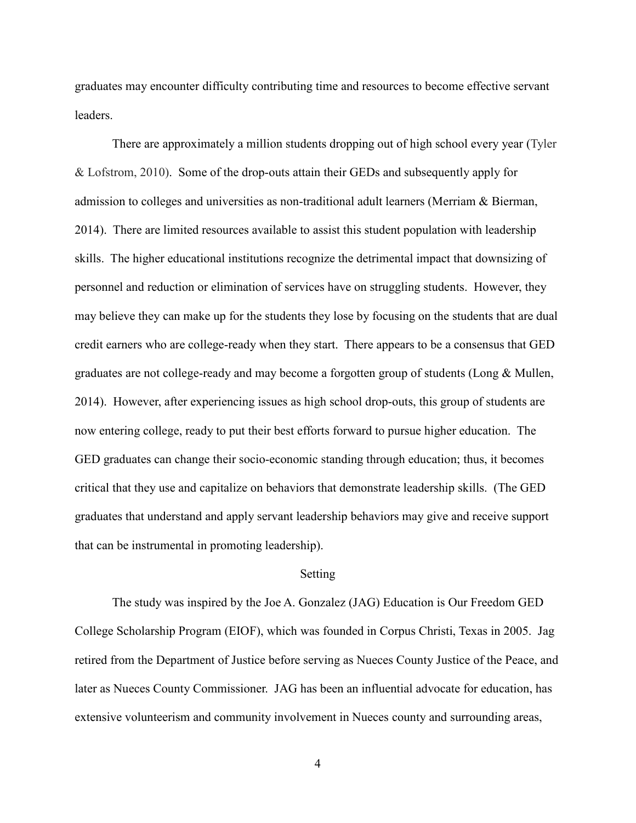graduates may encounter difficulty contributing time and resources to become effective servant leaders.

There are approximately a million students dropping out of high school every year (Tyler & Lofstrom, 2010). Some of the drop-outs attain their GEDs and subsequently apply for admission to colleges and universities as non-traditional adult learners (Merriam & Bierman, 2014). There are limited resources available to assist this student population with leadership skills. The higher educational institutions recognize the detrimental impact that downsizing of personnel and reduction or elimination of services have on struggling students. However, they may believe they can make up for the students they lose by focusing on the students that are dual credit earners who are college-ready when they start. There appears to be a consensus that GED graduates are not college-ready and may become a forgotten group of students (Long & Mullen, 2014). However, after experiencing issues as high school drop-outs, this group of students are now entering college, ready to put their best efforts forward to pursue higher education. The GED graduates can change their socio-economic standing through education; thus, it becomes critical that they use and capitalize on behaviors that demonstrate leadership skills. (The GED graduates that understand and apply servant leadership behaviors may give and receive support that can be instrumental in promoting leadership).

### Setting

The study was inspired by the Joe A. Gonzalez (JAG) Education is Our Freedom GED College Scholarship Program (EIOF), which was founded in Corpus Christi, Texas in 2005. Jag retired from the Department of Justice before serving as Nueces County Justice of the Peace, and later as Nueces County Commissioner. JAG has been an influential advocate for education, has extensive volunteerism and community involvement in Nueces county and surrounding areas,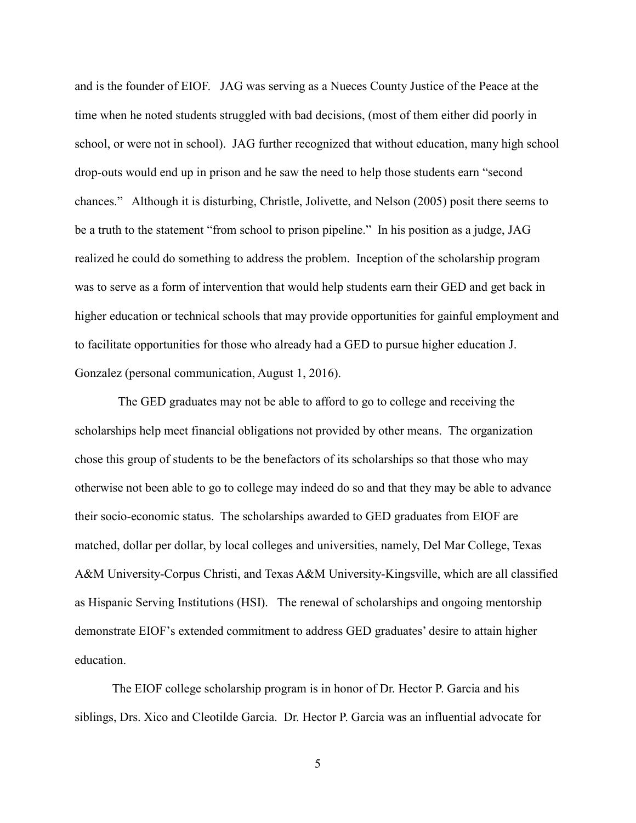and is the founder of EIOF. JAG was serving as a Nueces County Justice of the Peace at the time when he noted students struggled with bad decisions, (most of them either did poorly in school, or were not in school). JAG further recognized that without education, many high school drop-outs would end up in prison and he saw the need to help those students earn "second chances." Although it is disturbing, Christle, Jolivette, and Nelson (2005) posit there seems to be a truth to the statement "from school to prison pipeline." In his position as a judge, JAG realized he could do something to address the problem. Inception of the scholarship program was to serve as a form of intervention that would help students earn their GED and get back in higher education or technical schools that may provide opportunities for gainful employment and to facilitate opportunities for those who already had a GED to pursue higher education J. Gonzalez (personal communication, August 1, 2016).

 The GED graduates may not be able to afford to go to college and receiving the scholarships help meet financial obligations not provided by other means. The organization chose this group of students to be the benefactors of its scholarships so that those who may otherwise not been able to go to college may indeed do so and that they may be able to advance their socio-economic status. The scholarships awarded to GED graduates from EIOF are matched, dollar per dollar, by local colleges and universities, namely, Del Mar College, Texas A&M University-Corpus Christi, and Texas A&M University-Kingsville, which are all classified as Hispanic Serving Institutions (HSI). The renewal of scholarships and ongoing mentorship demonstrate EIOF's extended commitment to address GED graduates' desire to attain higher education.

The EIOF college scholarship program is in honor of Dr. Hector P. Garcia and his siblings, Drs. Xico and Cleotilde Garcia. Dr. Hector P. Garcia was an influential advocate for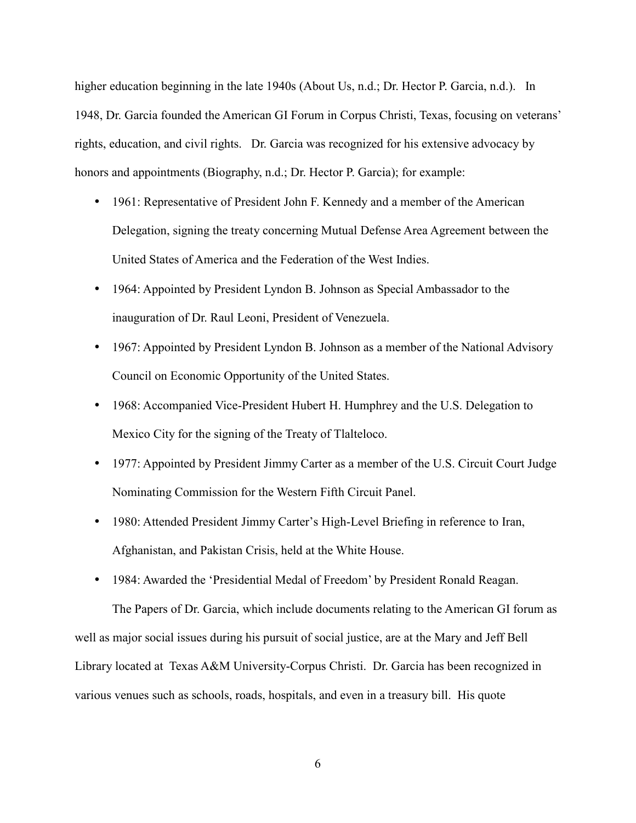higher education beginning in the late 1940s (About Us, n.d.; Dr. Hector P. Garcia, n.d.). In 1948, Dr. Garcia founded the American GI Forum in Corpus Christi, Texas, focusing on veterans' rights, education, and civil rights. Dr. Garcia was recognized for his extensive advocacy by honors and appointments (Biography, n.d.; Dr. Hector P. Garcia); for example:

- 1961: Representative of President John F. Kennedy and a member of the American Delegation, signing the treaty concerning Mutual Defense Area Agreement between the United States of America and the Federation of the West Indies.
- 1964: Appointed by President Lyndon B. Johnson as Special Ambassador to the inauguration of Dr. Raul Leoni, President of Venezuela.
- 1967: Appointed by President Lyndon B. Johnson as a member of the National Advisory Council on Economic Opportunity of the United States.
- 1968: Accompanied Vice-President Hubert H. Humphrey and the U.S. Delegation to Mexico City for the signing of the Treaty of Tlalteloco.
- 1977: Appointed by President Jimmy Carter as a member of the U.S. Circuit Court Judge Nominating Commission for the Western Fifth Circuit Panel.
- 1980: Attended President Jimmy Carter's High-Level Briefing in reference to Iran, Afghanistan, and Pakistan Crisis, held at the White House.
- 1984: Awarded the 'Presidential Medal of Freedom' by President Ronald Reagan.

The Papers of Dr. Garcia, which include documents relating to the American GI forum as well as major social issues during his pursuit of social justice, are at the Mary and Jeff Bell Library located at Texas A&M University-Corpus Christi. Dr. Garcia has been recognized in various venues such as schools, roads, hospitals, and even in a treasury bill. His quote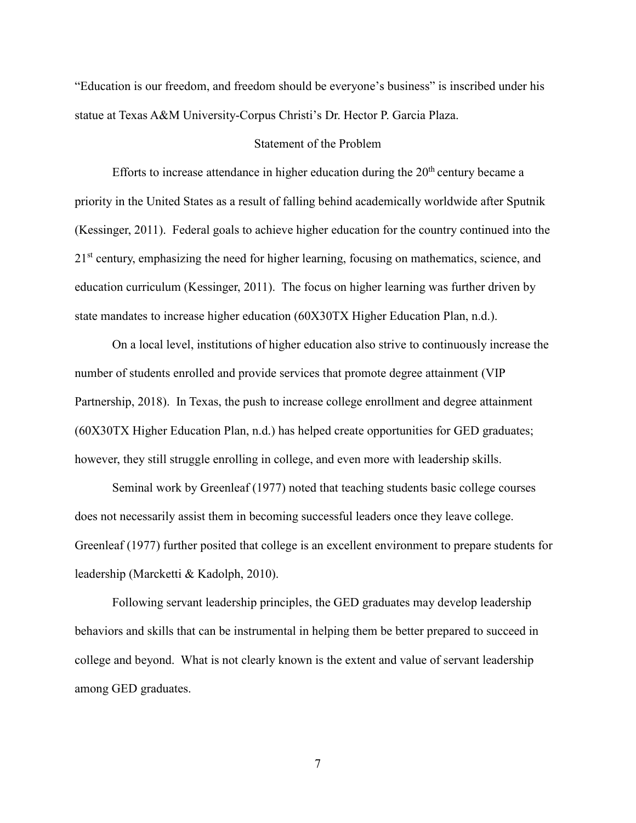"Education is our freedom, and freedom should be everyone's business" is inscribed under his statue at Texas A&M University-Corpus Christi's Dr. Hector P. Garcia Plaza.

### Statement of the Problem

Efforts to increase attendance in higher education during the  $20<sup>th</sup>$  century became a priority in the United States as a result of falling behind academically worldwide after Sputnik (Kessinger, 2011). Federal goals to achieve higher education for the country continued into the 21<sup>st</sup> century, emphasizing the need for higher learning, focusing on mathematics, science, and education curriculum (Kessinger, 2011). The focus on higher learning was further driven by state mandates to increase higher education (60X30TX Higher Education Plan, n.d.).

On a local level, institutions of higher education also strive to continuously increase the number of students enrolled and provide services that promote degree attainment (VIP Partnership, 2018). In Texas, the push to increase college enrollment and degree attainment (60X30TX Higher Education Plan, n.d.) has helped create opportunities for GED graduates; however, they still struggle enrolling in college, and even more with leadership skills.

Seminal work by Greenleaf (1977) noted that teaching students basic college courses does not necessarily assist them in becoming successful leaders once they leave college. Greenleaf (1977) further posited that college is an excellent environment to prepare students for leadership (Marcketti & Kadolph, 2010).

Following servant leadership principles, the GED graduates may develop leadership behaviors and skills that can be instrumental in helping them be better prepared to succeed in college and beyond. What is not clearly known is the extent and value of servant leadership among GED graduates.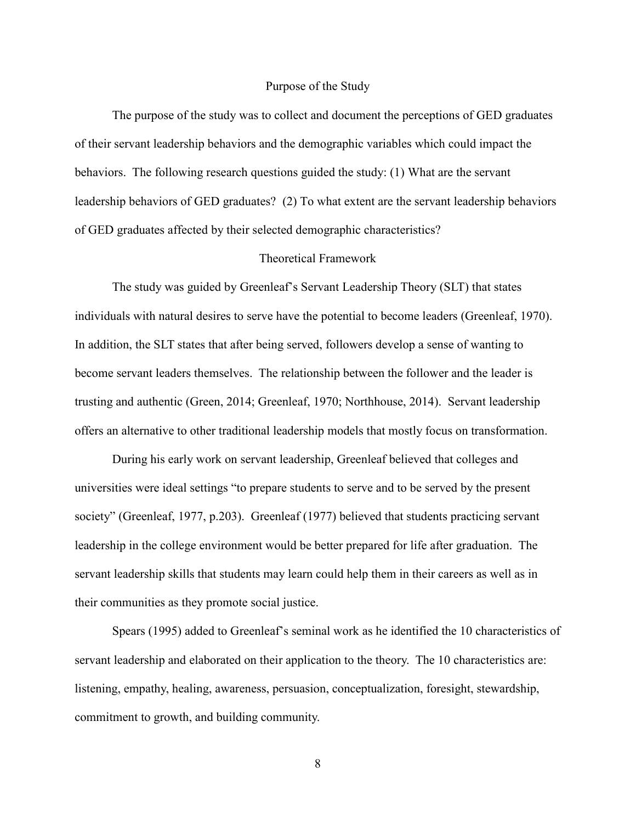### Purpose of the Study

The purpose of the study was to collect and document the perceptions of GED graduates of their servant leadership behaviors and the demographic variables which could impact the behaviors. The following research questions guided the study: (1) What are the servant leadership behaviors of GED graduates? (2) To what extent are the servant leadership behaviors of GED graduates affected by their selected demographic characteristics?

### Theoretical Framework

The study was guided by Greenleaf's Servant Leadership Theory (SLT) that states individuals with natural desires to serve have the potential to become leaders (Greenleaf, 1970). In addition, the SLT states that after being served, followers develop a sense of wanting to become servant leaders themselves. The relationship between the follower and the leader is trusting and authentic (Green, 2014; Greenleaf, 1970; Northhouse, 2014). Servant leadership offers an alternative to other traditional leadership models that mostly focus on transformation.

During his early work on servant leadership, Greenleaf believed that colleges and universities were ideal settings "to prepare students to serve and to be served by the present society" (Greenleaf, 1977, p.203). Greenleaf (1977) believed that students practicing servant leadership in the college environment would be better prepared for life after graduation. The servant leadership skills that students may learn could help them in their careers as well as in their communities as they promote social justice.

Spears (1995) added to Greenleaf's seminal work as he identified the 10 characteristics of servant leadership and elaborated on their application to the theory. The 10 characteristics are: listening, empathy, healing, awareness, persuasion, conceptualization, foresight, stewardship, commitment to growth, and building community.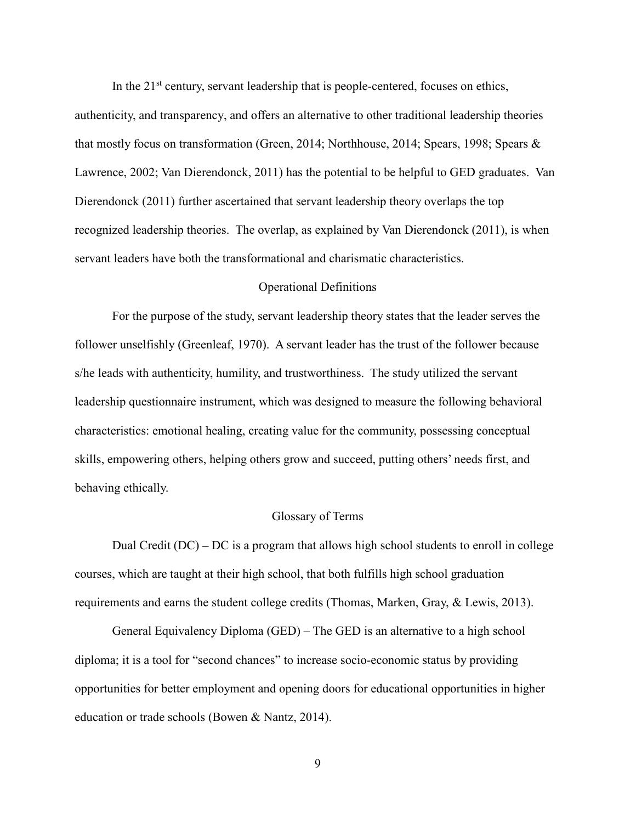In the  $21<sup>st</sup>$  century, servant leadership that is people-centered, focuses on ethics,

authenticity, and transparency, and offers an alternative to other traditional leadership theories that mostly focus on transformation (Green, 2014; Northhouse, 2014; Spears, 1998; Spears & Lawrence, 2002; Van Dierendonck, 2011) has the potential to be helpful to GED graduates. Van Dierendonck (2011) further ascertained that servant leadership theory overlaps the top recognized leadership theories. The overlap, as explained by Van Dierendonck (2011), is when servant leaders have both the transformational and charismatic characteristics.

### Operational Definitions

For the purpose of the study, servant leadership theory states that the leader serves the follower unselfishly (Greenleaf, 1970). A servant leader has the trust of the follower because s/he leads with authenticity, humility, and trustworthiness. The study utilized the servant leadership questionnaire instrument, which was designed to measure the following behavioral characteristics: emotional healing, creating value for the community, possessing conceptual skills, empowering others, helping others grow and succeed, putting others' needs first, and behaving ethically.

### Glossary of Terms

Dual Credit (DC) **–** DC is a program that allows high school students to enroll in college courses, which are taught at their high school, that both fulfills high school graduation requirements and earns the student college credits (Thomas, Marken, Gray, & Lewis, 2013).

General Equivalency Diploma (GED) – The GED is an alternative to a high school diploma; it is a tool for "second chances" to increase socio-economic status by providing opportunities for better employment and opening doors for educational opportunities in higher education or trade schools (Bowen & Nantz, 2014).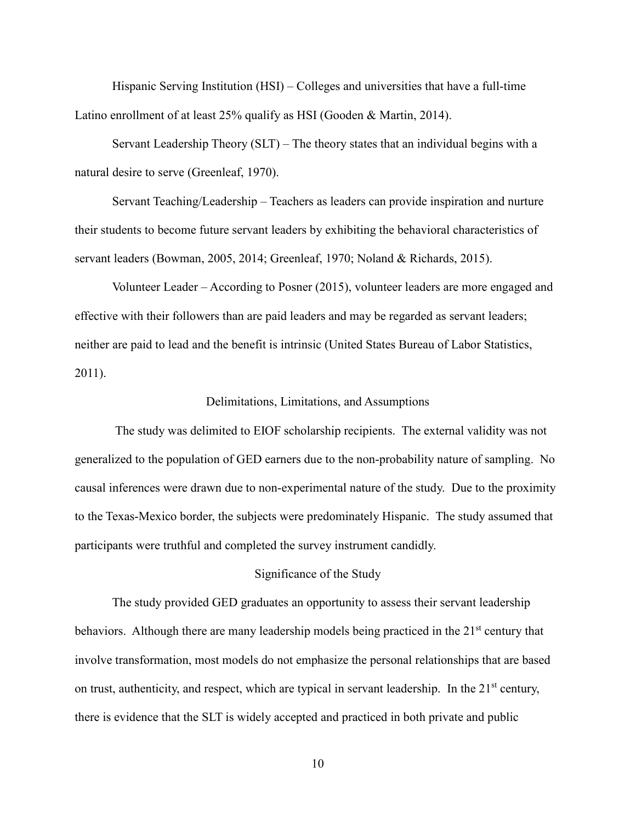Hispanic Serving Institution (HSI) – Colleges and universities that have a full-time Latino enrollment of at least 25% qualify as HSI (Gooden & Martin, 2014).

Servant Leadership Theory (SLT) – The theory states that an individual begins with a natural desire to serve (Greenleaf, 1970).

Servant Teaching/Leadership – Teachers as leaders can provide inspiration and nurture their students to become future servant leaders by exhibiting the behavioral characteristics of servant leaders (Bowman, 2005, 2014; Greenleaf, 1970; Noland & Richards, 2015).

Volunteer Leader – According to Posner (2015), volunteer leaders are more engaged and effective with their followers than are paid leaders and may be regarded as servant leaders; neither are paid to lead and the benefit is intrinsic (United States Bureau of Labor Statistics, 2011).

### Delimitations, Limitations, and Assumptions

 The study was delimited to EIOF scholarship recipients. The external validity was not generalized to the population of GED earners due to the non-probability nature of sampling. No causal inferences were drawn due to non-experimental nature of the study. Due to the proximity to the Texas-Mexico border, the subjects were predominately Hispanic. The study assumed that participants were truthful and completed the survey instrument candidly.

### Significance of the Study

The study provided GED graduates an opportunity to assess their servant leadership behaviors. Although there are many leadership models being practiced in the 21<sup>st</sup> century that involve transformation, most models do not emphasize the personal relationships that are based on trust, authenticity, and respect, which are typical in servant leadership. In the  $21<sup>st</sup>$  century, there is evidence that the SLT is widely accepted and practiced in both private and public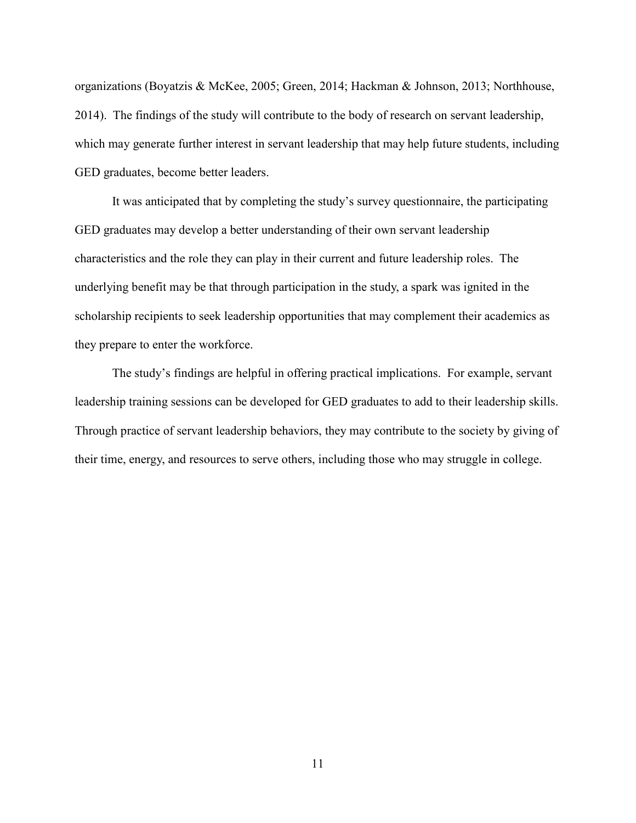organizations (Boyatzis & McKee, 2005; Green, 2014; Hackman & Johnson, 2013; Northhouse, 2014). The findings of the study will contribute to the body of research on servant leadership, which may generate further interest in servant leadership that may help future students, including GED graduates, become better leaders.

 It was anticipated that by completing the study's survey questionnaire, the participating GED graduates may develop a better understanding of their own servant leadership characteristics and the role they can play in their current and future leadership roles. The underlying benefit may be that through participation in the study, a spark was ignited in the scholarship recipients to seek leadership opportunities that may complement their academics as they prepare to enter the workforce.

The study's findings are helpful in offering practical implications. For example, servant leadership training sessions can be developed for GED graduates to add to their leadership skills. Through practice of servant leadership behaviors, they may contribute to the society by giving of their time, energy, and resources to serve others, including those who may struggle in college.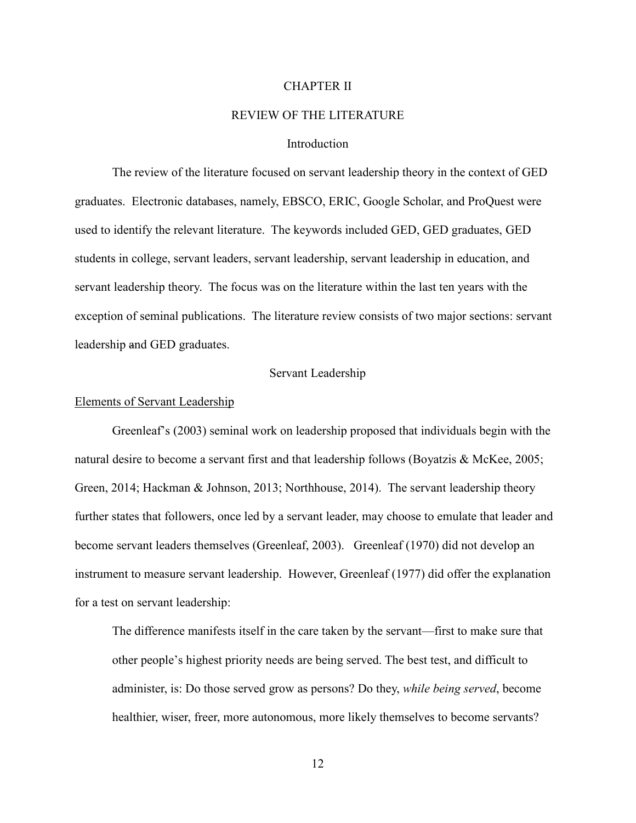### CHAPTER II

### REVIEW OF THE LITERATURE

### Introduction

The review of the literature focused on servant leadership theory in the context of GED graduates. Electronic databases, namely, EBSCO, ERIC, Google Scholar, and ProQuest were used to identify the relevant literature. The keywords included GED, GED graduates, GED students in college, servant leaders, servant leadership, servant leadership in education, and servant leadership theory. The focus was on the literature within the last ten years with the exception of seminal publications. The literature review consists of two major sections: servant leadership and GED graduates.

### Servant Leadership

### Elements of Servant Leadership

Greenleaf's (2003) seminal work on leadership proposed that individuals begin with the natural desire to become a servant first and that leadership follows (Boyatzis & McKee, 2005; Green, 2014; Hackman & Johnson, 2013; Northhouse, 2014). The servant leadership theory further states that followers, once led by a servant leader, may choose to emulate that leader and become servant leaders themselves (Greenleaf, 2003). Greenleaf (1970) did not develop an instrument to measure servant leadership. However, Greenleaf (1977) did offer the explanation for a test on servant leadership:

 The difference manifests itself in the care taken by the servant—first to make sure that other people's highest priority needs are being served. The best test, and difficult to administer, is: Do those served grow as persons? Do they, *while being served*, become healthier, wiser, freer, more autonomous, more likely themselves to become servants?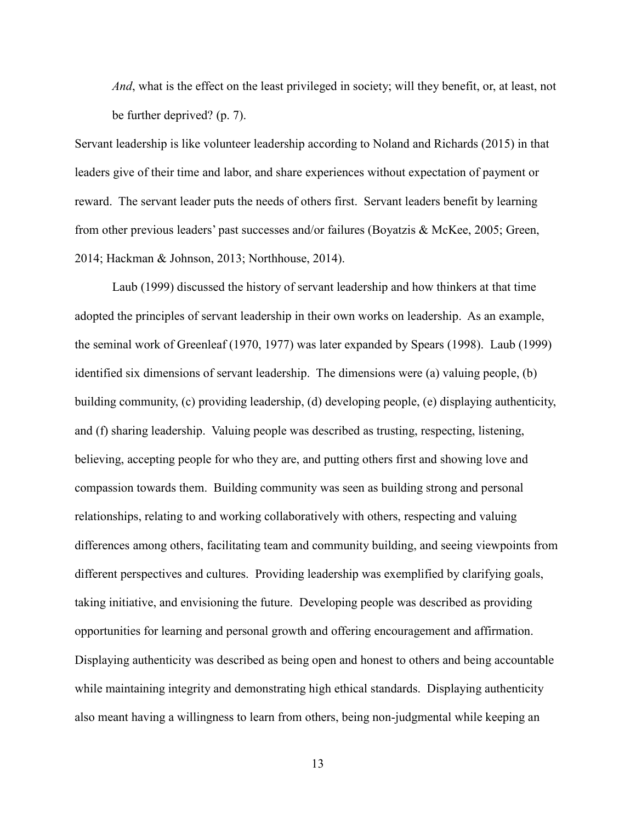*And*, what is the effect on the least privileged in society; will they benefit, or, at least, not be further deprived? (p. 7).

Servant leadership is like volunteer leadership according to Noland and Richards (2015) in that leaders give of their time and labor, and share experiences without expectation of payment or reward. The servant leader puts the needs of others first. Servant leaders benefit by learning from other previous leaders' past successes and/or failures (Boyatzis & McKee, 2005; Green, 2014; Hackman & Johnson, 2013; Northhouse, 2014).

Laub (1999) discussed the history of servant leadership and how thinkers at that time adopted the principles of servant leadership in their own works on leadership. As an example, the seminal work of Greenleaf (1970, 1977) was later expanded by Spears (1998). Laub (1999) identified six dimensions of servant leadership. The dimensions were (a) valuing people, (b) building community, (c) providing leadership, (d) developing people, (e) displaying authenticity, and (f) sharing leadership. Valuing people was described as trusting, respecting, listening, believing, accepting people for who they are, and putting others first and showing love and compassion towards them. Building community was seen as building strong and personal relationships, relating to and working collaboratively with others, respecting and valuing differences among others, facilitating team and community building, and seeing viewpoints from different perspectives and cultures. Providing leadership was exemplified by clarifying goals, taking initiative, and envisioning the future. Developing people was described as providing opportunities for learning and personal growth and offering encouragement and affirmation. Displaying authenticity was described as being open and honest to others and being accountable while maintaining integrity and demonstrating high ethical standards. Displaying authenticity also meant having a willingness to learn from others, being non-judgmental while keeping an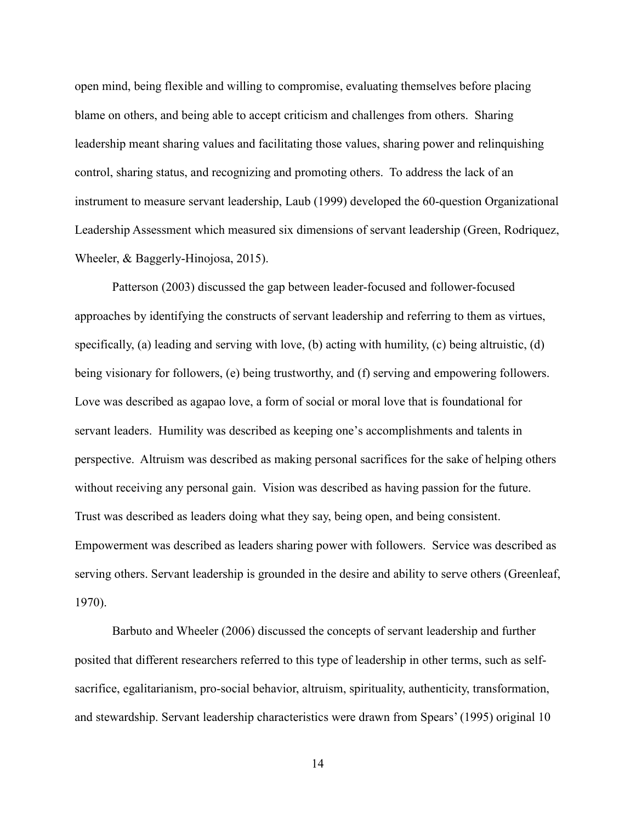open mind, being flexible and willing to compromise, evaluating themselves before placing blame on others, and being able to accept criticism and challenges from others. Sharing leadership meant sharing values and facilitating those values, sharing power and relinquishing control, sharing status, and recognizing and promoting others. To address the lack of an instrument to measure servant leadership, Laub (1999) developed the 60-question Organizational Leadership Assessment which measured six dimensions of servant leadership (Green, Rodriquez, Wheeler, & Baggerly-Hinojosa, 2015).

Patterson (2003) discussed the gap between leader-focused and follower-focused approaches by identifying the constructs of servant leadership and referring to them as virtues, specifically, (a) leading and serving with love, (b) acting with humility, (c) being altruistic, (d) being visionary for followers, (e) being trustworthy, and (f) serving and empowering followers. Love was described as agapao love, a form of social or moral love that is foundational for servant leaders. Humility was described as keeping one's accomplishments and talents in perspective. Altruism was described as making personal sacrifices for the sake of helping others without receiving any personal gain. Vision was described as having passion for the future. Trust was described as leaders doing what they say, being open, and being consistent. Empowerment was described as leaders sharing power with followers. Service was described as serving others. Servant leadership is grounded in the desire and ability to serve others (Greenleaf, 1970).

Barbuto and Wheeler (2006) discussed the concepts of servant leadership and further posited that different researchers referred to this type of leadership in other terms, such as selfsacrifice, egalitarianism, pro-social behavior, altruism, spirituality, authenticity, transformation, and stewardship. Servant leadership characteristics were drawn from Spears' (1995) original 10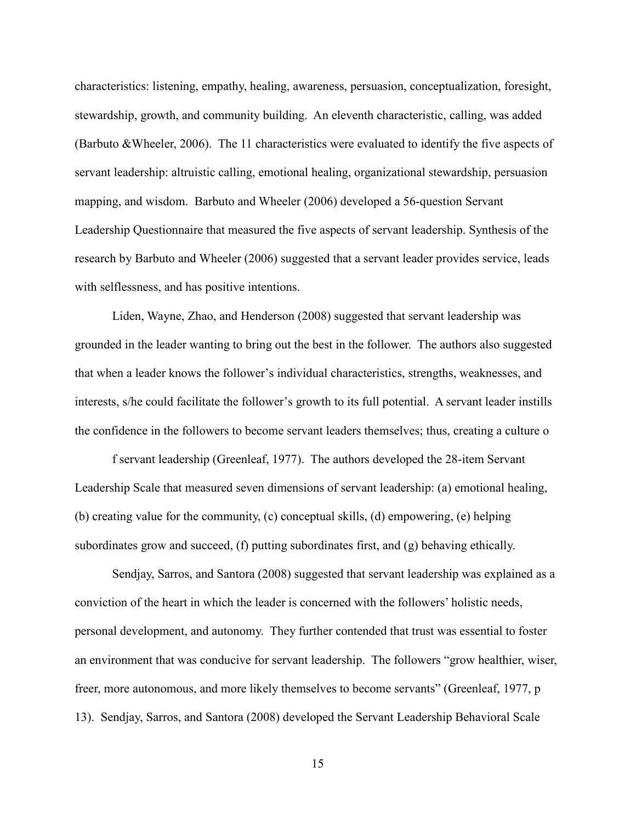characteristics: listening, empathy, healing, awareness, persuasion, conceptualization, foresight, stewardship, growth, and community building. An eleventh characteristic, calling, was added (Barbuto &Wheeler, 2006). The 11 characteristics were evaluated to identify the five aspects of servant leadership: altruistic calling, emotional healing, organizational stewardship, persuasion mapping, and wisdom. Barbuto and Wheeler (2006) developed a 56-question Servant Leadership Questionnaire that measured the five aspects of servant leadership. Synthesis of the research by Barbuto and Wheeler (2006) suggested that a servant leader provides service, leads with selflessness, and has positive intentions.

Liden, Wayne, Zhao, and Henderson (2008) suggested that servant leadership was grounded in the leader wanting to bring out the best in the follower. The authors also suggested that when a leader knows the follower's individual characteristics, strengths, weaknesses, and interests, s/he could facilitate the follower's growth to its full potential. A servant leader instills the confidence in the followers to become servant leaders themselves; thus, creating a culture o

f servant leadership (Greenleaf, 1977). The authors developed the 28-item Servant Leadership Scale that measured seven dimensions of servant leadership: (a) emotional healing, (b) creating value for the community, (c) conceptual skills, (d) empowering, (e) helping subordinates grow and succeed, (f) putting subordinates first, and (g) behaving ethically.

Sendjay, Sarros, and Santora (2008) suggested that servant leadership was explained as a conviction of the heart in which the leader is concerned with the followers' holistic needs, personal development, and autonomy. They further contended that trust was essential to foster an environment that was conducive for servant leadership. The followers "grow healthier, wiser, freer, more autonomous, and more likely themselves to become servants" (Greenleaf, 1977, p 13). Sendjay, Sarros, and Santora (2008) developed the Servant Leadership Behavioral Scale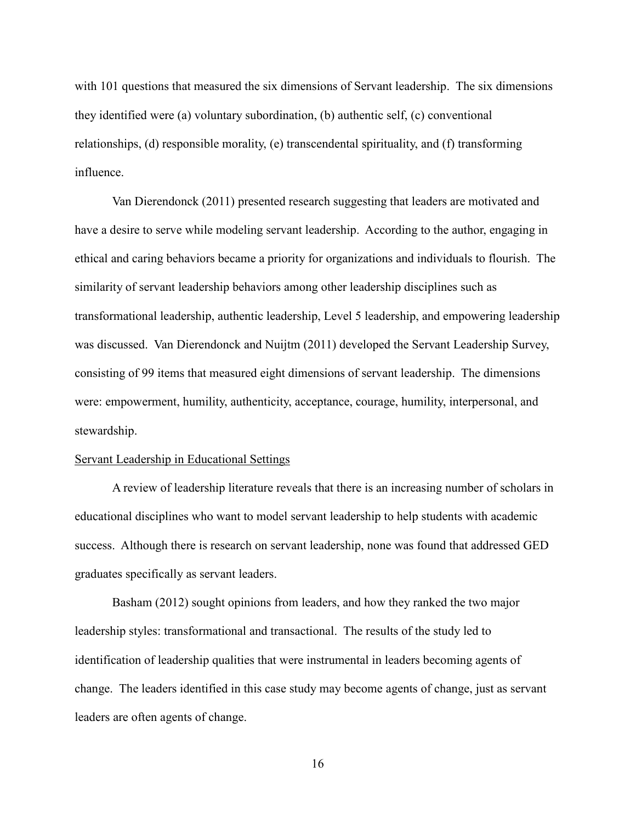with 101 questions that measured the six dimensions of Servant leadership. The six dimensions they identified were (a) voluntary subordination, (b) authentic self, (c) conventional relationships, (d) responsible morality, (e) transcendental spirituality, and (f) transforming influence.

Van Dierendonck (2011) presented research suggesting that leaders are motivated and have a desire to serve while modeling servant leadership. According to the author, engaging in ethical and caring behaviors became a priority for organizations and individuals to flourish. The similarity of servant leadership behaviors among other leadership disciplines such as transformational leadership, authentic leadership, Level 5 leadership, and empowering leadership was discussed. Van Dierendonck and Nuijtm (2011) developed the Servant Leadership Survey, consisting of 99 items that measured eight dimensions of servant leadership. The dimensions were: empowerment, humility, authenticity, acceptance, courage, humility, interpersonal, and stewardship.

### Servant Leadership in Educational Settings

A review of leadership literature reveals that there is an increasing number of scholars in educational disciplines who want to model servant leadership to help students with academic success. Although there is research on servant leadership, none was found that addressed GED graduates specifically as servant leaders.

Basham (2012) sought opinions from leaders, and how they ranked the two major leadership styles: transformational and transactional. The results of the study led to identification of leadership qualities that were instrumental in leaders becoming agents of change. The leaders identified in this case study may become agents of change, just as servant leaders are often agents of change.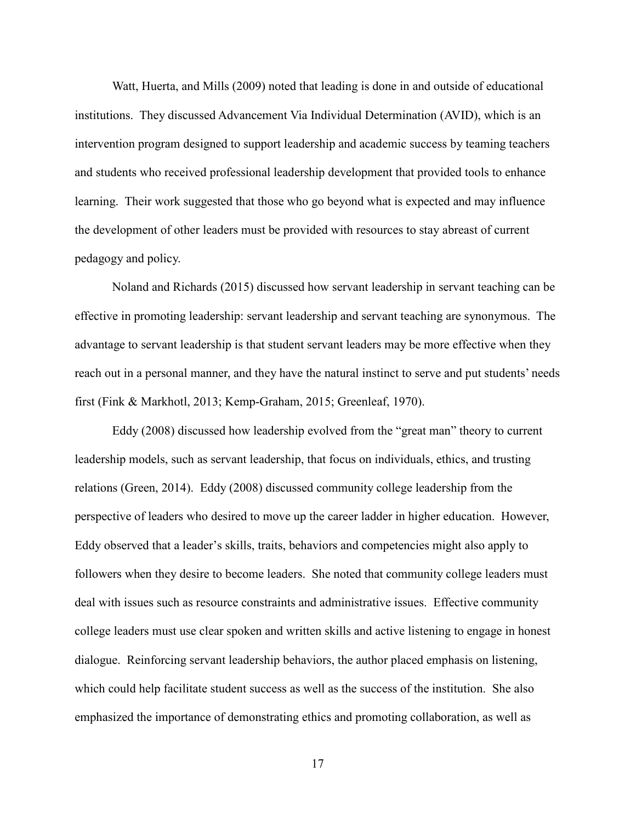Watt, Huerta, and Mills (2009) noted that leading is done in and outside of educational institutions. They discussed Advancement Via Individual Determination (AVID), which is an intervention program designed to support leadership and academic success by teaming teachers and students who received professional leadership development that provided tools to enhance learning. Their work suggested that those who go beyond what is expected and may influence the development of other leaders must be provided with resources to stay abreast of current pedagogy and policy.

Noland and Richards (2015) discussed how servant leadership in servant teaching can be effective in promoting leadership: servant leadership and servant teaching are synonymous. The advantage to servant leadership is that student servant leaders may be more effective when they reach out in a personal manner, and they have the natural instinct to serve and put students' needs first (Fink & Markhotl, 2013; Kemp-Graham, 2015; Greenleaf, 1970).

Eddy (2008) discussed how leadership evolved from the "great man" theory to current leadership models, such as servant leadership, that focus on individuals, ethics, and trusting relations (Green, 2014). Eddy (2008) discussed community college leadership from the perspective of leaders who desired to move up the career ladder in higher education. However, Eddy observed that a leader's skills, traits, behaviors and competencies might also apply to followers when they desire to become leaders. She noted that community college leaders must deal with issues such as resource constraints and administrative issues. Effective community college leaders must use clear spoken and written skills and active listening to engage in honest dialogue. Reinforcing servant leadership behaviors, the author placed emphasis on listening, which could help facilitate student success as well as the success of the institution. She also emphasized the importance of demonstrating ethics and promoting collaboration, as well as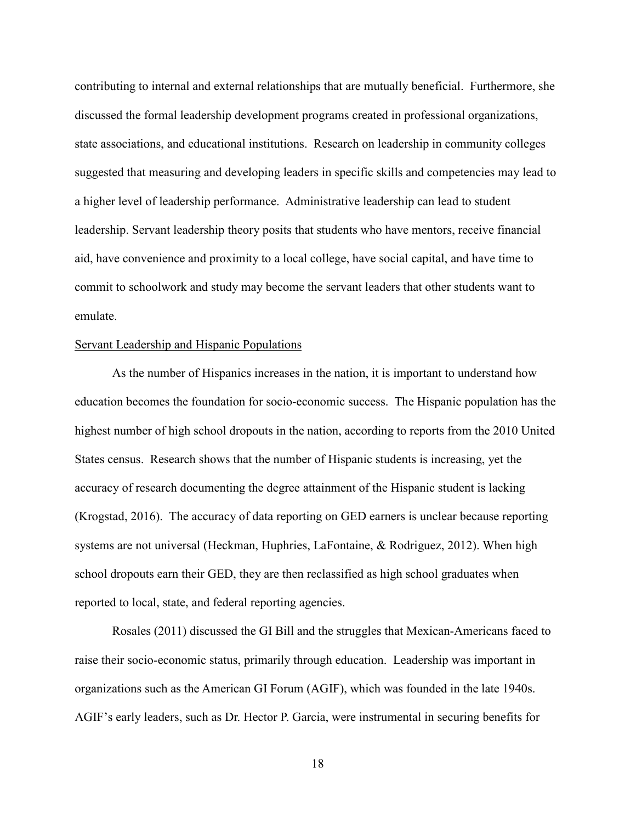contributing to internal and external relationships that are mutually beneficial. Furthermore, she discussed the formal leadership development programs created in professional organizations, state associations, and educational institutions. Research on leadership in community colleges suggested that measuring and developing leaders in specific skills and competencies may lead to a higher level of leadership performance. Administrative leadership can lead to student leadership. Servant leadership theory posits that students who have mentors, receive financial aid, have convenience and proximity to a local college, have social capital, and have time to commit to schoolwork and study may become the servant leaders that other students want to emulate.

### Servant Leadership and Hispanic Populations

As the number of Hispanics increases in the nation, it is important to understand how education becomes the foundation for socio-economic success. The Hispanic population has the highest number of high school dropouts in the nation, according to reports from the 2010 United States census. Research shows that the number of Hispanic students is increasing, yet the accuracy of research documenting the degree attainment of the Hispanic student is lacking (Krogstad, 2016). The accuracy of data reporting on GED earners is unclear because reporting systems are not universal (Heckman, Huphries, LaFontaine, & Rodriguez, 2012). When high school dropouts earn their GED, they are then reclassified as high school graduates when reported to local, state, and federal reporting agencies.

Rosales (2011) discussed the GI Bill and the struggles that Mexican-Americans faced to raise their socio-economic status, primarily through education. Leadership was important in organizations such as the American GI Forum (AGIF), which was founded in the late 1940s. AGIF's early leaders, such as Dr. Hector P. Garcia, were instrumental in securing benefits for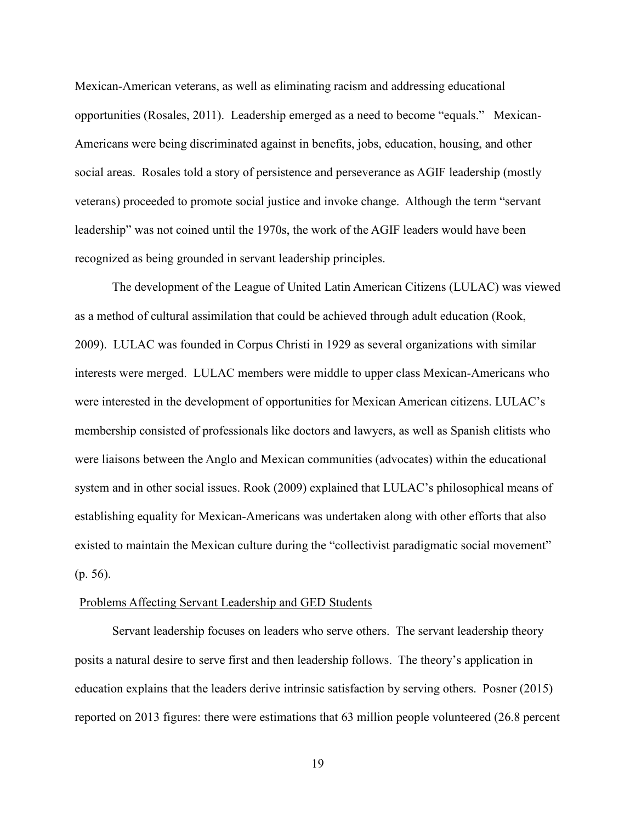Mexican-American veterans, as well as eliminating racism and addressing educational opportunities (Rosales, 2011). Leadership emerged as a need to become "equals." Mexican-Americans were being discriminated against in benefits, jobs, education, housing, and other social areas. Rosales told a story of persistence and perseverance as AGIF leadership (mostly veterans) proceeded to promote social justice and invoke change. Although the term "servant leadership" was not coined until the 1970s, the work of the AGIF leaders would have been recognized as being grounded in servant leadership principles.

The development of the League of United Latin American Citizens (LULAC) was viewed as a method of cultural assimilation that could be achieved through adult education (Rook, 2009). LULAC was founded in Corpus Christi in 1929 as several organizations with similar interests were merged. LULAC members were middle to upper class Mexican-Americans who were interested in the development of opportunities for Mexican American citizens. LULAC's membership consisted of professionals like doctors and lawyers, as well as Spanish elitists who were liaisons between the Anglo and Mexican communities (advocates) within the educational system and in other social issues. Rook (2009) explained that LULAC's philosophical means of establishing equality for Mexican-Americans was undertaken along with other efforts that also existed to maintain the Mexican culture during the "collectivist paradigmatic social movement" (p. 56).

#### Problems Affecting Servant Leadership and GED Students

Servant leadership focuses on leaders who serve others. The servant leadership theory posits a natural desire to serve first and then leadership follows. The theory's application in education explains that the leaders derive intrinsic satisfaction by serving others. Posner (2015) reported on 2013 figures: there were estimations that 63 million people volunteered (26.8 percent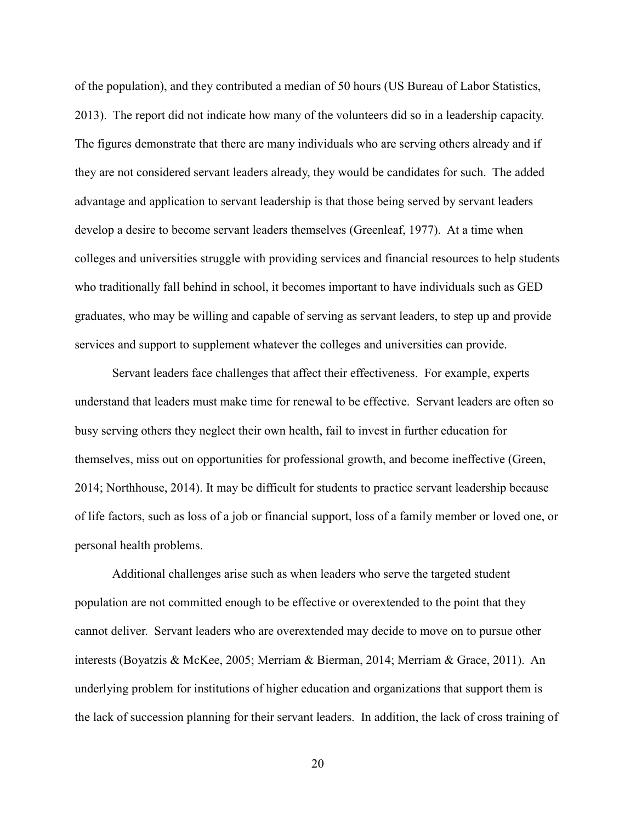of the population), and they contributed a median of 50 hours (US Bureau of Labor Statistics, 2013). The report did not indicate how many of the volunteers did so in a leadership capacity. The figures demonstrate that there are many individuals who are serving others already and if they are not considered servant leaders already, they would be candidates for such. The added advantage and application to servant leadership is that those being served by servant leaders develop a desire to become servant leaders themselves (Greenleaf, 1977). At a time when colleges and universities struggle with providing services and financial resources to help students who traditionally fall behind in school, it becomes important to have individuals such as GED graduates, who may be willing and capable of serving as servant leaders, to step up and provide services and support to supplement whatever the colleges and universities can provide.

Servant leaders face challenges that affect their effectiveness. For example, experts understand that leaders must make time for renewal to be effective. Servant leaders are often so busy serving others they neglect their own health, fail to invest in further education for themselves, miss out on opportunities for professional growth, and become ineffective (Green, 2014; Northhouse, 2014). It may be difficult for students to practice servant leadership because of life factors, such as loss of a job or financial support, loss of a family member or loved one, or personal health problems.

Additional challenges arise such as when leaders who serve the targeted student population are not committed enough to be effective or overextended to the point that they cannot deliver. Servant leaders who are overextended may decide to move on to pursue other interests (Boyatzis & McKee, 2005; Merriam & Bierman, 2014; Merriam & Grace, 2011). An underlying problem for institutions of higher education and organizations that support them is the lack of succession planning for their servant leaders. In addition, the lack of cross training of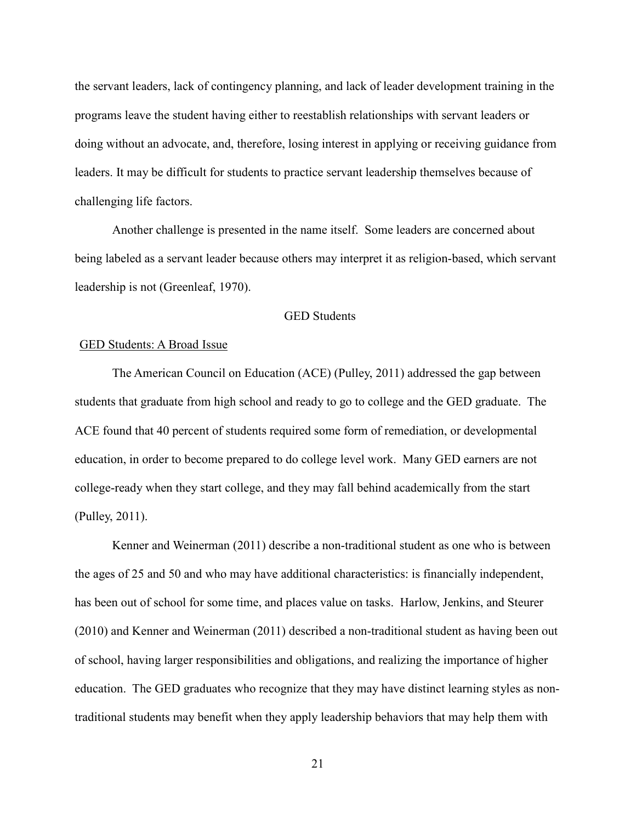the servant leaders, lack of contingency planning, and lack of leader development training in the programs leave the student having either to reestablish relationships with servant leaders or doing without an advocate, and, therefore, losing interest in applying or receiving guidance from leaders. It may be difficult for students to practice servant leadership themselves because of challenging life factors.

Another challenge is presented in the name itself. Some leaders are concerned about being labeled as a servant leader because others may interpret it as religion-based, which servant leadership is not (Greenleaf, 1970).

### GED Students

#### GED Students: A Broad Issue

The American Council on Education (ACE) (Pulley, 2011) addressed the gap between students that graduate from high school and ready to go to college and the GED graduate. The ACE found that 40 percent of students required some form of remediation, or developmental education, in order to become prepared to do college level work. Many GED earners are not college-ready when they start college, and they may fall behind academically from the start (Pulley, 2011).

Kenner and Weinerman (2011) describe a non-traditional student as one who is between the ages of 25 and 50 and who may have additional characteristics: is financially independent, has been out of school for some time, and places value on tasks. Harlow, Jenkins, and Steurer (2010) and Kenner and Weinerman (2011) described a non-traditional student as having been out of school, having larger responsibilities and obligations, and realizing the importance of higher education. The GED graduates who recognize that they may have distinct learning styles as nontraditional students may benefit when they apply leadership behaviors that may help them with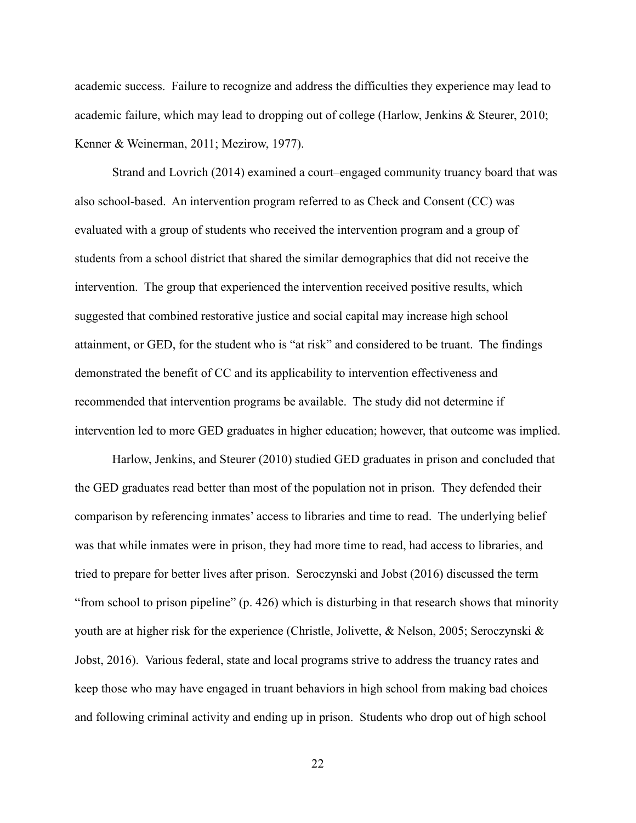academic success. Failure to recognize and address the difficulties they experience may lead to academic failure, which may lead to dropping out of college (Harlow, Jenkins & Steurer, 2010; Kenner & Weinerman, 2011; Mezirow, 1977).

Strand and Lovrich (2014) examined a court–engaged community truancy board that was also school-based. An intervention program referred to as Check and Consent (CC) was evaluated with a group of students who received the intervention program and a group of students from a school district that shared the similar demographics that did not receive the intervention. The group that experienced the intervention received positive results, which suggested that combined restorative justice and social capital may increase high school attainment, or GED, for the student who is "at risk" and considered to be truant. The findings demonstrated the benefit of CC and its applicability to intervention effectiveness and recommended that intervention programs be available. The study did not determine if intervention led to more GED graduates in higher education; however, that outcome was implied.

Harlow, Jenkins, and Steurer (2010) studied GED graduates in prison and concluded that the GED graduates read better than most of the population not in prison. They defended their comparison by referencing inmates' access to libraries and time to read. The underlying belief was that while inmates were in prison, they had more time to read, had access to libraries, and tried to prepare for better lives after prison. Seroczynski and Jobst (2016) discussed the term "from school to prison pipeline" (p. 426) which is disturbing in that research shows that minority youth are at higher risk for the experience (Christle, Jolivette, & Nelson, 2005; Seroczynski & Jobst, 2016). Various federal, state and local programs strive to address the truancy rates and keep those who may have engaged in truant behaviors in high school from making bad choices and following criminal activity and ending up in prison. Students who drop out of high school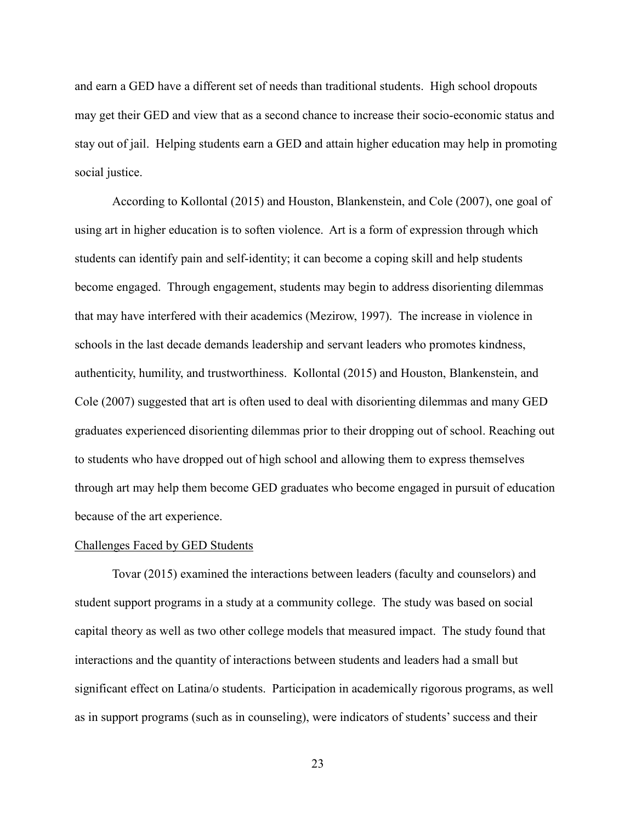and earn a GED have a different set of needs than traditional students. High school dropouts may get their GED and view that as a second chance to increase their socio-economic status and stay out of jail. Helping students earn a GED and attain higher education may help in promoting social justice.

According to Kollontal (2015) and Houston, Blankenstein, and Cole (2007), one goal of using art in higher education is to soften violence. Art is a form of expression through which students can identify pain and self-identity; it can become a coping skill and help students become engaged. Through engagement, students may begin to address disorienting dilemmas that may have interfered with their academics (Mezirow, 1997). The increase in violence in schools in the last decade demands leadership and servant leaders who promotes kindness, authenticity, humility, and trustworthiness. Kollontal (2015) and Houston, Blankenstein, and Cole (2007) suggested that art is often used to deal with disorienting dilemmas and many GED graduates experienced disorienting dilemmas prior to their dropping out of school. Reaching out to students who have dropped out of high school and allowing them to express themselves through art may help them become GED graduates who become engaged in pursuit of education because of the art experience.

### Challenges Faced by GED Students

Tovar (2015) examined the interactions between leaders (faculty and counselors) and student support programs in a study at a community college. The study was based on social capital theory as well as two other college models that measured impact. The study found that interactions and the quantity of interactions between students and leaders had a small but significant effect on Latina/o students. Participation in academically rigorous programs, as well as in support programs (such as in counseling), were indicators of students' success and their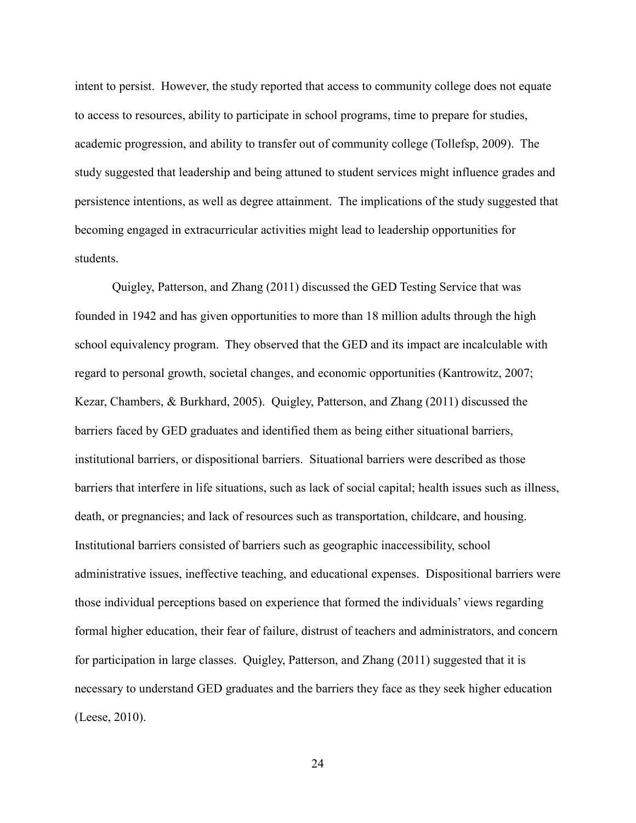intent to persist. However, the study reported that access to community college does not equate to access to resources, ability to participate in school programs, time to prepare for studies, academic progression, and ability to transfer out of community college (Tollefsp, 2009). The study suggested that leadership and being attuned to student services might influence grades and persistence intentions, as well as degree attainment. The implications of the study suggested that becoming engaged in extracurricular activities might lead to leadership opportunities for students.

Quigley, Patterson, and Zhang (2011) discussed the GED Testing Service that was founded in 1942 and has given opportunities to more than 18 million adults through the high school equivalency program. They observed that the GED and its impact are incalculable with regard to personal growth, societal changes, and economic opportunities (Kantrowitz, 2007; Kezar, Chambers, & Burkhard, 2005). Quigley, Patterson, and Zhang (2011) discussed the barriers faced by GED graduates and identified them as being either situational barriers, institutional barriers, or dispositional barriers. Situational barriers were described as those barriers that interfere in life situations, such as lack of social capital; health issues such as illness, death, or pregnancies; and lack of resources such as transportation, childcare, and housing. Institutional barriers consisted of barriers such as geographic inaccessibility, school administrative issues, ineffective teaching, and educational expenses. Dispositional barriers were those individual perceptions based on experience that formed the individuals' views regarding formal higher education, their fear of failure, distrust of teachers and administrators, and concern for participation in large classes. Quigley, Patterson, and Zhang (2011) suggested that it is necessary to understand GED graduates and the barriers they face as they seek higher education (Leese, 2010).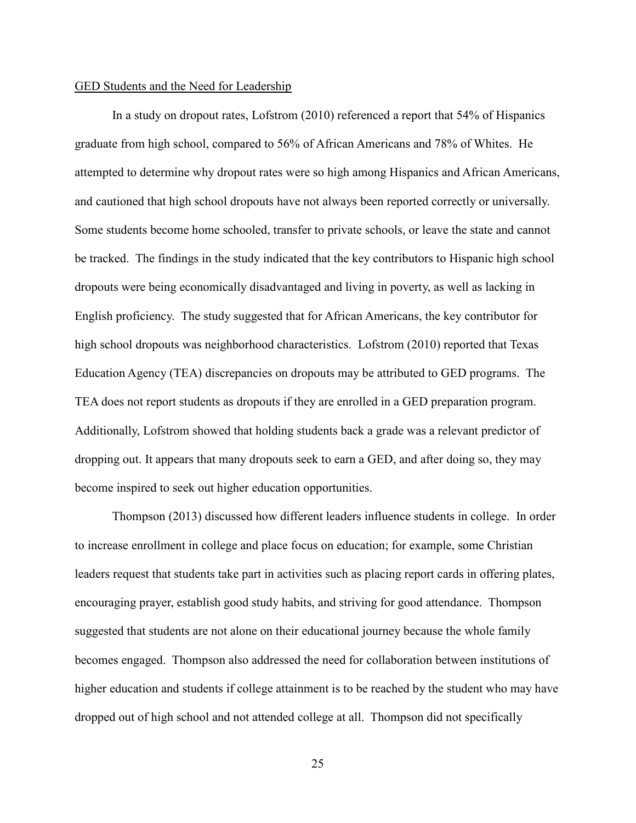### GED Students and the Need for Leadership

In a study on dropout rates, Lofstrom (2010) referenced a report that 54% of Hispanics graduate from high school, compared to 56% of African Americans and 78% of Whites. He attempted to determine why dropout rates were so high among Hispanics and African Americans, and cautioned that high school dropouts have not always been reported correctly or universally. Some students become home schooled, transfer to private schools, or leave the state and cannot be tracked. The findings in the study indicated that the key contributors to Hispanic high school dropouts were being economically disadvantaged and living in poverty, as well as lacking in English proficiency. The study suggested that for African Americans, the key contributor for high school dropouts was neighborhood characteristics. Lofstrom (2010) reported that Texas Education Agency (TEA) discrepancies on dropouts may be attributed to GED programs. The TEA does not report students as dropouts if they are enrolled in a GED preparation program. Additionally, Lofstrom showed that holding students back a grade was a relevant predictor of dropping out. It appears that many dropouts seek to earn a GED, and after doing so, they may become inspired to seek out higher education opportunities.

Thompson (2013) discussed how different leaders influence students in college. In order to increase enrollment in college and place focus on education; for example, some Christian leaders request that students take part in activities such as placing report cards in offering plates, encouraging prayer, establish good study habits, and striving for good attendance. Thompson suggested that students are not alone on their educational journey because the whole family becomes engaged. Thompson also addressed the need for collaboration between institutions of higher education and students if college attainment is to be reached by the student who may have dropped out of high school and not attended college at all. Thompson did not specifically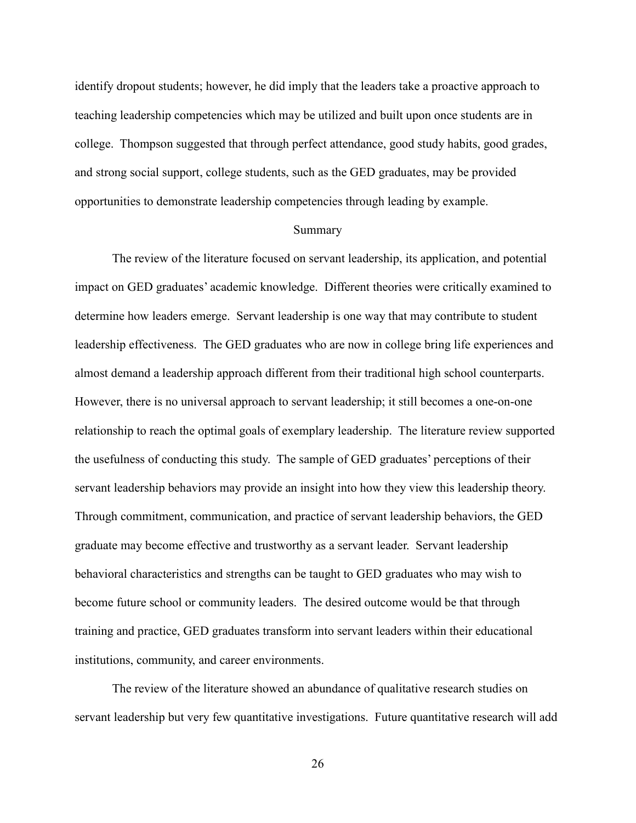identify dropout students; however, he did imply that the leaders take a proactive approach to teaching leadership competencies which may be utilized and built upon once students are in college. Thompson suggested that through perfect attendance, good study habits, good grades, and strong social support, college students, such as the GED graduates, may be provided opportunities to demonstrate leadership competencies through leading by example.

## Summary

The review of the literature focused on servant leadership, its application, and potential impact on GED graduates' academic knowledge. Different theories were critically examined to determine how leaders emerge. Servant leadership is one way that may contribute to student leadership effectiveness. The GED graduates who are now in college bring life experiences and almost demand a leadership approach different from their traditional high school counterparts. However, there is no universal approach to servant leadership; it still becomes a one-on-one relationship to reach the optimal goals of exemplary leadership. The literature review supported the usefulness of conducting this study. The sample of GED graduates' perceptions of their servant leadership behaviors may provide an insight into how they view this leadership theory. Through commitment, communication, and practice of servant leadership behaviors, the GED graduate may become effective and trustworthy as a servant leader. Servant leadership behavioral characteristics and strengths can be taught to GED graduates who may wish to become future school or community leaders. The desired outcome would be that through training and practice, GED graduates transform into servant leaders within their educational institutions, community, and career environments.

The review of the literature showed an abundance of qualitative research studies on servant leadership but very few quantitative investigations. Future quantitative research will add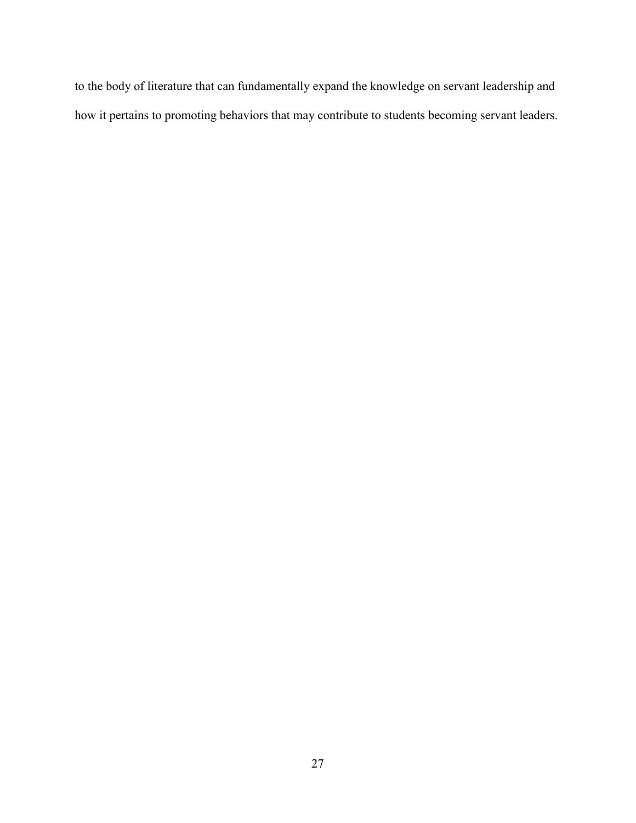to the body of literature that can fundamentally expand the knowledge on servant leadership and how it pertains to promoting behaviors that may contribute to students becoming servant leaders.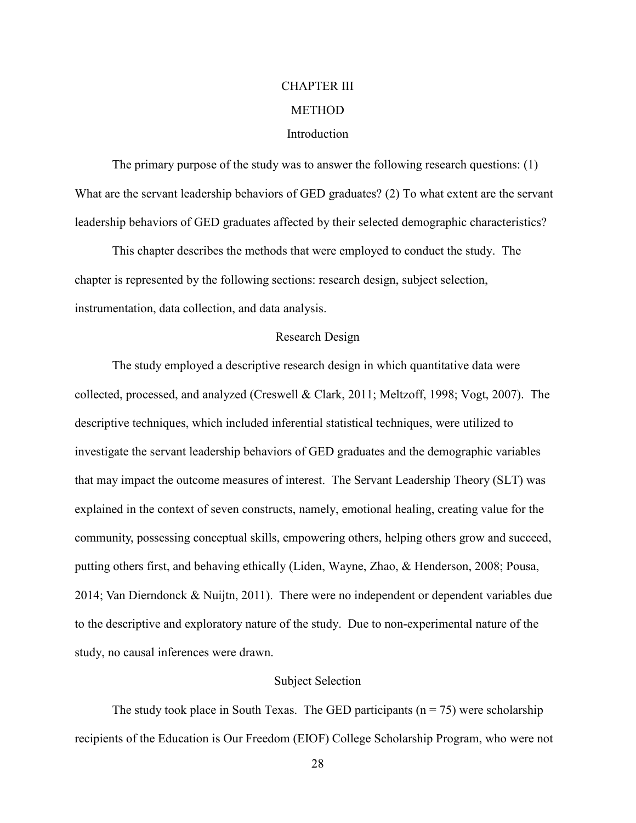# CHAPTER III **METHOD** Introduction

The primary purpose of the study was to answer the following research questions: (1) What are the servant leadership behaviors of GED graduates? (2) To what extent are the servant leadership behaviors of GED graduates affected by their selected demographic characteristics?

This chapter describes the methods that were employed to conduct the study. The chapter is represented by the following sections: research design, subject selection, instrumentation, data collection, and data analysis.

## Research Design

 The study employed a descriptive research design in which quantitative data were collected, processed, and analyzed (Creswell & Clark, 2011; Meltzoff, 1998; Vogt, 2007). The descriptive techniques, which included inferential statistical techniques, were utilized to investigate the servant leadership behaviors of GED graduates and the demographic variables that may impact the outcome measures of interest. The Servant Leadership Theory (SLT) was explained in the context of seven constructs, namely, emotional healing, creating value for the community, possessing conceptual skills, empowering others, helping others grow and succeed, putting others first, and behaving ethically (Liden, Wayne, Zhao, & Henderson, 2008; Pousa, 2014; Van Dierndonck & Nuijtn, 2011). There were no independent or dependent variables due to the descriptive and exploratory nature of the study. Due to non-experimental nature of the study, no causal inferences were drawn.

## Subject Selection

The study took place in South Texas. The GED participants ( $n = 75$ ) were scholarship recipients of the Education is Our Freedom (EIOF) College Scholarship Program, who were not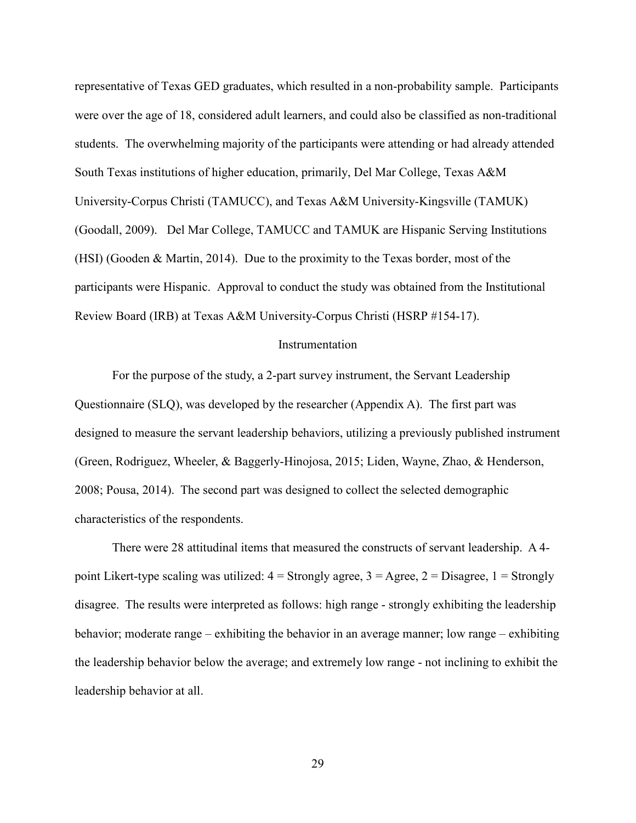representative of Texas GED graduates, which resulted in a non-probability sample. Participants were over the age of 18, considered adult learners, and could also be classified as non-traditional students. The overwhelming majority of the participants were attending or had already attended South Texas institutions of higher education, primarily, Del Mar College, Texas A&M University-Corpus Christi (TAMUCC), and Texas A&M University-Kingsville (TAMUK) (Goodall, 2009). Del Mar College, TAMUCC and TAMUK are Hispanic Serving Institutions (HSI) (Gooden & Martin, 2014). Due to the proximity to the Texas border, most of the participants were Hispanic. Approval to conduct the study was obtained from the Institutional Review Board (IRB) at Texas A&M University-Corpus Christi (HSRP #154-17).

### Instrumentation

For the purpose of the study, a 2-part survey instrument, the Servant Leadership Questionnaire (SLQ), was developed by the researcher (Appendix A). The first part was designed to measure the servant leadership behaviors, utilizing a previously published instrument (Green, Rodriguez, Wheeler, & Baggerly-Hinojosa, 2015; Liden, Wayne, Zhao, & Henderson, 2008; Pousa, 2014). The second part was designed to collect the selected demographic characteristics of the respondents.

There were 28 attitudinal items that measured the constructs of servant leadership. A 4 point Likert-type scaling was utilized:  $4 =$  Strongly agree,  $3 =$  Agree,  $2 =$  Disagree,  $1 =$  Strongly disagree. The results were interpreted as follows: high range - strongly exhibiting the leadership behavior; moderate range – exhibiting the behavior in an average manner; low range – exhibiting the leadership behavior below the average; and extremely low range - not inclining to exhibit the leadership behavior at all.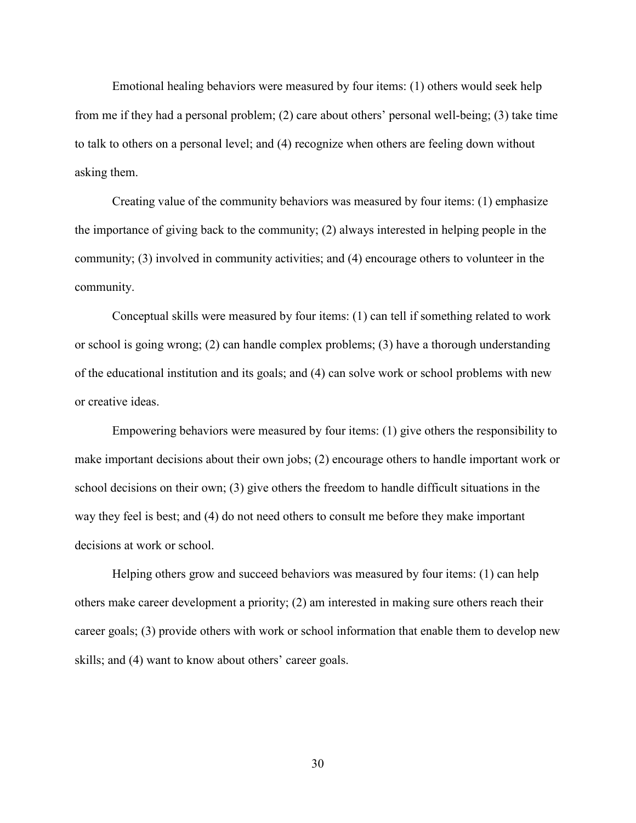Emotional healing behaviors were measured by four items: (1) others would seek help from me if they had a personal problem; (2) care about others' personal well-being; (3) take time to talk to others on a personal level; and (4) recognize when others are feeling down without asking them.

Creating value of the community behaviors was measured by four items: (1) emphasize the importance of giving back to the community; (2) always interested in helping people in the community; (3) involved in community activities; and (4) encourage others to volunteer in the community.

Conceptual skills were measured by four items: (1) can tell if something related to work or school is going wrong; (2) can handle complex problems; (3) have a thorough understanding of the educational institution and its goals; and (4) can solve work or school problems with new or creative ideas.

Empowering behaviors were measured by four items: (1) give others the responsibility to make important decisions about their own jobs; (2) encourage others to handle important work or school decisions on their own; (3) give others the freedom to handle difficult situations in the way they feel is best; and (4) do not need others to consult me before they make important decisions at work or school.

Helping others grow and succeed behaviors was measured by four items: (1) can help others make career development a priority; (2) am interested in making sure others reach their career goals; (3) provide others with work or school information that enable them to develop new skills; and (4) want to know about others' career goals.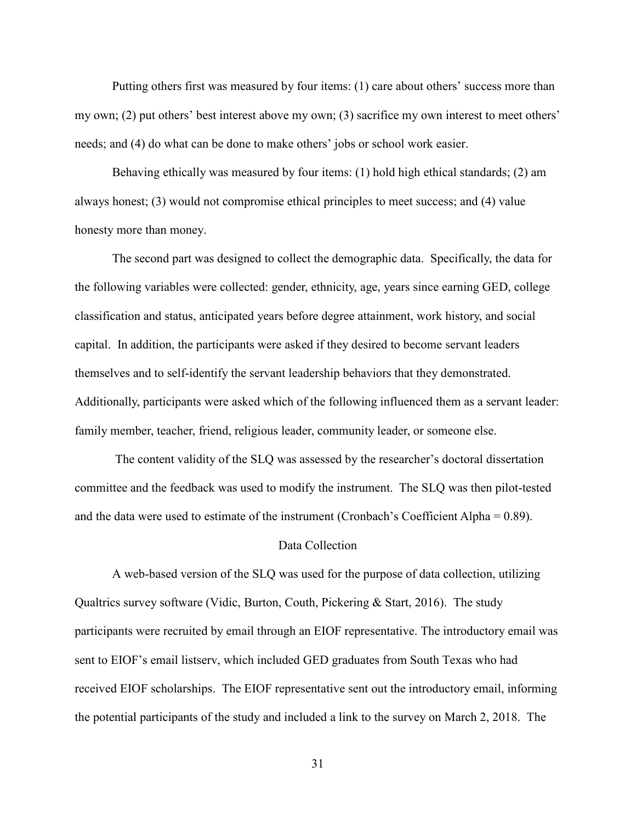Putting others first was measured by four items: (1) care about others' success more than my own; (2) put others' best interest above my own; (3) sacrifice my own interest to meet others' needs; and (4) do what can be done to make others' jobs or school work easier.

Behaving ethically was measured by four items: (1) hold high ethical standards; (2) am always honest; (3) would not compromise ethical principles to meet success; and (4) value honesty more than money.

The second part was designed to collect the demographic data. Specifically, the data for the following variables were collected: gender, ethnicity, age, years since earning GED, college classification and status, anticipated years before degree attainment, work history, and social capital. In addition, the participants were asked if they desired to become servant leaders themselves and to self-identify the servant leadership behaviors that they demonstrated. Additionally, participants were asked which of the following influenced them as a servant leader: family member, teacher, friend, religious leader, community leader, or someone else.

 The content validity of the SLQ was assessed by the researcher's doctoral dissertation committee and the feedback was used to modify the instrument. The SLQ was then pilot-tested and the data were used to estimate of the instrument (Cronbach's Coefficient Alpha = 0.89).

# Data Collection

A web-based version of the SLQ was used for the purpose of data collection, utilizing Qualtrics survey software (Vidic, Burton, Couth, Pickering & Start, 2016). The study participants were recruited by email through an EIOF representative. The introductory email was sent to EIOF's email listserv, which included GED graduates from South Texas who had received EIOF scholarships. The EIOF representative sent out the introductory email, informing the potential participants of the study and included a link to the survey on March 2, 2018. The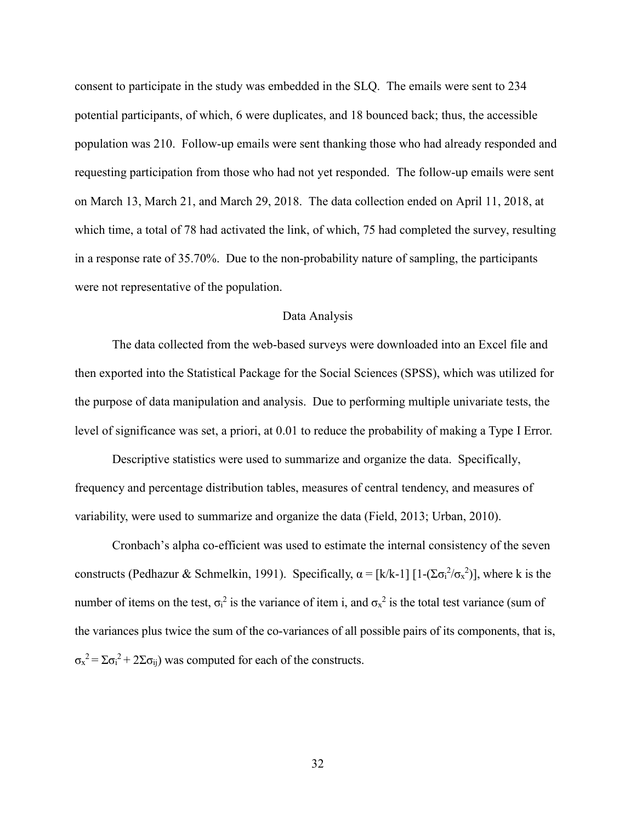consent to participate in the study was embedded in the SLQ. The emails were sent to 234 potential participants, of which, 6 were duplicates, and 18 bounced back; thus, the accessible population was 210. Follow-up emails were sent thanking those who had already responded and requesting participation from those who had not yet responded. The follow-up emails were sent on March 13, March 21, and March 29, 2018. The data collection ended on April 11, 2018, at which time, a total of 78 had activated the link, of which, 75 had completed the survey, resulting in a response rate of 35.70%. Due to the non-probability nature of sampling, the participants were not representative of the population.

#### Data Analysis

The data collected from the web-based surveys were downloaded into an Excel file and then exported into the Statistical Package for the Social Sciences (SPSS), which was utilized for the purpose of data manipulation and analysis. Due to performing multiple univariate tests, the level of significance was set, a priori, at 0.01 to reduce the probability of making a Type I Error.

Descriptive statistics were used to summarize and organize the data. Specifically, frequency and percentage distribution tables, measures of central tendency, and measures of variability, were used to summarize and organize the data (Field, 2013; Urban, 2010).

 Cronbach's alpha co-efficient was used to estimate the internal consistency of the seven constructs (Pedhazur & Schmelkin, 1991). Specifically,  $\alpha = [k/k-1] [1-(\sum \sigma_i^2/\sigma_x^2)]$ , where k is the number of items on the test,  $\sigma_i^2$  is the variance of item i, and  $\sigma_x^2$  is the total test variance (sum of the variances plus twice the sum of the co-variances of all possible pairs of its components, that is,  $\sigma_{\rm x}^2 = \Sigma \sigma_{\rm i}^2 + 2\Sigma \sigma_{\rm ij}$ ) was computed for each of the constructs.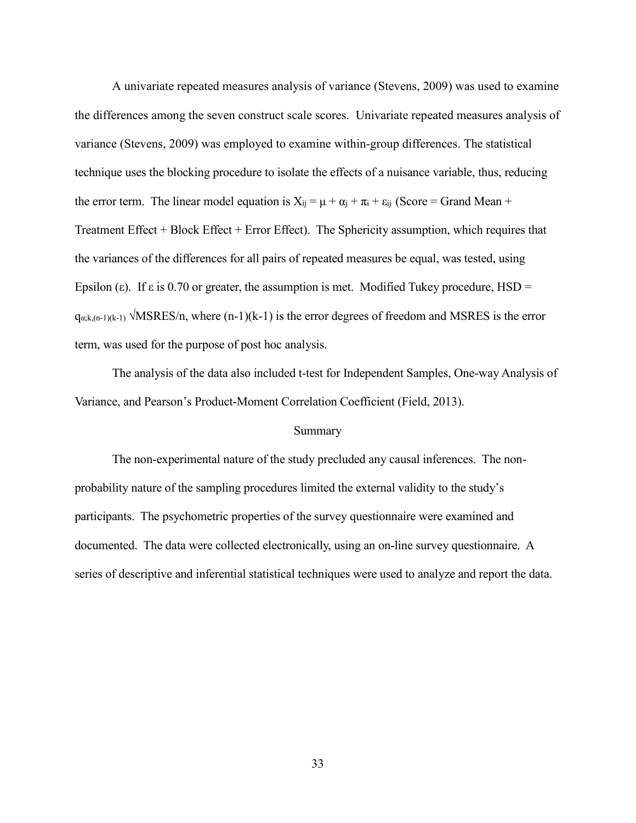A univariate repeated measures analysis of variance (Stevens, 2009) was used to examine the differences among the seven construct scale scores. Univariate repeated measures analysis of variance (Stevens, 2009) was employed to examine within-group differences. The statistical technique uses the blocking procedure to isolate the effects of a nuisance variable, thus, reducing the error term. The linear model equation is  $X_{ij} = \mu + \alpha_j + \pi_i + \varepsilon_{ij}$  (Score = Grand Mean + Treatment Effect + Block Effect + Error Effect). The Sphericity assumption, which requires that the variances of the differences for all pairs of repeated measures be equal, was tested, using Epsilon (ε). If  $\varepsilon$  is 0.70 or greater, the assumption is met. Modified Tukey procedure, HSD =  $q_{\alpha;k,(n-1)(k-1)}$   $\sqrt{\text{MSRES}/n}$ , where  $(n-1)(k-1)$  is the error degrees of freedom and MSRES is the error term, was used for the purpose of post hoc analysis.

The analysis of the data also included t-test for Independent Samples, One-way Analysis of Variance, and Pearson's Product-Moment Correlation Coefficient (Field, 2013).

#### Summary

 The non-experimental nature of the study precluded any causal inferences. The nonprobability nature of the sampling procedures limited the external validity to the study's participants. The psychometric properties of the survey questionnaire were examined and documented. The data were collected electronically, using an on-line survey questionnaire. A series of descriptive and inferential statistical techniques were used to analyze and report the data.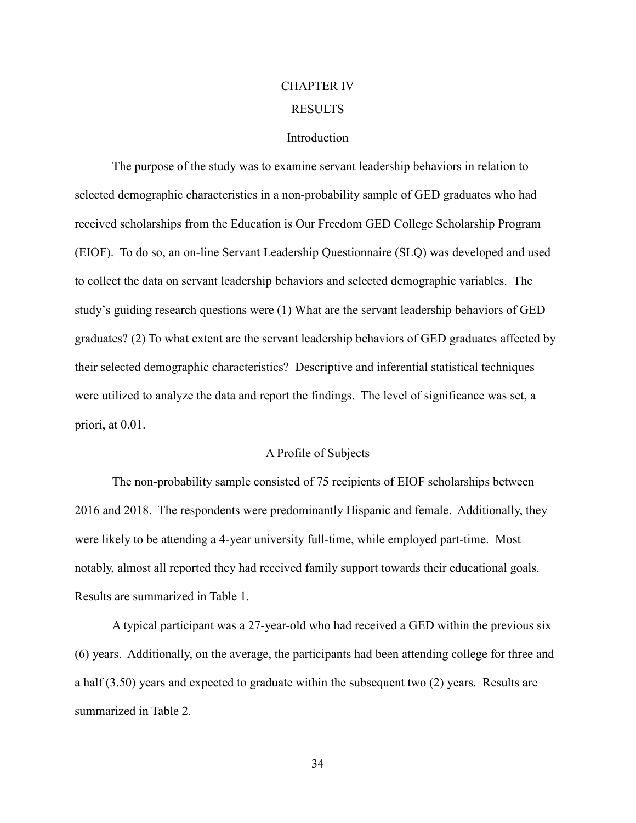# CHAPTER IV RESULTS

#### **Introduction**

The purpose of the study was to examine servant leadership behaviors in relation to selected demographic characteristics in a non-probability sample of GED graduates who had received scholarships from the Education is Our Freedom GED College Scholarship Program (EIOF). To do so, an on-line Servant Leadership Questionnaire (SLQ) was developed and used to collect the data on servant leadership behaviors and selected demographic variables. The study's guiding research questions were (1) What are the servant leadership behaviors of GED graduates? (2) To what extent are the servant leadership behaviors of GED graduates affected by their selected demographic characteristics? Descriptive and inferential statistical techniques were utilized to analyze the data and report the findings. The level of significance was set, a priori, at 0.01.

### A Profile of Subjects

The non-probability sample consisted of 75 recipients of EIOF scholarships between 2016 and 2018. The respondents were predominantly Hispanic and female. Additionally, they were likely to be attending a 4-year university full-time, while employed part-time. Most notably, almost all reported they had received family support towards their educational goals. Results are summarized in Table 1.

A typical participant was a 27-year-old who had received a GED within the previous six (6) years. Additionally, on the average, the participants had been attending college for three and a half (3.50) years and expected to graduate within the subsequent two (2) years. Results are summarized in Table 2.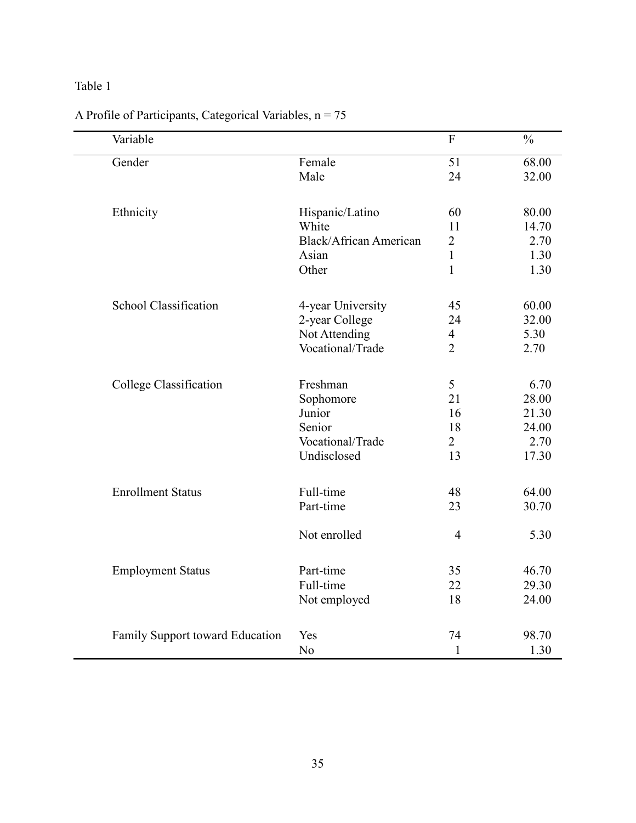| Variable                        |                               | $\overline{F}$ | $\frac{0}{0}$ |
|---------------------------------|-------------------------------|----------------|---------------|
| Gender                          | Female                        | 51             | 68.00         |
|                                 | Male                          | 24             | 32.00         |
| Ethnicity                       | Hispanic/Latino               | 60             | 80.00         |
|                                 | White                         | 11             | 14.70         |
|                                 | <b>Black/African American</b> | $\overline{2}$ | 2.70          |
|                                 | Asian                         | $\mathbf{1}$   | 1.30          |
|                                 | Other                         | $\mathbf{1}$   | 1.30          |
| <b>School Classification</b>    | 4-year University             | 45             | 60.00         |
|                                 | 2-year College                | 24             | 32.00         |
|                                 | Not Attending                 | $\overline{4}$ | 5.30          |
|                                 | Vocational/Trade              | $\overline{2}$ | 2.70          |
| College Classification          | Freshman                      | 5              | 6.70          |
|                                 | Sophomore                     | 21             | 28.00         |
|                                 | Junior                        | 16             | 21.30         |
|                                 | Senior                        | 18             | 24.00         |
|                                 | Vocational/Trade              | $\overline{2}$ | 2.70          |
|                                 | Undisclosed                   | 13             | 17.30         |
| <b>Enrollment Status</b>        | Full-time                     | 48             | 64.00         |
|                                 | Part-time                     | 23             | 30.70         |
|                                 | Not enrolled                  | $\overline{4}$ | 5.30          |
| <b>Employment Status</b>        | Part-time                     | 35             | 46.70         |
|                                 | Full-time                     | 22             | 29.30         |
|                                 | Not employed                  | 18             | 24.00         |
| Family Support toward Education | Yes                           | 74             | 98.70         |
|                                 | N <sub>o</sub>                | $\mathbf{1}$   | 1.30          |

# A Profile of Participants, Categorical Variables,  $n = 75$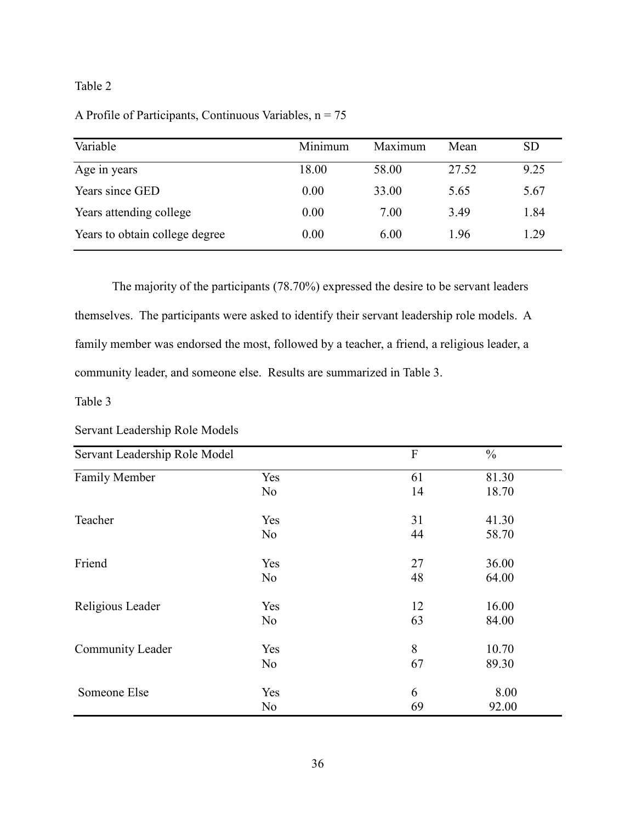| Variable                       | Minimum | Maximum | Mean  | <b>SD</b> |
|--------------------------------|---------|---------|-------|-----------|
| Age in years                   | 18.00   | 58.00   | 27.52 | 9.25      |
| Years since GED                | 0.00    | 33.00   | 5.65  | 5.67      |
| Years attending college        | 0.00    | 7.00    | 3.49  | 1.84      |
| Years to obtain college degree | 0.00    | 6.00    | 1.96  | 1.29      |

The majority of the participants (78.70%) expressed the desire to be servant leaders themselves. The participants were asked to identify their servant leadership role models. A family member was endorsed the most, followed by a teacher, a friend, a religious leader, a community leader, and someone else. Results are summarized in Table 3.

Table 3

| Servant Leadership Role Models |
|--------------------------------|
|--------------------------------|

| Servant Leadership Role Model |                | F  | $\frac{0}{0}$ |
|-------------------------------|----------------|----|---------------|
| Family Member                 | Yes            | 61 | 81.30         |
|                               | N <sub>0</sub> | 14 | 18.70         |
| Teacher                       | Yes            | 31 | 41.30         |
|                               | N <sub>0</sub> | 44 | 58.70         |
| Friend                        | Yes            | 27 | 36.00         |
|                               | N <sub>0</sub> | 48 | 64.00         |
| Religious Leader              | Yes            | 12 | 16.00         |
|                               | N <sub>0</sub> | 63 | 84.00         |
| Community Leader              | Yes            | 8  | 10.70         |
|                               | N <sub>0</sub> | 67 | 89.30         |
| Someone Else                  | Yes            | 6  | 8.00          |
|                               | N <sub>0</sub> | 69 | 92.00         |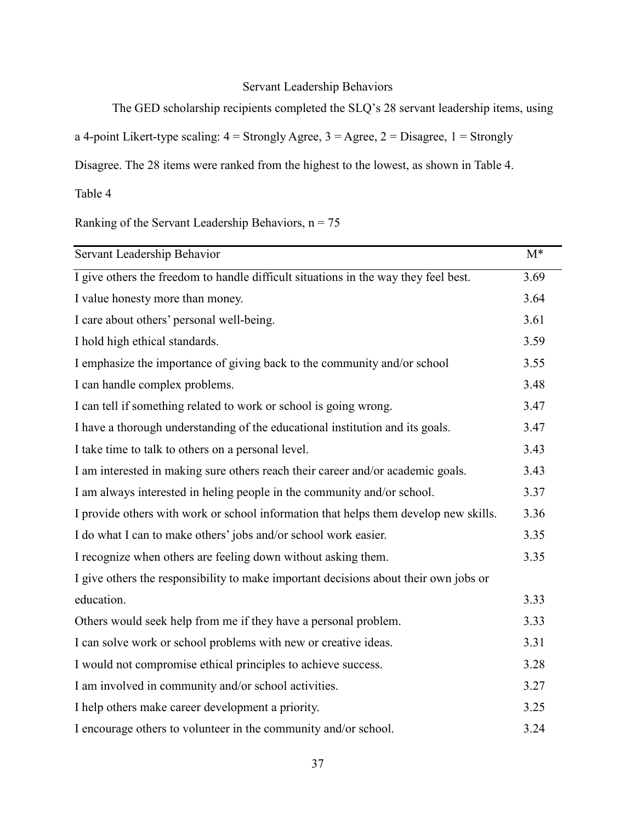# Servant Leadership Behaviors

The GED scholarship recipients completed the SLQ's 28 servant leadership items, using

a 4-point Likert-type scaling:  $4 =$  Strongly Agree,  $3 =$  Agree,  $2 =$  Disagree,  $1 =$  Strongly

Disagree. The 28 items were ranked from the highest to the lowest, as shown in Table 4.

Table 4

Ranking of the Servant Leadership Behaviors,  $n = 75$ 

| Servant Leadership Behavior                                                          | $M^*$ |
|--------------------------------------------------------------------------------------|-------|
| I give others the freedom to handle difficult situations in the way they feel best.  | 3.69  |
| I value honesty more than money.                                                     | 3.64  |
| I care about others' personal well-being.                                            | 3.61  |
| I hold high ethical standards.                                                       | 3.59  |
| I emphasize the importance of giving back to the community and/or school             | 3.55  |
| I can handle complex problems.                                                       | 3.48  |
| I can tell if something related to work or school is going wrong.                    | 3.47  |
| I have a thorough understanding of the educational institution and its goals.        | 3.47  |
| I take time to talk to others on a personal level.                                   | 3.43  |
| I am interested in making sure others reach their career and/or academic goals.      | 3.43  |
| I am always interested in heling people in the community and/or school.              | 3.37  |
| I provide others with work or school information that helps them develop new skills. | 3.36  |
| I do what I can to make others' jobs and/or school work easier.                      | 3.35  |
| I recognize when others are feeling down without asking them.                        | 3.35  |
| I give others the responsibility to make important decisions about their own jobs or |       |
| education.                                                                           | 3.33  |
| Others would seek help from me if they have a personal problem.                      | 3.33  |
| I can solve work or school problems with new or creative ideas.                      | 3.31  |
| I would not compromise ethical principles to achieve success.                        | 3.28  |
| I am involved in community and/or school activities.                                 | 3.27  |
| I help others make career development a priority.                                    | 3.25  |
| I encourage others to volunteer in the community and/or school.                      | 3.24  |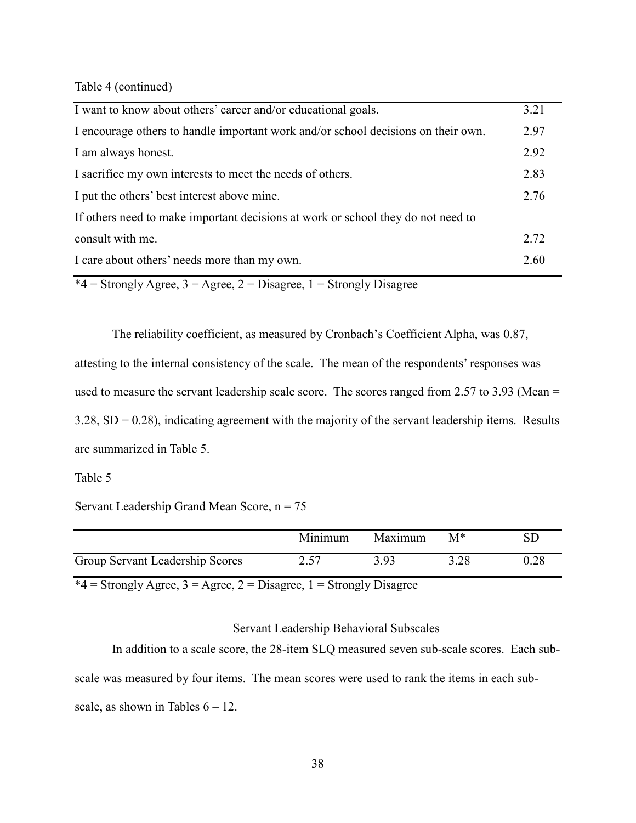Table 4 (continued)

| I want to know about others' career and/or educational goals.                     | 3.21 |
|-----------------------------------------------------------------------------------|------|
| I encourage others to handle important work and/or school decisions on their own. | 2.97 |
| I am always honest.                                                               | 2.92 |
| I sacrifice my own interests to meet the needs of others.                         | 2.83 |
| I put the others' best interest above mine.                                       | 2.76 |
| If others need to make important decisions at work or school they do not need to  |      |
| consult with me.                                                                  | 2.72 |
| I care about others' needs more than my own.                                      | 2.60 |

 $*4 =$  Strongly Agree, 3 = Agree, 2 = Disagree, 1 = Strongly Disagree

The reliability coefficient, as measured by Cronbach's Coefficient Alpha, was 0.87,

attesting to the internal consistency of the scale. The mean of the respondents' responses was used to measure the servant leadership scale score. The scores ranged from 2.57 to 3.93 (Mean =  $3.28$ , SD = 0.28), indicating agreement with the majority of the servant leadership items. Results are summarized in Table 5.

#### Table 5

Servant Leadership Grand Mean Score,  $n = 75$ 

|                                 | Minimum | Maximum | $M^*$ |      |
|---------------------------------|---------|---------|-------|------|
| Group Servant Leadership Scores | 2.57    | 3 93    | 3.28  | 0.28 |

 $*4 =$  Strongly Agree, 3 = Agree, 2 = Disagree, 1 = Strongly Disagree

## Servant Leadership Behavioral Subscales

In addition to a scale score, the 28-item SLQ measured seven sub-scale scores. Each subscale was measured by four items. The mean scores were used to rank the items in each subscale, as shown in Tables  $6 - 12$ .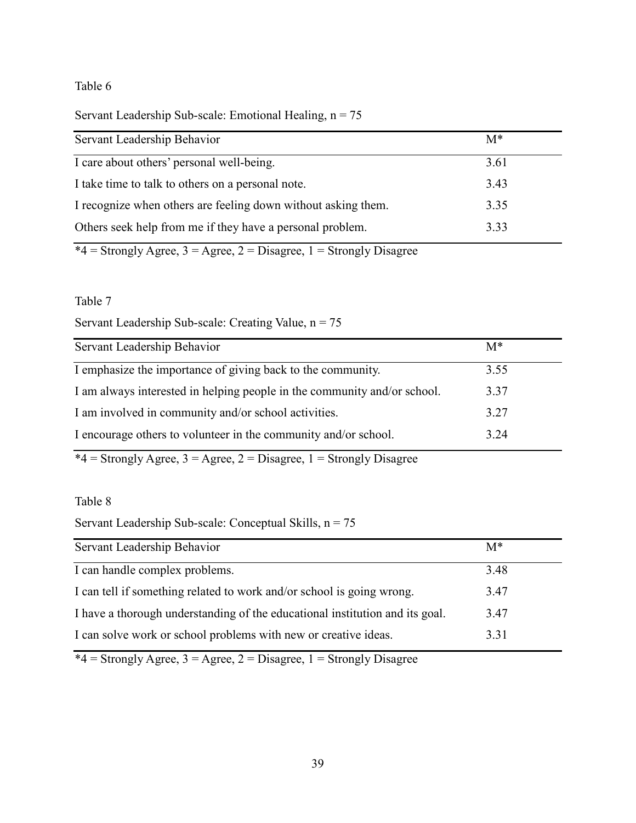|  | Servant Leadership Sub-scale: Emotional Healing, $n = 75$ |  |  |  |  |
|--|-----------------------------------------------------------|--|--|--|--|
|--|-----------------------------------------------------------|--|--|--|--|

| Servant Leadership Behavior                                   | $M^*$ |
|---------------------------------------------------------------|-------|
| I care about others' personal well-being.                     | 3.61  |
| I take time to talk to others on a personal note.             | 3.43  |
| I recognize when others are feeling down without asking them. | 3.35  |
| Others seek help from me if they have a personal problem.     | 3.33  |

 $*4 =$  Strongly Agree, 3 = Agree, 2 = Disagree, 1 = Strongly Disagree

# Table 7

Servant Leadership Sub-scale: Creating Value, n = 75

| Servant Leadership Behavior                                              | $M^*$ |
|--------------------------------------------------------------------------|-------|
| I emphasize the importance of giving back to the community.              | 3.55  |
| I am always interested in helping people in the community and/or school. | 3.37  |
| I am involved in community and/or school activities.                     | 3.27  |
| I encourage others to volunteer in the community and/or school.          | 3.24  |

 $*4 =$  Strongly Agree, 3 = Agree, 2 = Disagree, 1 = Strongly Disagree

# Table 8

Servant Leadership Sub-scale: Conceptual Skills,  $n = 75$ 

| Servant Leadership Behavior                                                  | $M^*$ |
|------------------------------------------------------------------------------|-------|
| I can handle complex problems.                                               | 3.48  |
| I can tell if something related to work and/or school is going wrong.        | 3.47  |
| I have a thorough understanding of the educational institution and its goal. | 3.47  |
| I can solve work or school problems with new or creative ideas.              | 3 3 1 |

 $*4 =$  Strongly Agree, 3 = Agree, 2 = Disagree, 1 = Strongly Disagree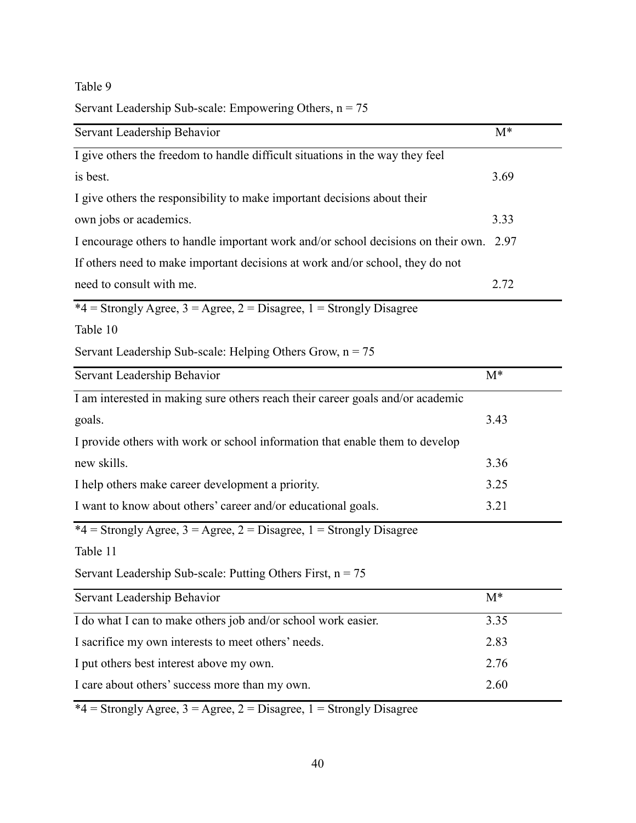# Servant Leadership Sub-scale: Empowering Others,  $n = 75$

| Servant Leadership Behavior                                                       | $M^*$ |
|-----------------------------------------------------------------------------------|-------|
| I give others the freedom to handle difficult situations in the way they feel     |       |
| is best.                                                                          | 3.69  |
| I give others the responsibility to make important decisions about their          |       |
| own jobs or academics.                                                            | 3.33  |
| I encourage others to handle important work and/or school decisions on their own. | 2.97  |
| If others need to make important decisions at work and/or school, they do not     |       |
| need to consult with me.                                                          | 2.72  |
| *4 = Strongly Agree, $3 =$ Agree, $2 =$ Disagree, $1 =$ Strongly Disagree         |       |
| Table 10                                                                          |       |
| Servant Leadership Sub-scale: Helping Others Grow, $n = 75$                       |       |
| Servant Leadership Behavior                                                       | $M^*$ |
| I am interested in making sure others reach their career goals and/or academic    |       |
| goals.                                                                            | 3.43  |
| I provide others with work or school information that enable them to develop      |       |
| new skills.                                                                       | 3.36  |
| I help others make career development a priority.                                 | 3.25  |
| I want to know about others' career and/or educational goals.                     | 3.21  |
| *4 = Strongly Agree, $3 =$ Agree, $2 =$ Disagree, $1 =$ Strongly Disagree         |       |
| Table 11                                                                          |       |
| Servant Leadership Sub-scale: Putting Others First, $n = 75$                      |       |
| Servant Leadership Behavior                                                       | $M^*$ |
| I do what I can to make others job and/or school work easier.                     | 3.35  |
| I sacrifice my own interests to meet others' needs.                               | 2.83  |
| I put others best interest above my own.                                          | 2.76  |
| I care about others' success more than my own.                                    | 2.60  |
|                                                                                   |       |

 $*4 =$  Strongly Agree, 3 = Agree, 2 = Disagree, 1 = Strongly Disagree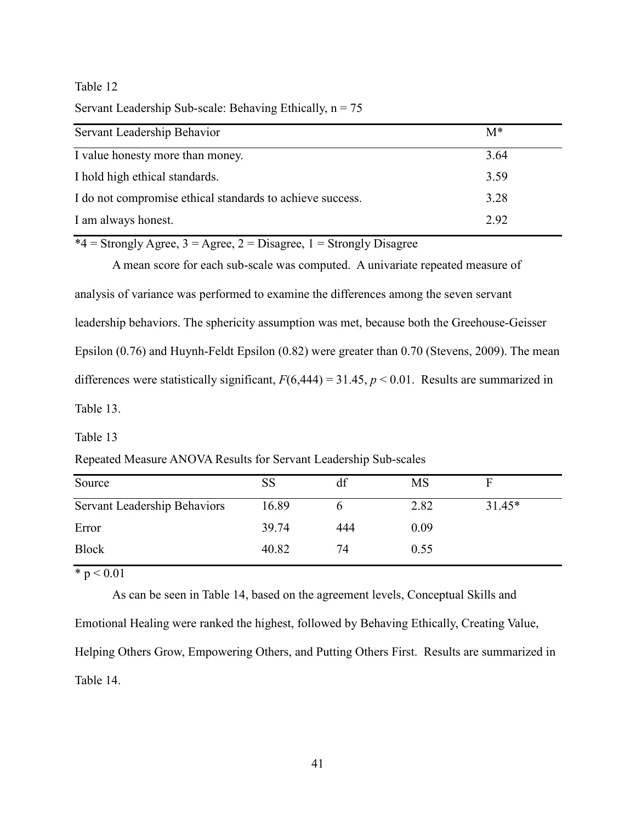Servant Leadership Sub-scale: Behaving Ethically,  $n = 75$ 

| Servant Leadership Behavior                               | $M^*$ |
|-----------------------------------------------------------|-------|
| I value honesty more than money.                          | 3.64  |
| I hold high ethical standards.                            | 3.59  |
| I do not compromise ethical standards to achieve success. | 3.28  |
| I am always honest.                                       | 2.92  |

 $*4 =$  Strongly Agree, 3 = Agree, 2 = Disagree, 1 = Strongly Disagree

A mean score for each sub-scale was computed. A univariate repeated measure of analysis of variance was performed to examine the differences among the seven servant leadership behaviors. The sphericity assumption was met, because both the Greehouse-Geisser Epsilon (0.76) and Huynh-Feldt Epsilon (0.82) were greater than 0.70 (Stevens, 2009). The mean differences were statistically significant,  $F(6,444) = 31.45$ ,  $p < 0.01$ . Results are summarized in Table 13.

Table 13

Repeated Measure ANOVA Results for Servant Leadership Sub-scales

| Source                       | SS    | df  | <b>MS</b> |          |  |
|------------------------------|-------|-----|-----------|----------|--|
| Servant Leadership Behaviors | 16.89 |     | 2.82      | $31.45*$ |  |
| Error                        | 39.74 | 444 | 0.09      |          |  |
| <b>Block</b>                 | 40.82 | 74  | 0.55      |          |  |

 $* p < 0.01$ 

Emotional Healing were ranked the highest, followed by Behaving Ethically, Creating Value, Helping Others Grow, Empowering Others, and Putting Others First. Results are summarized in Table 14.

As can be seen in Table 14, based on the agreement levels, Conceptual Skills and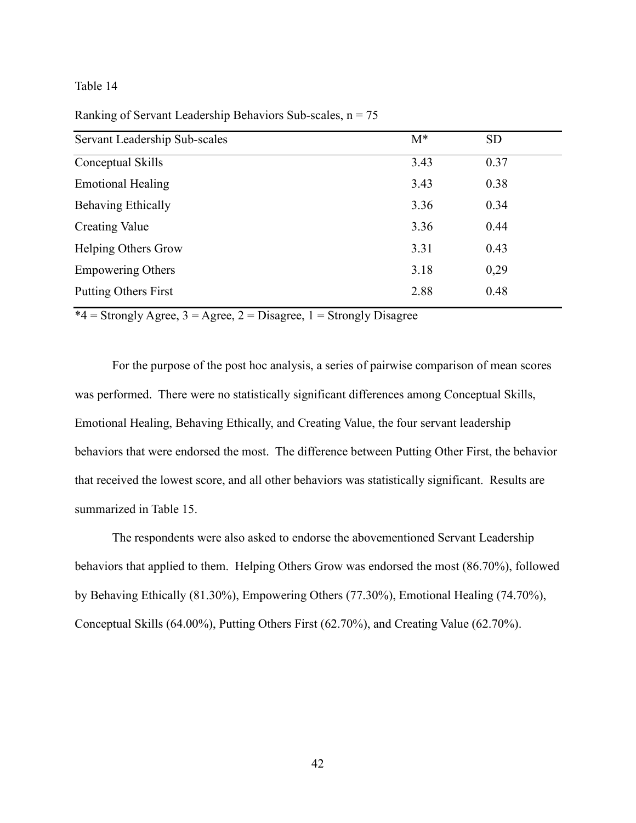| Servant Leadership Sub-scales | $M^*$ | <b>SD</b> |
|-------------------------------|-------|-----------|
| Conceptual Skills             | 3.43  | 0.37      |
| <b>Emotional Healing</b>      | 3.43  | 0.38      |
| Behaving Ethically            | 3.36  | 0.34      |
| <b>Creating Value</b>         | 3.36  | 0.44      |
| <b>Helping Others Grow</b>    | 3.31  | 0.43      |
| <b>Empowering Others</b>      | 3.18  | 0,29      |
| <b>Putting Others First</b>   | 2.88  | 0.48      |

Ranking of Servant Leadership Behaviors Sub-scales,  $n = 75$ 

 $*4 =$  Strongly Agree, 3 = Agree, 2 = Disagree, 1 = Strongly Disagree

For the purpose of the post hoc analysis, a series of pairwise comparison of mean scores was performed. There were no statistically significant differences among Conceptual Skills, Emotional Healing, Behaving Ethically, and Creating Value, the four servant leadership behaviors that were endorsed the most. The difference between Putting Other First, the behavior that received the lowest score, and all other behaviors was statistically significant. Results are summarized in Table 15.

The respondents were also asked to endorse the abovementioned Servant Leadership behaviors that applied to them. Helping Others Grow was endorsed the most (86.70%), followed by Behaving Ethically (81.30%), Empowering Others (77.30%), Emotional Healing (74.70%), Conceptual Skills (64.00%), Putting Others First (62.70%), and Creating Value (62.70%).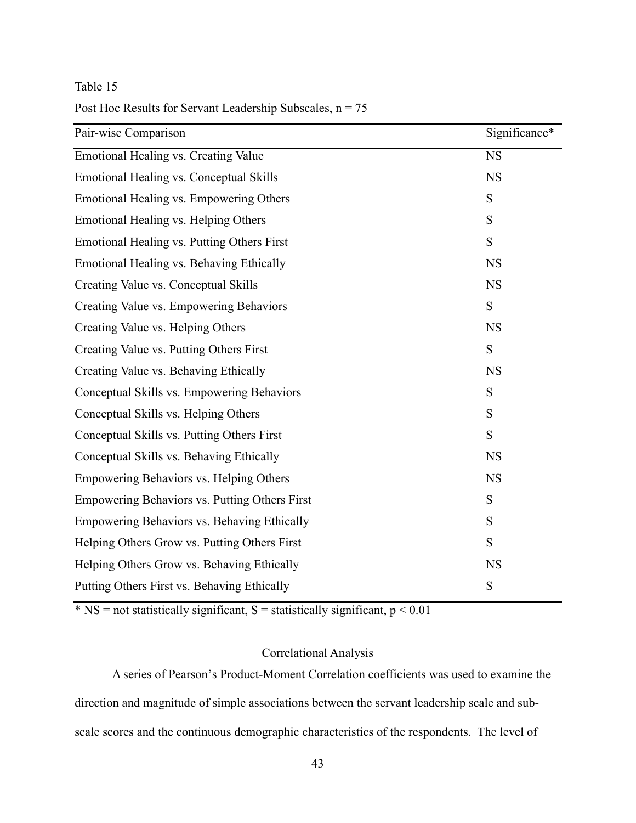# Post Hoc Results for Servant Leadership Subscales,  $n = 75$

| Pair-wise Comparison                          | Significance* |
|-----------------------------------------------|---------------|
| Emotional Healing vs. Creating Value          | <b>NS</b>     |
| Emotional Healing vs. Conceptual Skills       | <b>NS</b>     |
| Emotional Healing vs. Empowering Others       | S             |
| Emotional Healing vs. Helping Others          | S             |
| Emotional Healing vs. Putting Others First    | S             |
| Emotional Healing vs. Behaving Ethically      | <b>NS</b>     |
| Creating Value vs. Conceptual Skills          | <b>NS</b>     |
| Creating Value vs. Empowering Behaviors       | S             |
| Creating Value vs. Helping Others             | <b>NS</b>     |
| Creating Value vs. Putting Others First       | S             |
| Creating Value vs. Behaving Ethically         | <b>NS</b>     |
| Conceptual Skills vs. Empowering Behaviors    | S             |
| Conceptual Skills vs. Helping Others          | S             |
| Conceptual Skills vs. Putting Others First    | S             |
| Conceptual Skills vs. Behaving Ethically      | <b>NS</b>     |
| Empowering Behaviors vs. Helping Others       | <b>NS</b>     |
| Empowering Behaviors vs. Putting Others First | S             |
| Empowering Behaviors vs. Behaving Ethically   | S             |
| Helping Others Grow vs. Putting Others First  | S             |
| Helping Others Grow vs. Behaving Ethically    | <b>NS</b>     |
| Putting Others First vs. Behaving Ethically   | S             |

 $*$  NS = not statistically significant, S = statistically significant,  $p < 0.01$ 

# Correlational Analysis

A series of Pearson's Product-Moment Correlation coefficients was used to examine the direction and magnitude of simple associations between the servant leadership scale and subscale scores and the continuous demographic characteristics of the respondents. The level of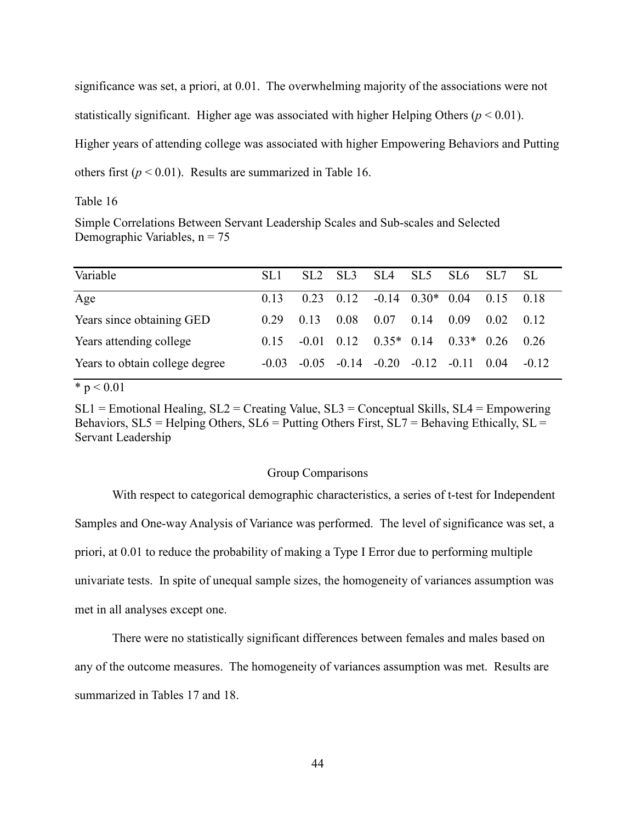significance was set, a priori, at 0.01. The overwhelming majority of the associations were not statistically significant. Higher age was associated with higher Helping Others ( $p < 0.01$ ). Higher years of attending college was associated with higher Empowering Behaviors and Putting others first  $(p < 0.01)$ . Results are summarized in Table 16.

## Table 16

Simple Correlations Between Servant Leadership Scales and Sub-scales and Selected Demographic Variables,  $n = 75$ 

| SL1     |      |      |      |      |                         |                                                                                         | - SL                                                            |
|---------|------|------|------|------|-------------------------|-----------------------------------------------------------------------------------------|-----------------------------------------------------------------|
| 0.13    |      |      |      |      |                         |                                                                                         | 0.18                                                            |
| 0.29    | 0.13 | 0.08 | 0.07 | 0.14 |                         |                                                                                         | 0.12                                                            |
| 0.15    |      |      |      |      |                         |                                                                                         | 0.26                                                            |
| $-0.03$ |      |      |      |      |                         |                                                                                         | $-0.12$                                                         |
|         |      |      |      |      | $-0.01$ 0.12 0.35* 0.14 | $0.23$ $0.12$ $-0.14$ $0.30*$ $0.04$<br>0.09<br>$-0.05$ $-0.14$ $-0.20$ $-0.12$ $-0.11$ | SL2 SL3 SL4 SL5 SL6 SL7<br>0.15<br>0.02<br>$0.33*$ 0.26<br>0.04 |

 $* p < 0.01$ 

 $SL1$  = Emotional Healing,  $SL2$  = Creating Value,  $SL3$  = Conceptual Skills,  $SL4$  = Empowering Behaviors,  $SL5$  = Helping Others,  $SL6$  = Putting Others First,  $SL7$  = Behaving Ethically,  $SL$  = Servant Leadership

#### Group Comparisons

With respect to categorical demographic characteristics, a series of t-test for Independent Samples and One-way Analysis of Variance was performed. The level of significance was set, a priori, at 0.01 to reduce the probability of making a Type I Error due to performing multiple univariate tests. In spite of unequal sample sizes, the homogeneity of variances assumption was met in all analyses except one.

There were no statistically significant differences between females and males based on any of the outcome measures. The homogeneity of variances assumption was met. Results are summarized in Tables 17 and 18.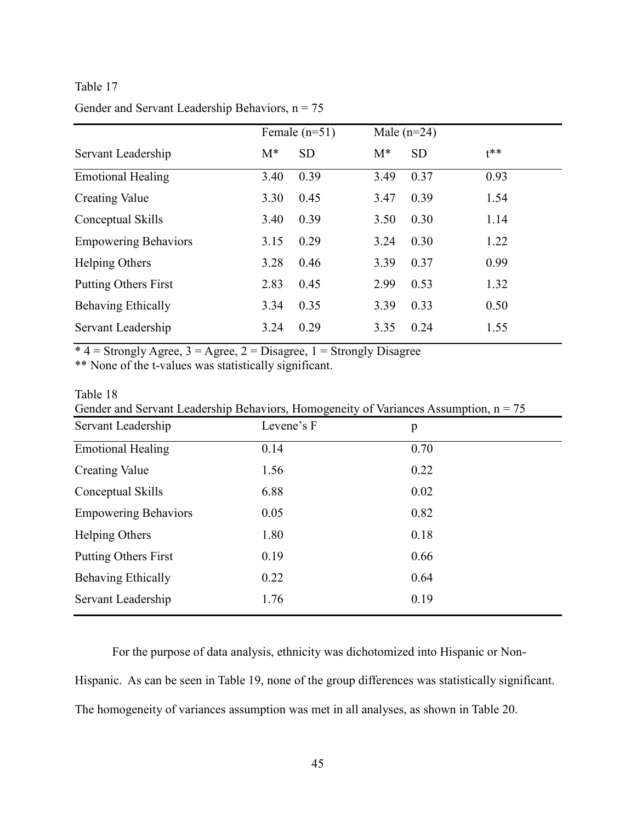# Gender and Servant Leadership Behaviors,  $n = 75$

|                             | Female $(n=51)$ |           | Male $(n=24)$ |           |       |
|-----------------------------|-----------------|-----------|---------------|-----------|-------|
| Servant Leadership          | $M^*$           | <b>SD</b> | $M^*$         | <b>SD</b> | $1**$ |
| <b>Emotional Healing</b>    | 3.40            | 0.39      | 3.49          | 0.37      | 0.93  |
| <b>Creating Value</b>       | 3.30            | 0.45      | 3.47          | 0.39      | 1.54  |
| Conceptual Skills           | 3.40            | 0.39      | 3.50          | 0.30      | 1.14  |
| <b>Empowering Behaviors</b> | 3.15            | 0.29      | 3.24          | 0.30      | 1.22  |
| Helping Others              | 3.28            | 0.46      | 3.39          | 0.37      | 0.99  |
| <b>Putting Others First</b> | 2.83            | 0.45      | 2.99          | 0.53      | 1.32  |
| <b>Behaving Ethically</b>   | 3.34            | 0.35      | 3.39          | 0.33      | 0.50  |
| Servant Leadership          | 3.24            | 0.29      | 3.35          | 0.24      | 1.55  |

 $*$  4 = Strongly Agree, 3 = Agree, 2 = Disagree, 1 = Strongly Disagree

\*\* None of the t-values was statistically significant.

### Table 18

| Gender and Servant Leadership Behaviors, Homogeneity of Variances Assumption, $n = 75$ |  |
|----------------------------------------------------------------------------------------|--|
|                                                                                        |  |

| Servant Leadership          | Levene's F | p    |
|-----------------------------|------------|------|
| <b>Emotional Healing</b>    | 0.14       | 0.70 |
| <b>Creating Value</b>       | 1.56       | 0.22 |
| Conceptual Skills           | 6.88       | 0.02 |
| <b>Empowering Behaviors</b> | 0.05       | 0.82 |
| <b>Helping Others</b>       | 1.80       | 0.18 |
| <b>Putting Others First</b> | 0.19       | 0.66 |
| Behaving Ethically          | 0.22       | 0.64 |
| Servant Leadership          | 1.76       | 0.19 |

For the purpose of data analysis, ethnicity was dichotomized into Hispanic or Non-

Hispanic. As can be seen in Table 19, none of the group differences was statistically significant.

The homogeneity of variances assumption was met in all analyses, as shown in Table 20.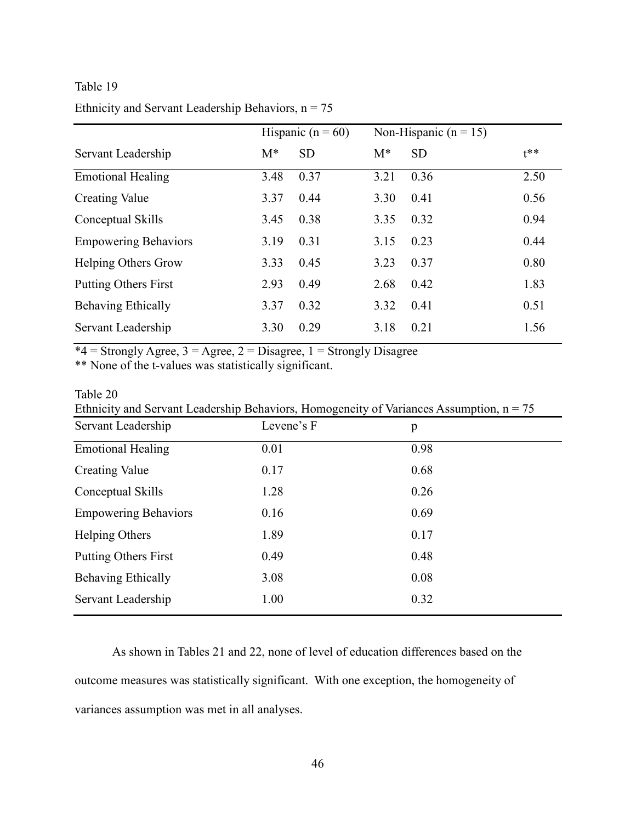# Ethnicity and Servant Leadership Behaviors,  $n = 75$

|                             | Hispanic ( $n = 60$ ) |           | Non-Hispanic ( $n = 15$ ) |           |        |
|-----------------------------|-----------------------|-----------|---------------------------|-----------|--------|
| Servant Leadership          | $M^*$                 | <b>SD</b> | $M^*$                     | <b>SD</b> | $t***$ |
| <b>Emotional Healing</b>    | 3.48                  | 0.37      | 3.21                      | 0.36      | 2.50   |
| <b>Creating Value</b>       | 3.37                  | 0.44      | 3.30                      | 0.41      | 0.56   |
| Conceptual Skills           | 3.45                  | 0.38      | 3.35                      | 0.32      | 0.94   |
| <b>Empowering Behaviors</b> | 3.19                  | 0.31      | 3.15                      | 0.23      | 0.44   |
| <b>Helping Others Grow</b>  | 3.33                  | 0.45      | 3.23                      | 0.37      | 0.80   |
| <b>Putting Others First</b> | 2.93                  | 0.49      | 2.68                      | 0.42      | 1.83   |
| <b>Behaving Ethically</b>   | 3.37                  | 0.32      | 3.32                      | 0.41      | 0.51   |
| Servant Leadership          | 3.30                  | 0.29      | 3.18                      | 0.21      | 1.56   |

 $*4 =$  Strongly Agree,  $3 =$  Agree,  $2 =$  Disagree,  $1 =$  Strongly Disagree

\*\* None of the t-values was statistically significant.

### Table 20

|  |  | Ethnicity and Servant Leadership Behaviors, Homogeneity of Variances Assumption, $n = 75$ |  |
|--|--|-------------------------------------------------------------------------------------------|--|
|  |  |                                                                                           |  |

| Servant Leadership          | Levene's F | p    |
|-----------------------------|------------|------|
| <b>Emotional Healing</b>    | 0.01       | 0.98 |
| <b>Creating Value</b>       | 0.17       | 0.68 |
| Conceptual Skills           | 1.28       | 0.26 |
| <b>Empowering Behaviors</b> | 0.16       | 0.69 |
| <b>Helping Others</b>       | 1.89       | 0.17 |
| <b>Putting Others First</b> | 0.49       | 0.48 |
| Behaving Ethically          | 3.08       | 0.08 |
| Servant Leadership          | 1.00       | 0.32 |

As shown in Tables 21 and 22, none of level of education differences based on the outcome measures was statistically significant. With one exception, the homogeneity of variances assumption was met in all analyses.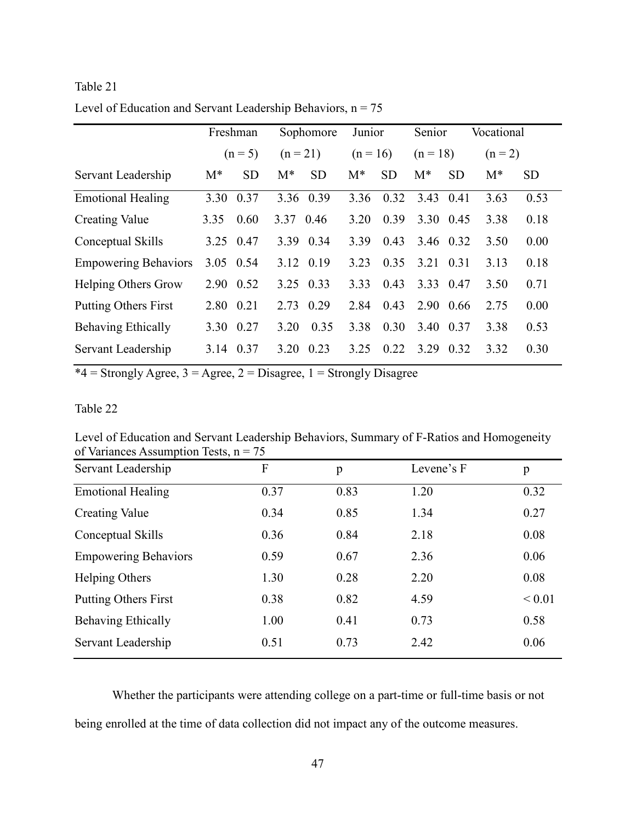# Table 21 Level of Education and Servant Leadership Behaviors,  $n = 75$

|                             |           | Freshman  | Sophomore  |           | Junior     |           | Senior     |           | Vocational |           |
|-----------------------------|-----------|-----------|------------|-----------|------------|-----------|------------|-----------|------------|-----------|
|                             |           | $(n = 5)$ | $(n = 21)$ |           | $(n = 16)$ |           | $(n = 18)$ |           | $(n = 2)$  |           |
| Servant Leadership          | $M^*$     | <b>SD</b> | $M^*$      | <b>SD</b> | $M^*$      | <b>SD</b> | $M^*$      | <b>SD</b> | $M^*$      | <b>SD</b> |
| <b>Emotional Healing</b>    | 3.30      | 0.37      |            | 3.36 0.39 | 3.36       | 0.32      | 3.43       | 0.41      | 3.63       | 0.53      |
| <b>Creating Value</b>       | 3.35      | 0.60      | 3.37       | 0.46      | 3.20       | 0.39      | 3.30 0.45  |           | 3.38       | 0.18      |
| Conceptual Skills           | 3.25 0.47 |           | 3.39       | 0.34      | 3.39       | 0.43      | 3.46 0.32  |           | 3.50       | 0.00      |
| <b>Empowering Behaviors</b> | 3.05 0.54 |           |            | 3.12 0.19 | 3.23       | 0.35      | 3.21       | 0.31      | 3.13       | 0.18      |
| <b>Helping Others Grow</b>  | 2.90 0.52 |           |            | 3.25 0.33 | 333        | 0.43      | 3.33 0.47  |           | 3.50       | 0.71      |
| <b>Putting Others First</b> | 2.80      | 0.21      | 2.73       | 0.29      | 2.84       | 0.43      | 2.90       | 0.66      | 2.75       | 0.00      |
| <b>Behaving Ethically</b>   | 3.30      | 0.27      | 3.20       | 0.35      | 3.38       | 0.30      | 3.40       | 0.37      | 3.38       | 0.53      |
| Servant Leadership          | 3.14 0.37 |           | 3.20       | 0.23      | 3 25       | 0.22      | 3.29       | 0.32      | 3.32       | 0.30      |

 $*4 =$  Strongly Agree, 3 = Agree, 2 = Disagree, 1 = Strongly Disagree

# Table 22

Level of Education and Servant Leadership Behaviors, Summary of F-Ratios and Homogeneity of Variances Assumption Tests,  $n = 75$ 

| Servant Leadership          | F    | p    | Levene's F | p           |
|-----------------------------|------|------|------------|-------------|
| <b>Emotional Healing</b>    | 0.37 | 0.83 | 1.20       | 0.32        |
| <b>Creating Value</b>       | 0.34 | 0.85 | 1.34       | 0.27        |
| Conceptual Skills           | 0.36 | 0.84 | 2.18       | 0.08        |
| <b>Empowering Behaviors</b> | 0.59 | 0.67 | 2.36       | 0.06        |
| Helping Others              | 1.30 | 0.28 | 2.20       | 0.08        |
| <b>Putting Others First</b> | 0.38 | 0.82 | 4.59       | ${}_{0.01}$ |
| Behaving Ethically          | 1.00 | 0.41 | 0.73       | 0.58        |
| Servant Leadership          | 0.51 | 0.73 | 2.42       | 0.06        |

Whether the participants were attending college on a part-time or full-time basis or not being enrolled at the time of data collection did not impact any of the outcome measures.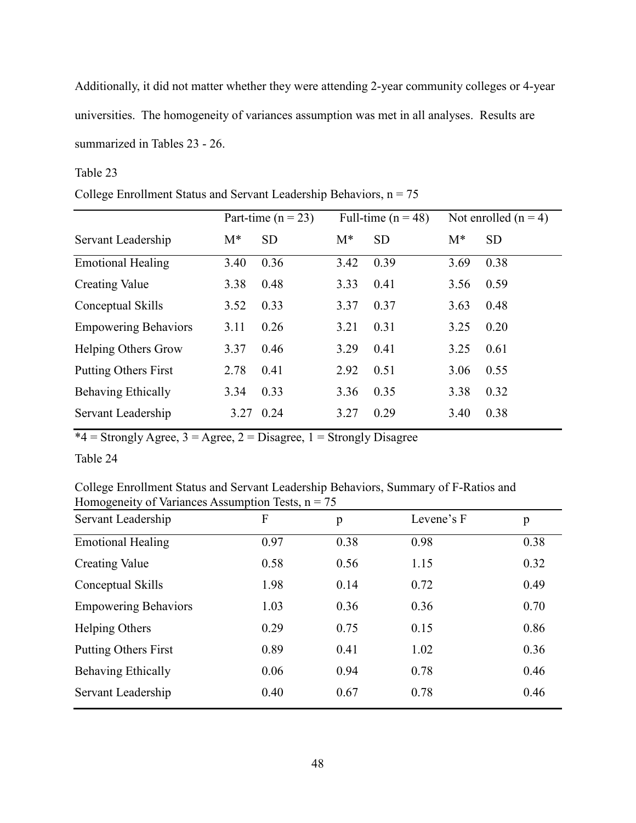Additionally, it did not matter whether they were attending 2-year community colleges or 4-year universities. The homogeneity of variances assumption was met in all analyses. Results are summarized in Tables 23 - 26.

# Table 23

College Enrollment Status and Servant Leadership Behaviors,  $n = 75$ 

|                             |       | Part-time ( $n = 23$ ) | Full-time $(n = 48)$ |           | Not enrolled $(n = 4)$ |           |
|-----------------------------|-------|------------------------|----------------------|-----------|------------------------|-----------|
| Servant Leadership          | $M^*$ | <b>SD</b>              | $M^*$                | <b>SD</b> | $M^*$                  | <b>SD</b> |
| <b>Emotional Healing</b>    | 3.40  | 0.36                   | 3.42                 | 0.39      | 3.69                   | 0.38      |
| <b>Creating Value</b>       | 3.38  | 0.48                   | 3.33                 | 0.41      | 3.56                   | 0.59      |
| Conceptual Skills           | 3.52  | 0.33                   | 3.37                 | 0.37      | 3.63                   | 0.48      |
| <b>Empowering Behaviors</b> | 3.11  | 0.26                   | 3.21                 | 0.31      | 3.25                   | 0.20      |
| <b>Helping Others Grow</b>  | 3.37  | 0.46                   | 3.29                 | 0.41      | 3.25                   | 0.61      |
| <b>Putting Others First</b> | 2.78  | 0.41                   | 2.92                 | 0.51      | 3.06                   | 0.55      |
| <b>Behaving Ethically</b>   | 3.34  | 0.33                   | 3.36                 | 0.35      | 3.38                   | 0.32      |
| Servant Leadership          | 3.27  | 0.24                   | 3.27                 | 0.29      | 3.40                   | 0.38      |

 $*4 =$  Strongly Agree,  $3 =$  Agree,  $2 =$  Disagree,  $1 =$  Strongly Disagree

Table 24

College Enrollment Status and Servant Leadership Behaviors, Summary of F-Ratios and Homogeneity of Variances Assumption Tests,  $n = 75$ 

| Servant Leadership          | F    | p    | Levene's F | p    |
|-----------------------------|------|------|------------|------|
| <b>Emotional Healing</b>    | 0.97 | 0.38 | 0.98       | 0.38 |
| <b>Creating Value</b>       | 0.58 | 0.56 | 1.15       | 0.32 |
| Conceptual Skills           | 1.98 | 0.14 | 0.72       | 0.49 |
| <b>Empowering Behaviors</b> | 1.03 | 0.36 | 0.36       | 0.70 |
| Helping Others              | 0.29 | 0.75 | 0.15       | 0.86 |
| <b>Putting Others First</b> | 0.89 | 0.41 | 1.02       | 0.36 |
| <b>Behaving Ethically</b>   | 0.06 | 0.94 | 0.78       | 0.46 |
| Servant Leadership          | 0.40 | 0.67 | 0.78       | 0.46 |
|                             |      |      |            |      |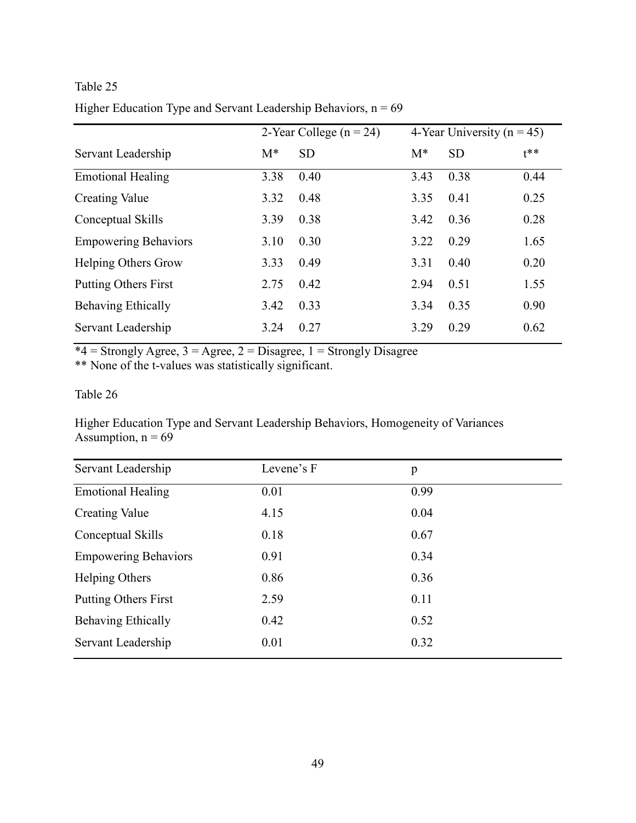# Higher Education Type and Servant Leadership Behaviors,  $n = 69$

|                             | 2-Year College $(n = 24)$ |           | 4-Year University ( $n = 45$ ) |           |        |
|-----------------------------|---------------------------|-----------|--------------------------------|-----------|--------|
| Servant Leadership          | $M^*$                     | <b>SD</b> | $M^*$                          | <b>SD</b> | $t***$ |
| <b>Emotional Healing</b>    | 3.38                      | 0.40      | 3.43                           | 0.38      | 0.44   |
| <b>Creating Value</b>       | 3.32                      | 0.48      | 3.35                           | 0.41      | 0.25   |
| Conceptual Skills           | 3.39                      | 0.38      | 3.42                           | 0.36      | 0.28   |
| <b>Empowering Behaviors</b> | 3.10                      | 0.30      | 3.22                           | 0.29      | 1.65   |
| <b>Helping Others Grow</b>  | 3.33                      | 0.49      | 3.31                           | 0.40      | 0.20   |
| <b>Putting Others First</b> | 2.75                      | 0.42      | 2.94                           | 0.51      | 1.55   |
| Behaving Ethically          | 3.42                      | 0.33      | 3.34                           | 0.35      | 0.90   |
| Servant Leadership          | 3.24                      | 0.27      | 3.29                           | 0.29      | 0.62   |

 $*4 =$  Strongly Agree, 3 = Agree, 2 = Disagree, 1 = Strongly Disagree

\*\* None of the t-values was statistically significant.

# Table 26

Higher Education Type and Servant Leadership Behaviors, Homogeneity of Variances Assumption,  $n = 69$ 

| Servant Leadership          | Levene's F | p    |
|-----------------------------|------------|------|
| <b>Emotional Healing</b>    | 0.01       | 0.99 |
| <b>Creating Value</b>       | 4.15       | 0.04 |
| Conceptual Skills           | 0.18       | 0.67 |
| <b>Empowering Behaviors</b> | 0.91       | 0.34 |
| Helping Others              | 0.86       | 0.36 |
| <b>Putting Others First</b> | 2.59       | 0.11 |
| Behaving Ethically          | 0.42       | 0.52 |
| Servant Leadership          | 0.01       | 0.32 |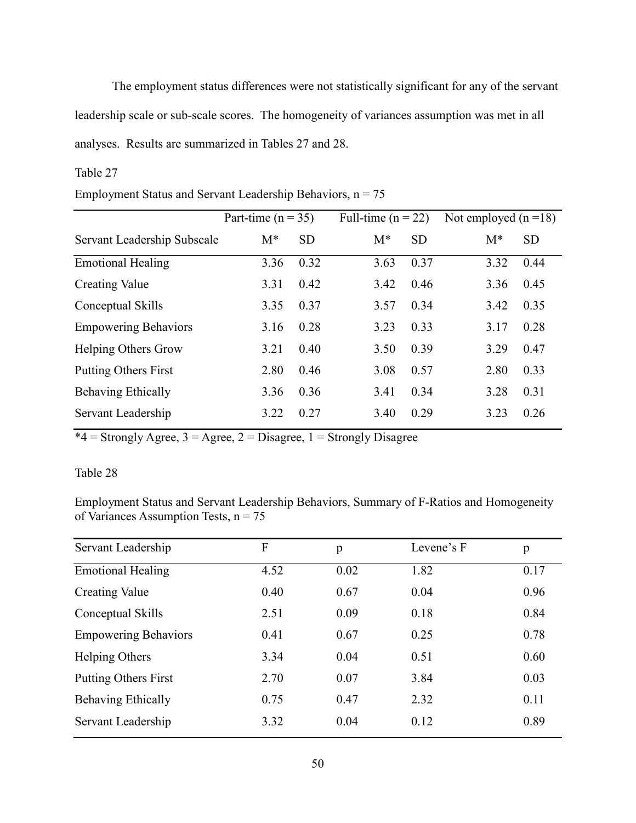The employment status differences were not statistically significant for any of the servant leadership scale or sub-scale scores. The homogeneity of variances assumption was met in all analyses. Results are summarized in Tables 27 and 28.

# Table 27

|                             | Part-time ( $n = 35$ ) |           |       | Full-time ( $n = 22$ ) |       | Not employed $(n=18)$ |
|-----------------------------|------------------------|-----------|-------|------------------------|-------|-----------------------|
| Servant Leadership Subscale | $M^*$                  | <b>SD</b> | $M^*$ | <b>SD</b>              | $M^*$ | <b>SD</b>             |
| <b>Emotional Healing</b>    | 3.36                   | 0.32      | 3.63  | 0.37                   | 3.32  | 0.44                  |
| Creating Value              | 3.31                   | 0.42      | 3.42  | 0.46                   | 3.36  | 0.45                  |
| Conceptual Skills           | 3.35                   | 0.37      | 3.57  | 0.34                   | 3.42  | 0.35                  |
| <b>Empowering Behaviors</b> | 3.16                   | 0.28      | 3.23  | 0.33                   | 3.17  | 0.28                  |
| <b>Helping Others Grow</b>  | 3.21                   | 0.40      | 3.50  | 0.39                   | 3.29  | 0.47                  |
| <b>Putting Others First</b> | 2.80                   | 0.46      | 3.08  | 0.57                   | 2.80  | 0.33                  |
| <b>Behaving Ethically</b>   | 3.36                   | 0.36      | 3.41  | 0.34                   | 3.28  | 0.31                  |
| Servant Leadership          | 3.22                   | 0.27      | 3.40  | 0.29                   | 3.23  | 0.26                  |

# Employment Status and Servant Leadership Behaviors,  $n = 75$

 $*4 =$  Strongly Agree,  $3 =$  Agree,  $2 =$  Disagree,  $1 =$  Strongly Disagree

# Table 28

Employment Status and Servant Leadership Behaviors, Summary of F-Ratios and Homogeneity of Variances Assumption Tests,  $n = 75$ 

| Servant Leadership          | F    | p    | Levene's F | p    |
|-----------------------------|------|------|------------|------|
| <b>Emotional Healing</b>    | 4.52 | 0.02 | 1.82       | 0.17 |
| <b>Creating Value</b>       | 0.40 | 0.67 | 0.04       | 0.96 |
| Conceptual Skills           | 2.51 | 0.09 | 0.18       | 0.84 |
| <b>Empowering Behaviors</b> | 0.41 | 0.67 | 0.25       | 0.78 |
| Helping Others              | 3.34 | 0.04 | 0.51       | 0.60 |
| <b>Putting Others First</b> | 2.70 | 0.07 | 3.84       | 0.03 |
| <b>Behaving Ethically</b>   | 0.75 | 0.47 | 2.32       | 0.11 |
| Servant Leadership          | 3.32 | 0.04 | 0.12       | 0.89 |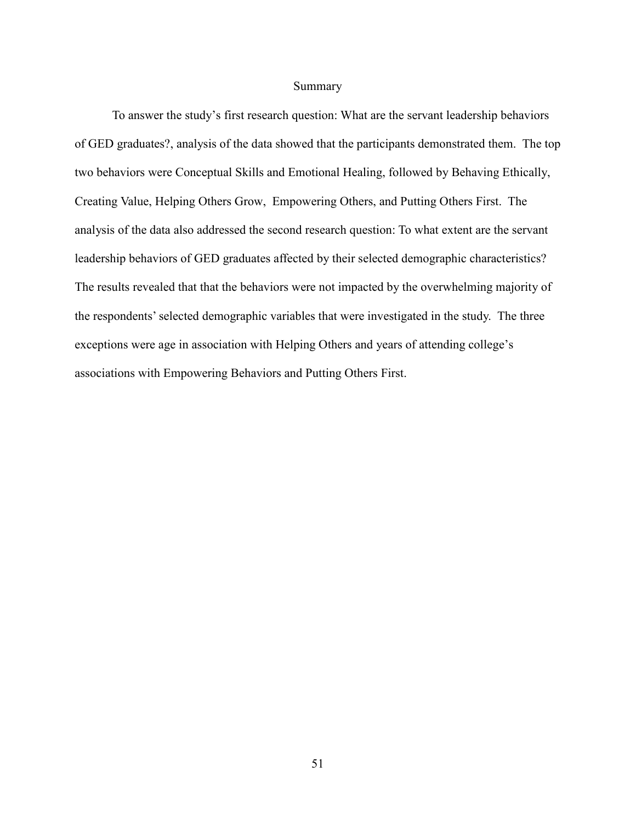## Summary

To answer the study's first research question: What are the servant leadership behaviors of GED graduates?, analysis of the data showed that the participants demonstrated them. The top two behaviors were Conceptual Skills and Emotional Healing, followed by Behaving Ethically, Creating Value, Helping Others Grow, Empowering Others, and Putting Others First. The analysis of the data also addressed the second research question: To what extent are the servant leadership behaviors of GED graduates affected by their selected demographic characteristics? The results revealed that that the behaviors were not impacted by the overwhelming majority of the respondents' selected demographic variables that were investigated in the study. The three exceptions were age in association with Helping Others and years of attending college's associations with Empowering Behaviors and Putting Others First.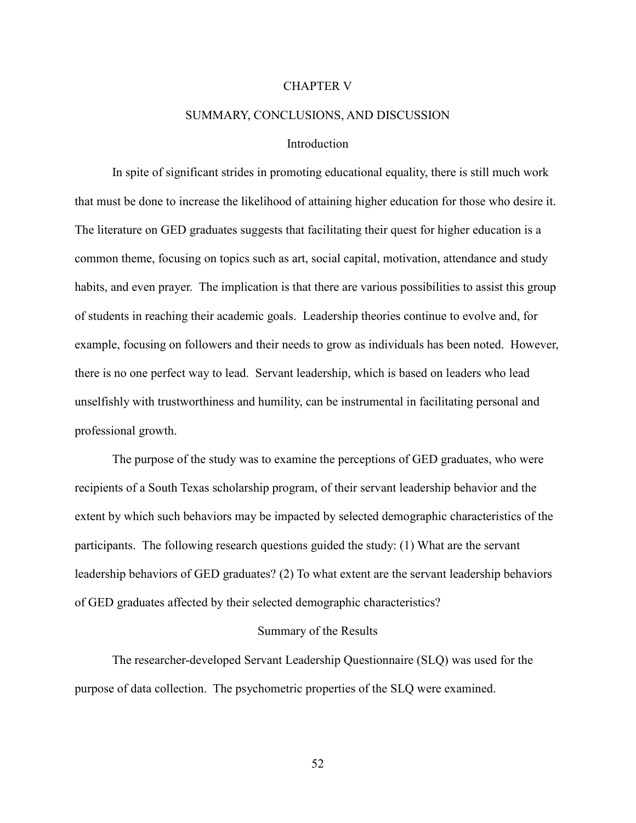#### CHAPTER V

## SUMMARY, CONCLUSIONS, AND DISCUSSION

## Introduction

In spite of significant strides in promoting educational equality, there is still much work that must be done to increase the likelihood of attaining higher education for those who desire it. The literature on GED graduates suggests that facilitating their quest for higher education is a common theme, focusing on topics such as art, social capital, motivation, attendance and study habits, and even prayer. The implication is that there are various possibilities to assist this group of students in reaching their academic goals. Leadership theories continue to evolve and, for example, focusing on followers and their needs to grow as individuals has been noted. However, there is no one perfect way to lead. Servant leadership, which is based on leaders who lead unselfishly with trustworthiness and humility, can be instrumental in facilitating personal and professional growth.

The purpose of the study was to examine the perceptions of GED graduates, who were recipients of a South Texas scholarship program, of their servant leadership behavior and the extent by which such behaviors may be impacted by selected demographic characteristics of the participants. The following research questions guided the study: (1) What are the servant leadership behaviors of GED graduates? (2) To what extent are the servant leadership behaviors of GED graduates affected by their selected demographic characteristics?

## Summary of the Results

The researcher-developed Servant Leadership Questionnaire (SLQ) was used for the purpose of data collection. The psychometric properties of the SLQ were examined.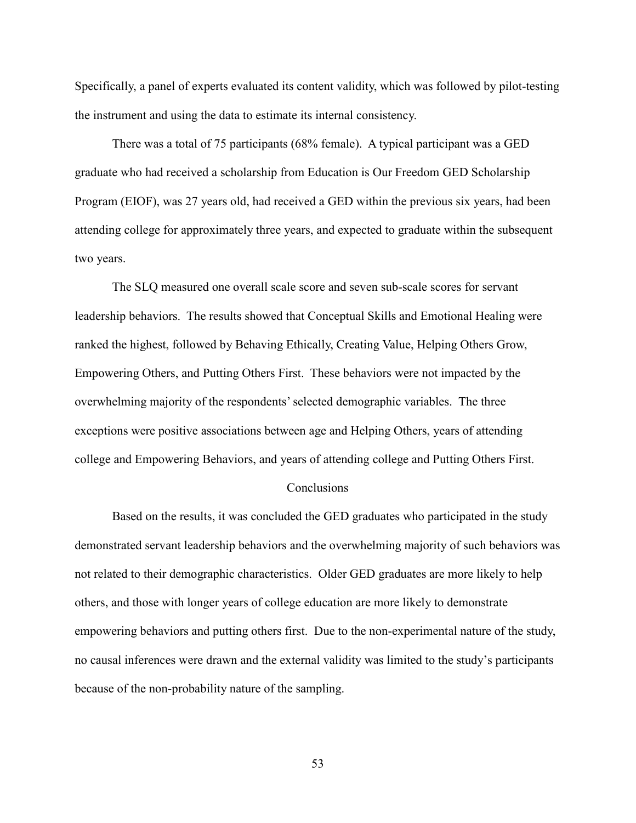Specifically, a panel of experts evaluated its content validity, which was followed by pilot-testing the instrument and using the data to estimate its internal consistency.

There was a total of 75 participants (68% female). A typical participant was a GED graduate who had received a scholarship from Education is Our Freedom GED Scholarship Program (EIOF), was 27 years old, had received a GED within the previous six years, had been attending college for approximately three years, and expected to graduate within the subsequent two years.

The SLQ measured one overall scale score and seven sub-scale scores for servant leadership behaviors. The results showed that Conceptual Skills and Emotional Healing were ranked the highest, followed by Behaving Ethically, Creating Value, Helping Others Grow, Empowering Others, and Putting Others First. These behaviors were not impacted by the overwhelming majority of the respondents' selected demographic variables. The three exceptions were positive associations between age and Helping Others, years of attending college and Empowering Behaviors, and years of attending college and Putting Others First.

## **Conclusions**

Based on the results, it was concluded the GED graduates who participated in the study demonstrated servant leadership behaviors and the overwhelming majority of such behaviors was not related to their demographic characteristics. Older GED graduates are more likely to help others, and those with longer years of college education are more likely to demonstrate empowering behaviors and putting others first. Due to the non-experimental nature of the study, no causal inferences were drawn and the external validity was limited to the study's participants because of the non-probability nature of the sampling.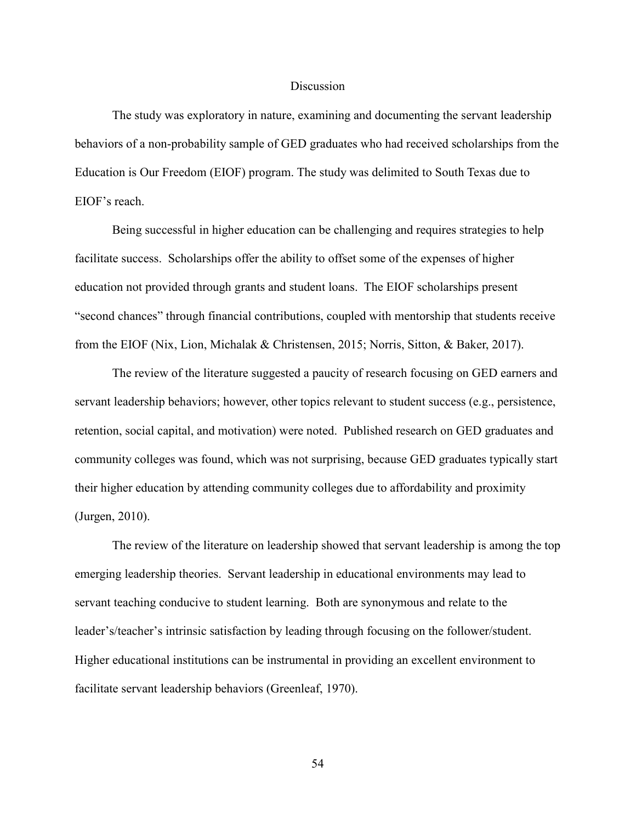## Discussion

The study was exploratory in nature, examining and documenting the servant leadership behaviors of a non-probability sample of GED graduates who had received scholarships from the Education is Our Freedom (EIOF) program. The study was delimited to South Texas due to EIOF's reach.

Being successful in higher education can be challenging and requires strategies to help facilitate success. Scholarships offer the ability to offset some of the expenses of higher education not provided through grants and student loans. The EIOF scholarships present "second chances" through financial contributions, coupled with mentorship that students receive from the EIOF (Nix, Lion, Michalak & Christensen, 2015; Norris, Sitton, & Baker, 2017).

The review of the literature suggested a paucity of research focusing on GED earners and servant leadership behaviors; however, other topics relevant to student success (e.g., persistence, retention, social capital, and motivation) were noted. Published research on GED graduates and community colleges was found, which was not surprising, because GED graduates typically start their higher education by attending community colleges due to affordability and proximity (Jurgen, 2010).

The review of the literature on leadership showed that servant leadership is among the top emerging leadership theories. Servant leadership in educational environments may lead to servant teaching conducive to student learning. Both are synonymous and relate to the leader's/teacher's intrinsic satisfaction by leading through focusing on the follower/student. Higher educational institutions can be instrumental in providing an excellent environment to facilitate servant leadership behaviors (Greenleaf, 1970).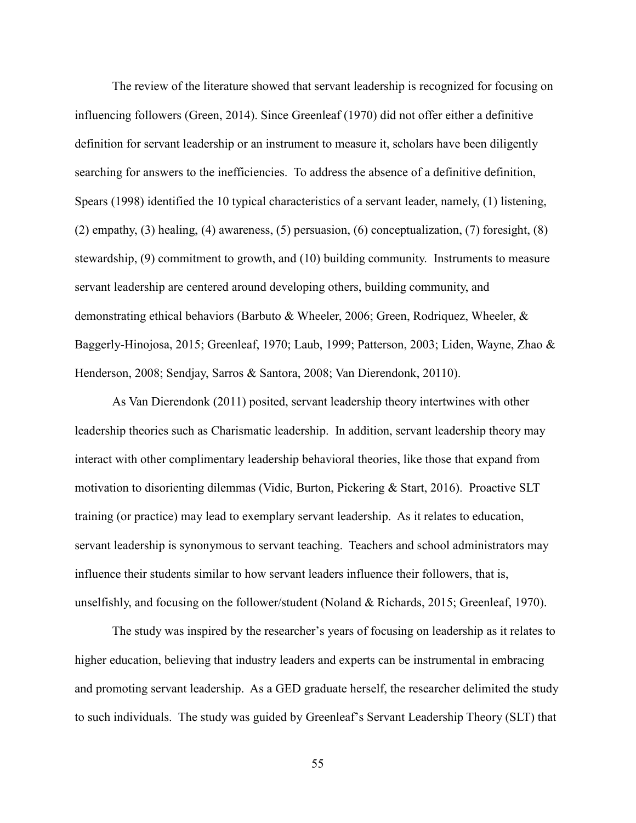The review of the literature showed that servant leadership is recognized for focusing on influencing followers (Green, 2014). Since Greenleaf (1970) did not offer either a definitive definition for servant leadership or an instrument to measure it, scholars have been diligently searching for answers to the inefficiencies. To address the absence of a definitive definition, Spears (1998) identified the 10 typical characteristics of a servant leader, namely, (1) listening, (2) empathy, (3) healing, (4) awareness, (5) persuasion, (6) conceptualization, (7) foresight, (8) stewardship, (9) commitment to growth, and (10) building community. Instruments to measure servant leadership are centered around developing others, building community, and demonstrating ethical behaviors (Barbuto & Wheeler, 2006; Green, Rodriquez, Wheeler, & Baggerly-Hinojosa, 2015; Greenleaf, 1970; Laub, 1999; Patterson, 2003; Liden, Wayne, Zhao & Henderson, 2008; Sendjay, Sarros & Santora, 2008; Van Dierendonk, 20110).

As Van Dierendonk (2011) posited, servant leadership theory intertwines with other leadership theories such as Charismatic leadership. In addition, servant leadership theory may interact with other complimentary leadership behavioral theories, like those that expand from motivation to disorienting dilemmas (Vidic, Burton, Pickering & Start, 2016). Proactive SLT training (or practice) may lead to exemplary servant leadership. As it relates to education, servant leadership is synonymous to servant teaching. Teachers and school administrators may influence their students similar to how servant leaders influence their followers, that is, unselfishly, and focusing on the follower/student (Noland & Richards, 2015; Greenleaf, 1970).

The study was inspired by the researcher's years of focusing on leadership as it relates to higher education, believing that industry leaders and experts can be instrumental in embracing and promoting servant leadership. As a GED graduate herself, the researcher delimited the study to such individuals. The study was guided by Greenleaf's Servant Leadership Theory (SLT) that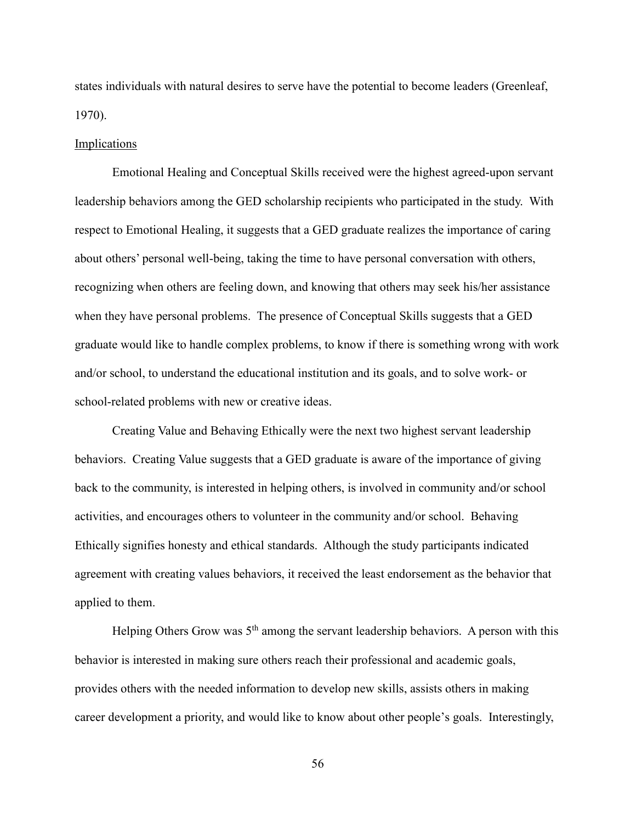states individuals with natural desires to serve have the potential to become leaders (Greenleaf, 1970).

#### Implications

Emotional Healing and Conceptual Skills received were the highest agreed-upon servant leadership behaviors among the GED scholarship recipients who participated in the study. With respect to Emotional Healing, it suggests that a GED graduate realizes the importance of caring about others' personal well-being, taking the time to have personal conversation with others, recognizing when others are feeling down, and knowing that others may seek his/her assistance when they have personal problems. The presence of Conceptual Skills suggests that a GED graduate would like to handle complex problems, to know if there is something wrong with work and/or school, to understand the educational institution and its goals, and to solve work- or school-related problems with new or creative ideas.

Creating Value and Behaving Ethically were the next two highest servant leadership behaviors. Creating Value suggests that a GED graduate is aware of the importance of giving back to the community, is interested in helping others, is involved in community and/or school activities, and encourages others to volunteer in the community and/or school. Behaving Ethically signifies honesty and ethical standards. Although the study participants indicated agreement with creating values behaviors, it received the least endorsement as the behavior that applied to them.

Helping Others Grow was  $5<sup>th</sup>$  among the servant leadership behaviors. A person with this behavior is interested in making sure others reach their professional and academic goals, provides others with the needed information to develop new skills, assists others in making career development a priority, and would like to know about other people's goals. Interestingly,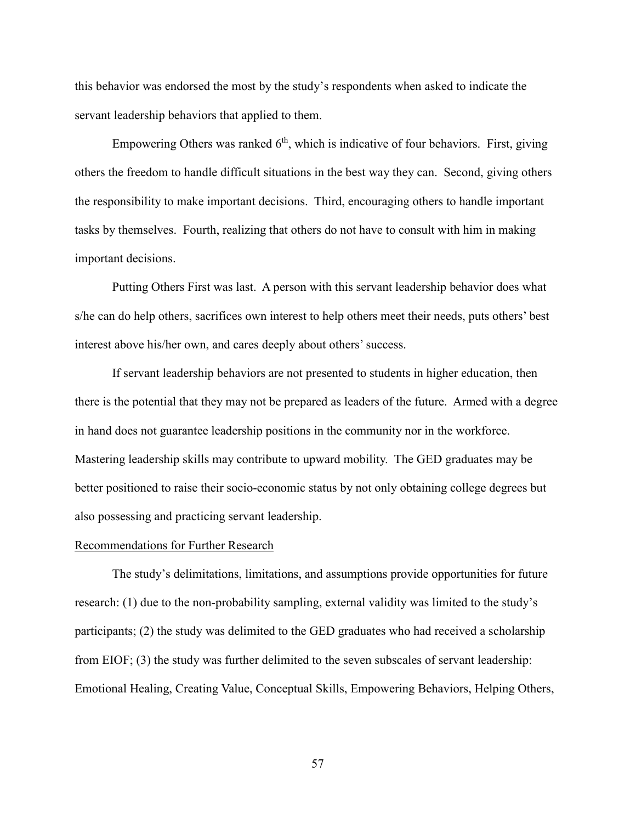this behavior was endorsed the most by the study's respondents when asked to indicate the servant leadership behaviors that applied to them.

Empowering Others was ranked  $6<sup>th</sup>$ , which is indicative of four behaviors. First, giving others the freedom to handle difficult situations in the best way they can. Second, giving others the responsibility to make important decisions. Third, encouraging others to handle important tasks by themselves. Fourth, realizing that others do not have to consult with him in making important decisions.

Putting Others First was last. A person with this servant leadership behavior does what s/he can do help others, sacrifices own interest to help others meet their needs, puts others' best interest above his/her own, and cares deeply about others' success.

If servant leadership behaviors are not presented to students in higher education, then there is the potential that they may not be prepared as leaders of the future. Armed with a degree in hand does not guarantee leadership positions in the community nor in the workforce. Mastering leadership skills may contribute to upward mobility. The GED graduates may be better positioned to raise their socio-economic status by not only obtaining college degrees but also possessing and practicing servant leadership.

## Recommendations for Further Research

The study's delimitations, limitations, and assumptions provide opportunities for future research: (1) due to the non-probability sampling, external validity was limited to the study's participants; (2) the study was delimited to the GED graduates who had received a scholarship from EIOF; (3) the study was further delimited to the seven subscales of servant leadership: Emotional Healing, Creating Value, Conceptual Skills, Empowering Behaviors, Helping Others,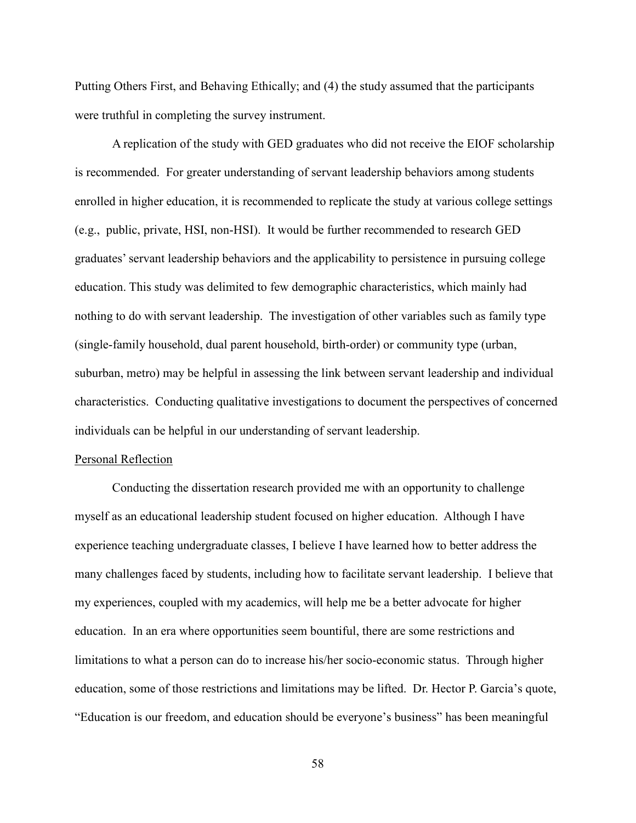Putting Others First, and Behaving Ethically; and (4) the study assumed that the participants were truthful in completing the survey instrument.

A replication of the study with GED graduates who did not receive the EIOF scholarship is recommended. For greater understanding of servant leadership behaviors among students enrolled in higher education, it is recommended to replicate the study at various college settings (e.g., public, private, HSI, non-HSI). It would be further recommended to research GED graduates' servant leadership behaviors and the applicability to persistence in pursuing college education. This study was delimited to few demographic characteristics, which mainly had nothing to do with servant leadership. The investigation of other variables such as family type (single-family household, dual parent household, birth-order) or community type (urban, suburban, metro) may be helpful in assessing the link between servant leadership and individual characteristics. Conducting qualitative investigations to document the perspectives of concerned individuals can be helpful in our understanding of servant leadership.

#### Personal Reflection

Conducting the dissertation research provided me with an opportunity to challenge myself as an educational leadership student focused on higher education. Although I have experience teaching undergraduate classes, I believe I have learned how to better address the many challenges faced by students, including how to facilitate servant leadership. I believe that my experiences, coupled with my academics, will help me be a better advocate for higher education. In an era where opportunities seem bountiful, there are some restrictions and limitations to what a person can do to increase his/her socio-economic status. Through higher education, some of those restrictions and limitations may be lifted. Dr. Hector P. Garcia's quote, "Education is our freedom, and education should be everyone's business" has been meaningful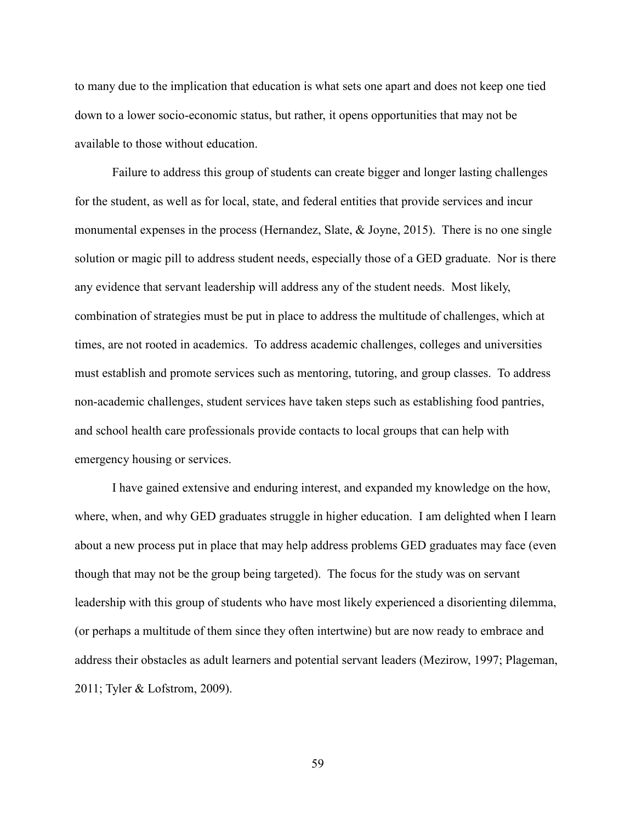to many due to the implication that education is what sets one apart and does not keep one tied down to a lower socio-economic status, but rather, it opens opportunities that may not be available to those without education.

Failure to address this group of students can create bigger and longer lasting challenges for the student, as well as for local, state, and federal entities that provide services and incur monumental expenses in the process (Hernandez, Slate, & Joyne, 2015). There is no one single solution or magic pill to address student needs, especially those of a GED graduate. Nor is there any evidence that servant leadership will address any of the student needs. Most likely, combination of strategies must be put in place to address the multitude of challenges, which at times, are not rooted in academics. To address academic challenges, colleges and universities must establish and promote services such as mentoring, tutoring, and group classes. To address non-academic challenges, student services have taken steps such as establishing food pantries, and school health care professionals provide contacts to local groups that can help with emergency housing or services.

I have gained extensive and enduring interest, and expanded my knowledge on the how, where, when, and why GED graduates struggle in higher education. I am delighted when I learn about a new process put in place that may help address problems GED graduates may face (even though that may not be the group being targeted). The focus for the study was on servant leadership with this group of students who have most likely experienced a disorienting dilemma, (or perhaps a multitude of them since they often intertwine) but are now ready to embrace and address their obstacles as adult learners and potential servant leaders (Mezirow, 1997; Plageman, 2011; Tyler & Lofstrom, 2009).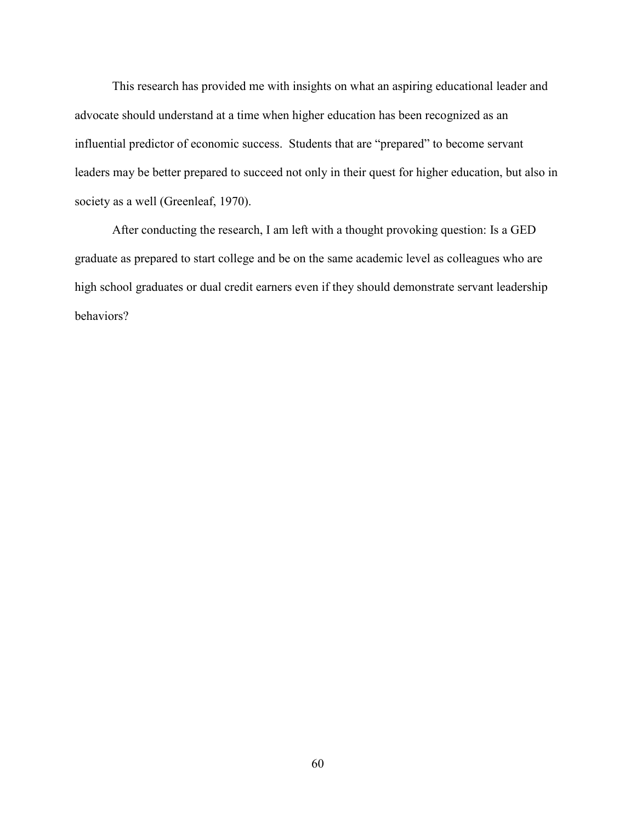This research has provided me with insights on what an aspiring educational leader and advocate should understand at a time when higher education has been recognized as an influential predictor of economic success. Students that are "prepared" to become servant leaders may be better prepared to succeed not only in their quest for higher education, but also in society as a well (Greenleaf, 1970).

After conducting the research, I am left with a thought provoking question: Is a GED graduate as prepared to start college and be on the same academic level as colleagues who are high school graduates or dual credit earners even if they should demonstrate servant leadership behaviors?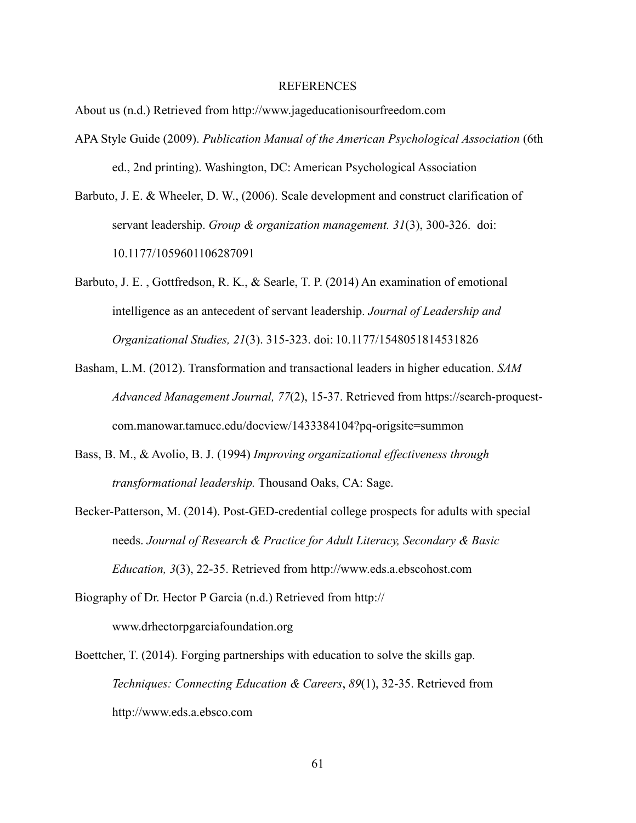#### REFERENCES

About us (n.d.) Retrieved from http://www.jageducationisourfreedom.com

- APA Style Guide (2009). *Publication Manual of the American Psychological Association* (6th ed., 2nd printing). Washington, DC: American Psychological Association
- Barbuto, J. E. & Wheeler, D. W., (2006). Scale development and construct clarification of servant leadership. *Group & organization management. 31*(3), 300-326. doi: 10.1177/1059601106287091
- Barbuto, J. E. , Gottfredson, R. K., & Searle, T. P. (2014) An examination of emotional intelligence as an antecedent of servant leadership. *Journal of Leadership and Organizational Studies, 21*(3). 315-323. doi: 10.1177/1548051814531826
- Basham, L.M. (2012). Transformation and transactional leaders in higher education. *SAM Advanced Management Journal, 77*(2), 15-37. Retrieved from https://search-proquestcom.manowar.tamucc.edu/docview/1433384104?pq-origsite=summon
- Bass, B. M., & Avolio, B. J. (1994) *Improving organizational effectiveness through transformational leadership.* Thousand Oaks, CA: Sage.
- Becker-Patterson, M. (2014). Post-GED-credential college prospects for adults with special needs. *Journal of Research & Practice for Adult Literacy, Secondary & Basic Education, 3*(3), 22-35. Retrieved from http://www.eds.a.ebscohost.com
- Biography of Dr. Hector P Garcia (n.d.) Retrieved from http:// www.drhectorpgarciafoundation.org
- Boettcher, T. (2014). Forging partnerships with education to solve the skills gap. *Techniques: Connecting Education & Careers*, *89*(1), 32-35. Retrieved from http://www.eds.a.ebsco.com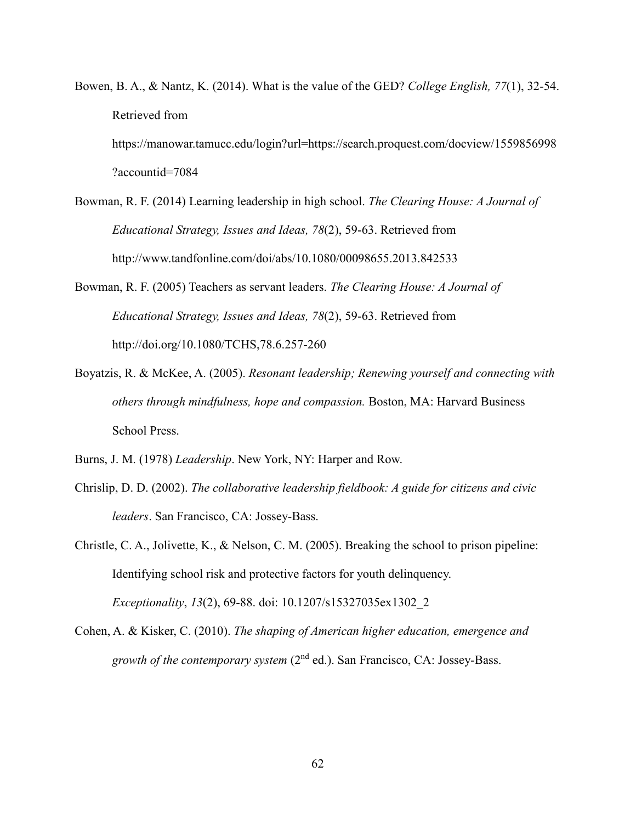- Bowen, B. A., & Nantz, K. (2014). What is the value of the GED? *College English, 77*(1), 32-54. Retrieved from https://manowar.tamucc.edu/login?url=https://search.proquest.com/docview/1559856998 ?accountid=7084
- Bowman, R. F. (2014) Learning leadership in high school. *The Clearing House: A Journal of Educational Strategy, Issues and Ideas, 78*(2), 59-63. Retrieved from http://www.tandfonline.com/doi/abs/10.1080/00098655.2013.842533
- Bowman, R. F. (2005) Teachers as servant leaders. *The Clearing House: A Journal of Educational Strategy, Issues and Ideas, 78*(2), 59-63. Retrieved from http://doi.org/10.1080/TCHS,78.6.257-260
- Boyatzis, R. & McKee, A. (2005). *Resonant leadership; Renewing yourself and connecting with others through mindfulness, hope and compassion.* Boston, MA: Harvard Business School Press.
- Burns, J. M. (1978) *Leadership*. New York, NY: Harper and Row.
- Chrislip, D. D. (2002). *The collaborative leadership fieldbook: A guide for citizens and civic leaders*. San Francisco, CA: Jossey-Bass.
- Christle, C. A., Jolivette, K., & Nelson, C. M. (2005). Breaking the school to prison pipeline: Identifying school risk and protective factors for youth delinquency. *Exceptionality*, *13*(2), 69-88. doi: 10.1207/s15327035ex1302\_2
- Cohen, A. & Kisker, C. (2010). *The shaping of American higher education, emergence and growth of the contemporary system* (2nd ed.). San Francisco, CA: Jossey-Bass.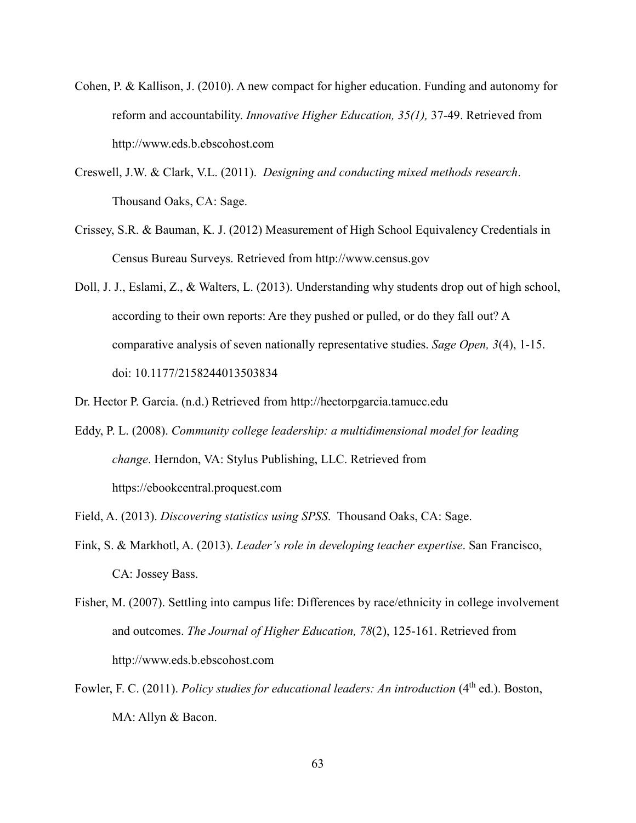- Cohen, P. & Kallison, J. (2010). A new compact for higher education. Funding and autonomy for reform and accountability. *Innovative Higher Education, 35(1),* 37-49. Retrieved from http://www.eds.b.ebscohost.com
- Creswell, J.W. & Clark, V.L. (2011). *Designing and conducting mixed methods research*. Thousand Oaks, CA: Sage.
- Crissey, S.R. & Bauman, K. J. (2012) Measurement of High School Equivalency Credentials in Census Bureau Surveys. Retrieved from http://www.census.gov
- Doll, J. J., Eslami, Z., & Walters, L. (2013). Understanding why students drop out of high school, according to their own reports: Are they pushed or pulled, or do they fall out? A comparative analysis of seven nationally representative studies. *Sage Open, 3*(4), 1-15. doi: 10.1177/2158244013503834
- Dr. Hector P. Garcia. (n.d.) Retrieved from http://hectorpgarcia.tamucc.edu
- Eddy, P. L. (2008). *Community college leadership: a multidimensional model for leading change*. Herndon, VA: Stylus Publishing, LLC. Retrieved from https://ebookcentral.proquest.com
- Field, A. (2013). *Discovering statistics using SPSS*. Thousand Oaks, CA: Sage.
- Fink, S. & Markhotl, A. (2013). *Leader's role in developing teacher expertise*. San Francisco, CA: Jossey Bass.
- Fisher, M. (2007). Settling into campus life: Differences by race/ethnicity in college involvement and outcomes. *The Journal of Higher Education, 78*(2), 125-161. Retrieved from http://www.eds.b.ebscohost.com
- Fowler, F. C. (2011). *Policy studies for educational leaders: An introduction* (4<sup>th</sup> ed.). Boston, MA: Allyn & Bacon.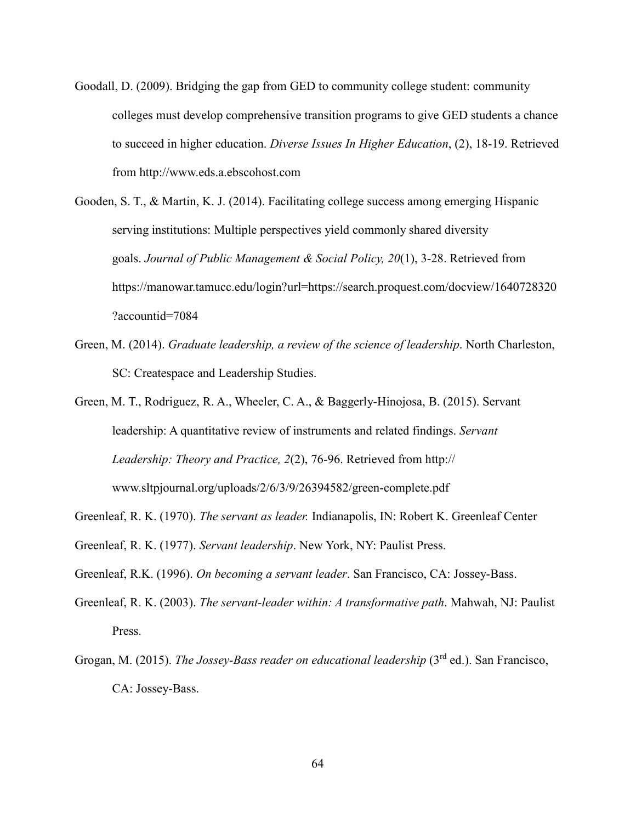- Goodall, D. (2009). Bridging the gap from GED to community college student: community colleges must develop comprehensive transition programs to give GED students a chance to succeed in higher education. *Diverse Issues In Higher Education*, (2), 18-19. Retrieved from http://www.eds.a.ebscohost.com
- Gooden, S. T., & Martin, K. J. (2014). Facilitating college success among emerging Hispanic serving institutions: Multiple perspectives yield commonly shared diversity goals. *Journal of Public Management & Social Policy, 20*(1), 3-28. Retrieved from https://manowar.tamucc.edu/login?url=https://search.proquest.com/docview/1640728320 ?accountid=7084
- Green, M. (2014). *Graduate leadership, a review of the science of leadership*. North Charleston, SC: Createspace and Leadership Studies.
- Green, M. T., Rodriguez, R. A., Wheeler, C. A., & Baggerly-Hinojosa, B. (2015). Servant leadership: A quantitative review of instruments and related findings. *Servant Leadership: Theory and Practice, 2*(2), 76-96. Retrieved from http:// www.sltpjournal.org/uploads/2/6/3/9/26394582/green-complete.pdf
- Greenleaf, R. K. (1970). *The servant as leader.* Indianapolis, IN: Robert K. Greenleaf Center
- Greenleaf, R. K. (1977). *Servant leadership*. New York, NY: Paulist Press.
- Greenleaf, R.K. (1996). *On becoming a servant leader*. San Francisco, CA: Jossey-Bass.
- Greenleaf, R. K. (2003). *The servant-leader within: A transformative path*. Mahwah, NJ: Paulist Press.
- Grogan, M. (2015). *The Jossey-Bass reader on educational leadership* (3<sup>rd</sup> ed.). San Francisco, CA: Jossey-Bass.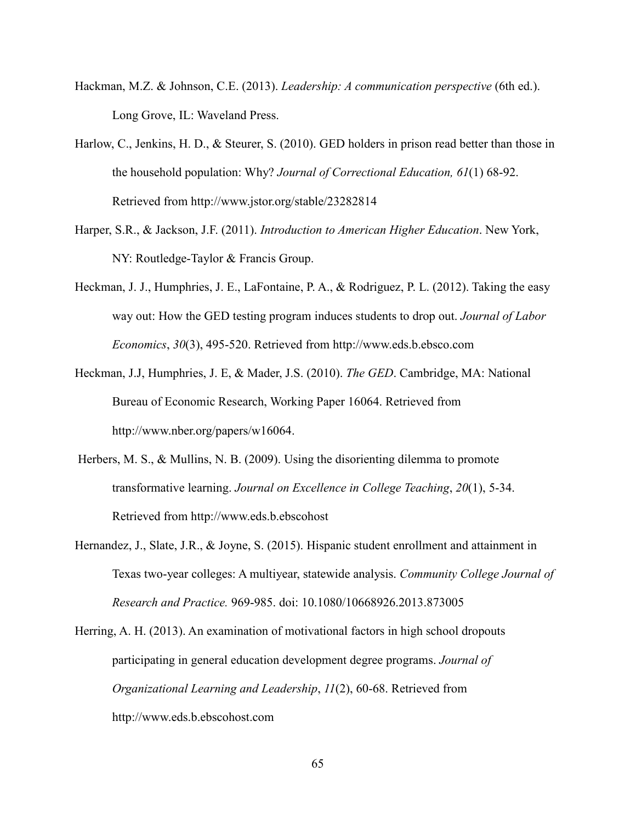- Hackman, M.Z. & Johnson, C.E. (2013). *Leadership: A communication perspective* (6th ed.). Long Grove, IL: Waveland Press.
- Harlow, C., Jenkins, H. D., & Steurer, S. (2010). GED holders in prison read better than those in the household population: Why? *Journal of Correctional Education, 61*(1) 68-92. Retrieved from http://www.jstor.org/stable/23282814
- Harper, S.R., & Jackson, J.F. (2011). *Introduction to American Higher Education*. New York, NY: Routledge-Taylor & Francis Group.
- Heckman, J. J., Humphries, J. E., LaFontaine, P. A., & Rodriguez, P. L. (2012). Taking the easy way out: How the GED testing program induces students to drop out. *Journal of Labor Economics*, *30*(3), 495-520. Retrieved from http://www.eds.b.ebsco.com
- Heckman, J.J, Humphries, J. E, & Mader, J.S. (2010). *The GED*. Cambridge, MA: National Bureau of Economic Research, Working Paper 16064. Retrieved from http://www.nber.org/papers/w16064.
- Herbers, M. S., & Mullins, N. B. (2009). Using the disorienting dilemma to promote transformative learning. *Journal on Excellence in College Teaching*, *20*(1), 5-34. Retrieved from http://www.eds.b.ebscohost
- Hernandez, J., Slate, J.R., & Joyne, S. (2015). Hispanic student enrollment and attainment in Texas two-year colleges: A multiyear, statewide analysis. *Community College Journal of Research and Practice.* 969-985. doi: 10.1080/10668926.2013.873005
- Herring, A. H. (2013). An examination of motivational factors in high school dropouts participating in general education development degree programs. *Journal of Organizational Learning and Leadership*, *11*(2), 60-68. Retrieved from http://www.eds.b.ebscohost.com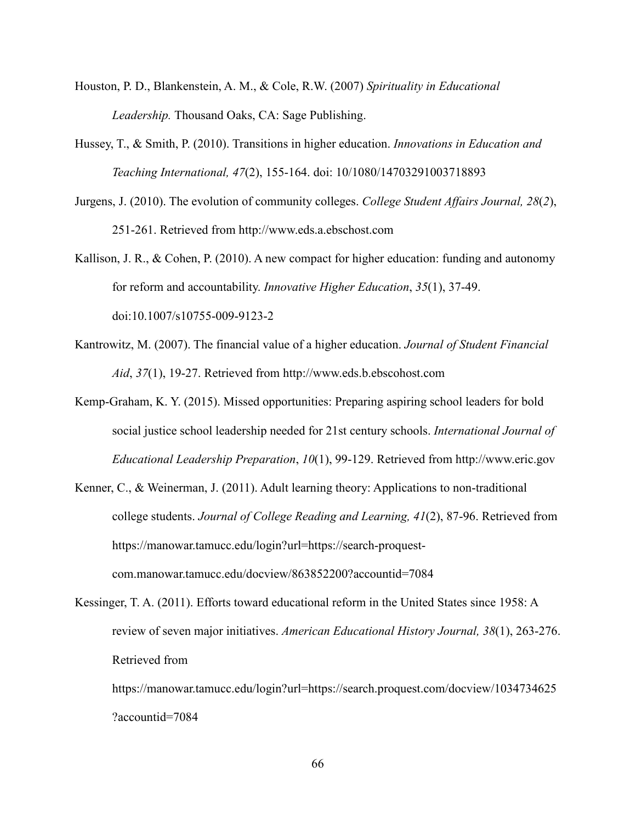- Houston, P. D., Blankenstein, A. M., & Cole, R.W. (2007) *Spirituality in Educational Leadership.* Thousand Oaks, CA: Sage Publishing.
- Hussey, T., & Smith, P. (2010). Transitions in higher education. *Innovations in Education and Teaching International, 47*(2), 155-164. doi: 10/1080/14703291003718893
- Jurgens, J. (2010). The evolution of community colleges. *College Student Affairs Journal, 28*(*2*), 251-261. Retrieved from http://www.eds.a.ebschost.com
- Kallison, J. R., & Cohen, P. (2010). A new compact for higher education: funding and autonomy for reform and accountability. *Innovative Higher Education*, *35*(1), 37-49. doi:10.1007/s10755-009-9123-2
- Kantrowitz, M. (2007). The financial value of a higher education. *Journal of Student Financial Aid*, *37*(1), 19-27. Retrieved from http://www.eds.b.ebscohost.com
- Kemp-Graham, K. Y. (2015). Missed opportunities: Preparing aspiring school leaders for bold social justice school leadership needed for 21st century schools. *International Journal of Educational Leadership Preparation*, *10*(1), 99-129. Retrieved from http://www.eric.gov
- Kenner, C., & Weinerman, J. (2011). Adult learning theory: Applications to non-traditional college students. *Journal of College Reading and Learning, 41*(2), 87-96. Retrieved from https://manowar.tamucc.edu/login?url=https://search-proquestcom.manowar.tamucc.edu/docview/863852200?accountid=7084
- Kessinger, T. A. (2011). Efforts toward educational reform in the United States since 1958: A review of seven major initiatives. *American Educational History Journal, 38*(1), 263-276. Retrieved from

https://manowar.tamucc.edu/login?url=https://search.proquest.com/docview/1034734625 ?accountid=7084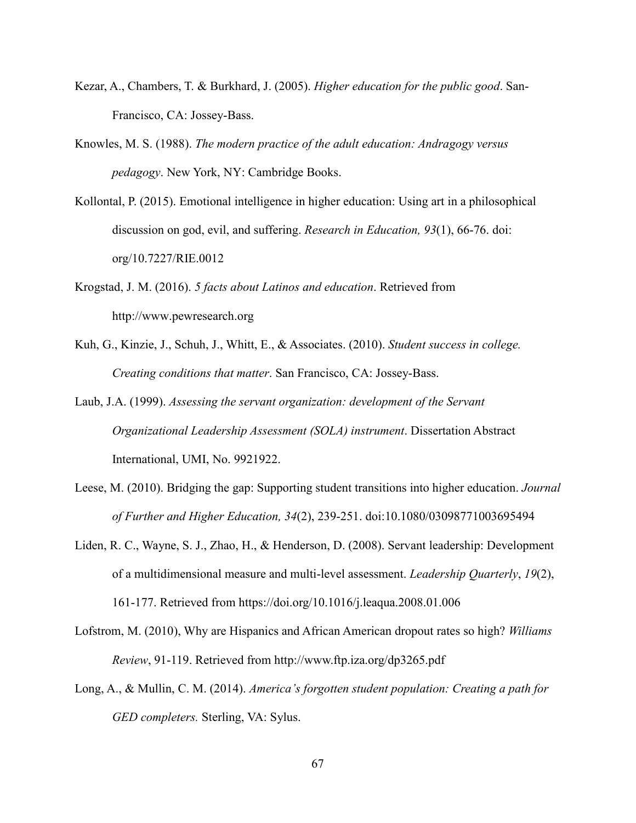- Kezar, A., Chambers, T. & Burkhard, J. (2005). *Higher education for the public good*. San-Francisco, CA: Jossey-Bass.
- Knowles, M. S. (1988). *The modern practice of the adult education: Andragogy versus pedagogy*. New York, NY: Cambridge Books.
- Kollontal, P. (2015). Emotional intelligence in higher education: Using art in a philosophical discussion on god, evil, and suffering. *Research in Education, 93*(1), 66-76. doi: org/10.7227/RIE.0012
- Krogstad, J. M. (2016). *5 facts about Latinos and education*. Retrieved from http://www.pewresearch.org
- Kuh, G., Kinzie, J., Schuh, J., Whitt, E., & Associates. (2010). *Student success in college. Creating conditions that matter*. San Francisco, CA: Jossey-Bass.
- Laub, J.A. (1999). *Assessing the servant organization: development of the Servant Organizational Leadership Assessment (SOLA) instrument*. Dissertation Abstract International, UMI, No. 9921922.
- Leese, M. (2010). Bridging the gap: Supporting student transitions into higher education. *Journal of Further and Higher Education, 34*(2), 239-251. doi:10.1080/03098771003695494
- Liden, R. C., Wayne, S. J., Zhao, H., & Henderson, D. (2008). Servant leadership: Development of a multidimensional measure and multi-level assessment. *Leadership Quarterly*, *19*(2), 161-177. Retrieved from https://doi.org/10.1016/j.leaqua.2008.01.006
- Lofstrom, M. (2010), Why are Hispanics and African American dropout rates so high? *Williams Review*, 91-119. Retrieved from http://www.ftp.iza.org/dp3265.pdf
- Long, A., & Mullin, C. M. (2014). *America's forgotten student population: Creating a path for GED completers.* Sterling, VA: Sylus.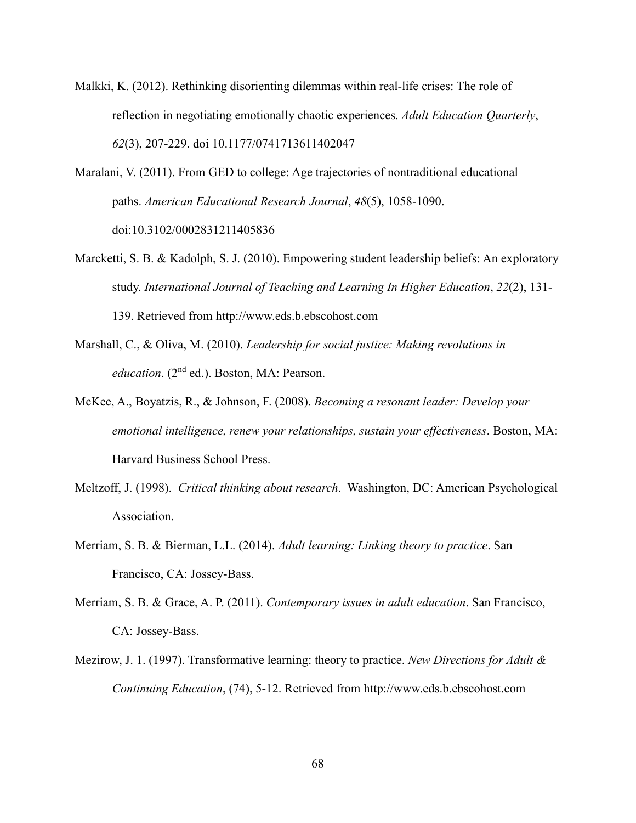- Malkki, K. (2012). Rethinking disorienting dilemmas within real-life crises: The role of reflection in negotiating emotionally chaotic experiences. *Adult Education Quarterly*, *62*(3), 207-229. doi 10.1177/0741713611402047
- Maralani, V. (2011). From GED to college: Age trajectories of nontraditional educational paths. *American Educational Research Journal*, *48*(5), 1058-1090. doi:10.3102/0002831211405836
- Marcketti, S. B. & Kadolph, S. J. (2010). Empowering student leadership beliefs: An exploratory study. *International Journal of Teaching and Learning In Higher Education*, *22*(2), 131- 139. Retrieved from http://www.eds.b.ebscohost.com
- Marshall, C., & Oliva, M. (2010). *Leadership for social justice: Making revolutions in education*. (2<sup>nd</sup> ed.). Boston, MA: Pearson.
- McKee, A., Boyatzis, R., & Johnson, F. (2008). *Becoming a resonant leader: Develop your emotional intelligence, renew your relationships, sustain your effectiveness*. Boston, MA: Harvard Business School Press.
- Meltzoff, J. (1998). *Critical thinking about research*. Washington, DC: American Psychological Association.
- Merriam, S. B. & Bierman, L.L. (2014). *Adult learning: Linking theory to practice*. San Francisco, CA: Jossey-Bass.
- Merriam, S. B. & Grace, A. P. (2011). *Contemporary issues in adult education*. San Francisco, CA: Jossey-Bass.
- Mezirow, J. 1. (1997). Transformative learning: theory to practice. *New Directions for Adult & Continuing Education*, (74), 5-12. Retrieved from http://www.eds.b.ebscohost.com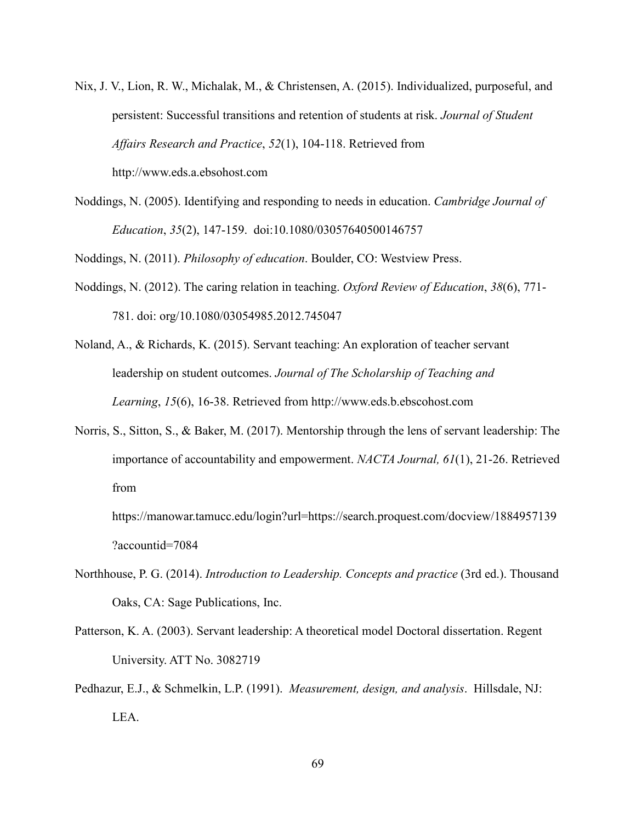- Nix, J. V., Lion, R. W., Michalak, M., & Christensen, A. (2015). Individualized, purposeful, and persistent: Successful transitions and retention of students at risk. *Journal of Student Affairs Research and Practice*, *52*(1), 104-118. Retrieved from http://www.eds.a.ebsohost.com
- Noddings, N. (2005). Identifying and responding to needs in education. *Cambridge Journal of Education*, *35*(2), 147-159. doi:10.1080/03057640500146757

Noddings, N. (2011). *Philosophy of education*. Boulder, CO: Westview Press.

- Noddings, N. (2012). The caring relation in teaching. *Oxford Review of Education*, *38*(6), 771- 781. doi: org/10.1080/03054985.2012.745047
- Noland, A., & Richards, K. (2015). Servant teaching: An exploration of teacher servant leadership on student outcomes. *Journal of The Scholarship of Teaching and Learning*, *15*(6), 16-38. Retrieved from http://www.eds.b.ebscohost.com
- Norris, S., Sitton, S., & Baker, M. (2017). Mentorship through the lens of servant leadership: The importance of accountability and empowerment. *NACTA Journal, 61*(1), 21-26. Retrieved from

https://manowar.tamucc.edu/login?url=https://search.proquest.com/docview/1884957139 ?accountid=7084

- Northhouse, P. G. (2014). *Introduction to Leadership. Concepts and practice* (3rd ed.). Thousand Oaks, CA: Sage Publications, Inc.
- Patterson, K. A. (2003). Servant leadership: A theoretical model Doctoral dissertation. Regent University. ATT No. 3082719
- Pedhazur, E.J., & Schmelkin, L.P. (1991). *Measurement, design, and analysis*. Hillsdale, NJ: LEA.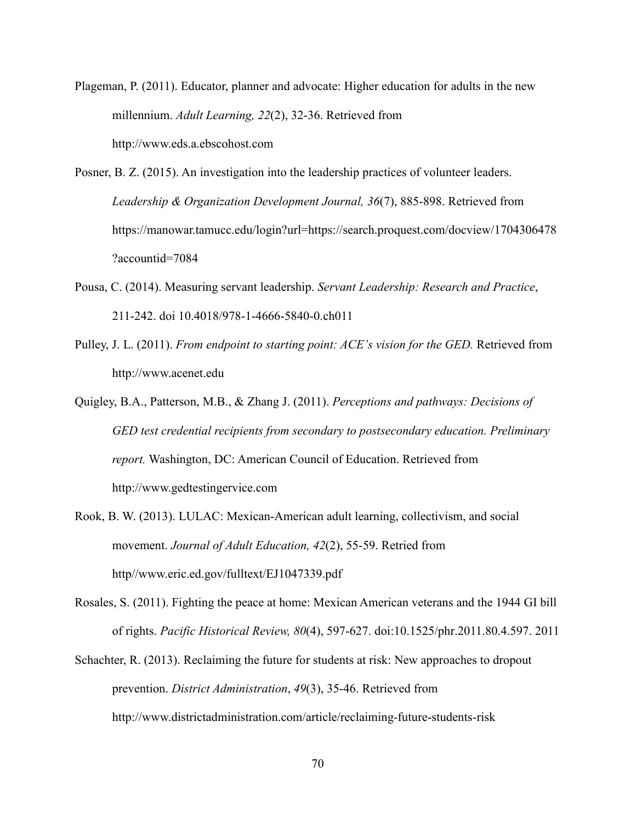- Plageman, P. (2011). Educator, planner and advocate: Higher education for adults in the new millennium. *Adult Learning, 22*(2), 32-36. Retrieved from http://www.eds.a.ebscohost.com
- Posner, B. Z. (2015). An investigation into the leadership practices of volunteer leaders. *Leadership & Organization Development Journal, 36*(7), 885-898. Retrieved from https://manowar.tamucc.edu/login?url=https://search.proquest.com/docview/1704306478 ?accountid=7084
- Pousa, C. (2014). Measuring servant leadership. *Servant Leadership: Research and Practice*, 211-242. doi 10.4018/978-1-4666-5840-0.ch011
- Pulley, J. L. (2011). *From endpoint to starting point: ACE's vision for the GED.* Retrieved from http://www.acenet.edu
- Quigley, B.A., Patterson, M.B., & Zhang J. (2011). *Perceptions and pathways: Decisions of GED test credential recipients from secondary to postsecondary education. Preliminary report.* Washington, DC: American Council of Education. Retrieved from http://www.gedtestingervice.com
- Rook, B. W. (2013). LULAC: Mexican-American adult learning, collectivism, and social movement. *Journal of Adult Education, 42*(2), 55-59. Retried from http//www.eric.ed.gov/fulltext/EJ1047339.pdf
- Rosales, S. (2011). Fighting the peace at home: Mexican American veterans and the 1944 GI bill of rights. *Pacific Historical Review, 80*(4), 597-627. doi:10.1525/phr.2011.80.4.597. 2011
- Schachter, R. (2013). Reclaiming the future for students at risk: New approaches to dropout prevention. *District Administration*, *49*(3), 35-46. Retrieved from http://www.districtadministration.com/article/reclaiming-future-students-risk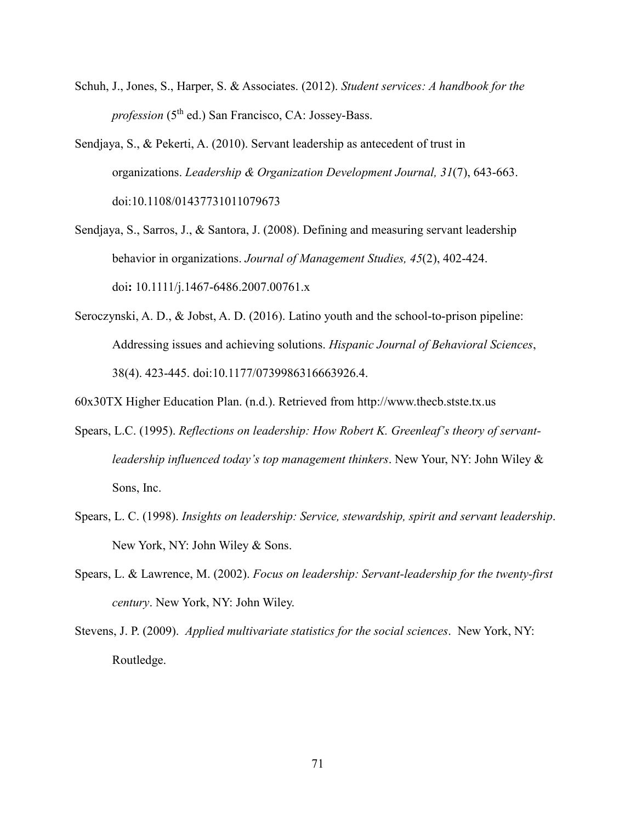- Schuh, J., Jones, S., Harper, S. & Associates. (2012). *Student services: A handbook for the profession* (5<sup>th</sup> ed.) San Francisco, CA: Jossey-Bass.
- Sendjaya, S., & Pekerti, A. (2010). Servant leadership as antecedent of trust in organizations. *Leadership & Organization Development Journal, 31*(7), 643-663. doi:10.1108/01437731011079673
- Sendjaya, S., Sarros, J., & Santora, J. (2008). Defining and measuring servant leadership behavior in organizations. *Journal of Management Studies, 45*(2), 402-424. doi**:** 10.1111/j.1467-6486.2007.00761.x
- Seroczynski, A. D., & Jobst, A. D. (2016). Latino youth and the school-to-prison pipeline: Addressing issues and achieving solutions. *Hispanic Journal of Behavioral Sciences*, 38(4). 423-445. doi:10.1177/0739986316663926.4.
- 60x30TX Higher Education Plan. (n.d.). Retrieved from http://www.thecb.stste.tx.us
- Spears, L.C. (1995). *Reflections on leadership: How Robert K. Greenleaf's theory of servantleadership influenced today's top management thinkers*. New Your, NY: John Wiley & Sons, Inc.
- Spears, L. C. (1998). *Insights on leadership: Service, stewardship, spirit and servant leadership*. New York, NY: John Wiley & Sons.
- Spears, L. & Lawrence, M. (2002). *Focus on leadership: Servant-leadership for the twenty-first century*. New York, NY: John Wiley.
- Stevens, J. P. (2009). *Applied multivariate statistics for the social sciences*. New York, NY: Routledge.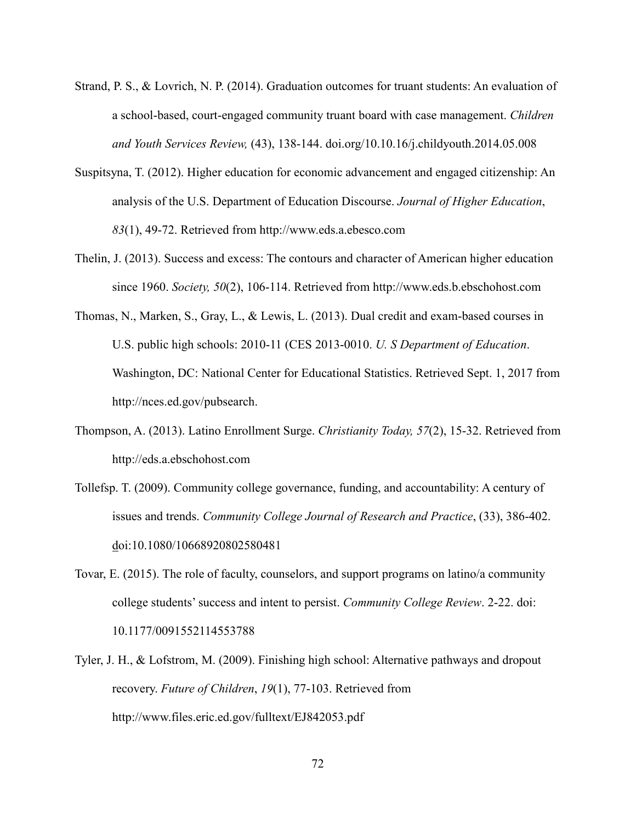- Strand, P. S., & Lovrich, N. P. (2014). Graduation outcomes for truant students: An evaluation of a school-based, court-engaged community truant board with case management. *Children and Youth Services Review,* (43), 138-144. doi.org/10.10.16/j.childyouth.2014.05.008
- Suspitsyna, T. (2012). Higher education for economic advancement and engaged citizenship: An analysis of the U.S. Department of Education Discourse. *Journal of Higher Education*, *83*(1), 49-72. Retrieved from http://www.eds.a.ebesco.com
- Thelin, J. (2013). Success and excess: The contours and character of American higher education since 1960. *Society, 50*(2), 106-114. Retrieved from http://www.eds.b.ebschohost.com
- Thomas, N., Marken, S., Gray, L., & Lewis, L. (2013). Dual credit and exam-based courses in U.S. public high schools: 2010-11 (CES 2013-0010. *U. S Department of Education*. Washington, DC: National Center for Educational Statistics. Retrieved Sept. 1, 2017 from http://nces.ed.gov/pubsearch.
- Thompson, A. (2013). Latino Enrollment Surge. *Christianity Today, 57*(2), 15-32. Retrieved from http://eds.a.ebschohost.com
- Tollefsp. T. (2009). Community college governance, funding, and accountability: A century of issues and trends. *Community College Journal of Research and Practice*, (33), 386-402. doi:10.1080/10668920802580481
- Tovar, E. (2015). The role of faculty, counselors, and support programs on latino/a community college students' success and intent to persist. *Community College Review*. 2-22. doi: 10.1177/0091552114553788
- Tyler, J. H., & Lofstrom, M. (2009). Finishing high school: Alternative pathways and dropout recovery. *Future of Children*, *19*(1), 77-103. Retrieved from http://www.files.eric.ed.gov/fulltext/EJ842053.pdf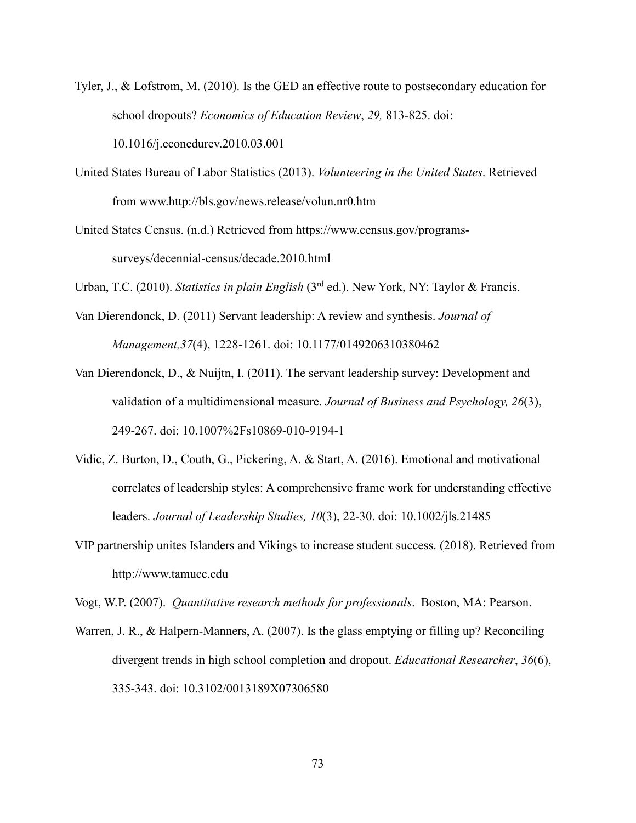- Tyler, J., & Lofstrom, M. (2010). Is the GED an effective route to postsecondary education for school dropouts? *Economics of Education Review*, *29,* 813-825. doi: 10.1016/j.econedurev.2010.03.001
- United States Bureau of Labor Statistics (2013). *Volunteering in the United States*. Retrieved from www.http://bls.gov/news.release/volun.nr0.htm
- United States Census. (n.d.) Retrieved from https://www.census.gov/programssurveys/decennial-census/decade.2010.html
- Urban, T.C. (2010). *Statistics in plain English* (3rd ed.). New York, NY: Taylor & Francis.
- Van Dierendonck, D. (2011) Servant leadership: A review and synthesis. *Journal of Management,37*(4), 1228-1261. doi: 10.1177/0149206310380462
- Van Dierendonck, D., & Nuijtn, I. (2011). The servant leadership survey: Development and validation of a multidimensional measure. *Journal of Business and Psychology, 26*(3), 249-267. doi: 10.1007%2Fs10869-010-9194-1
- Vidic, Z. Burton, D., Couth, G., Pickering, A. & Start, A. (2016). Emotional and motivational correlates of leadership styles: A comprehensive frame work for understanding effective leaders. *Journal of Leadership Studies, 10*(3), 22-30. doi: 10.1002/jls.21485
- VIP partnership unites Islanders and Vikings to increase student success. (2018). Retrieved from http://www.tamucc.edu

Vogt, W.P. (2007). *Quantitative research methods for professionals*. Boston, MA: Pearson.

Warren, J. R., & Halpern-Manners, A. (2007). Is the glass emptying or filling up? Reconciling divergent trends in high school completion and dropout. *Educational Researcher*, *36*(6), 335-343. doi: 10.3102/0013189X07306580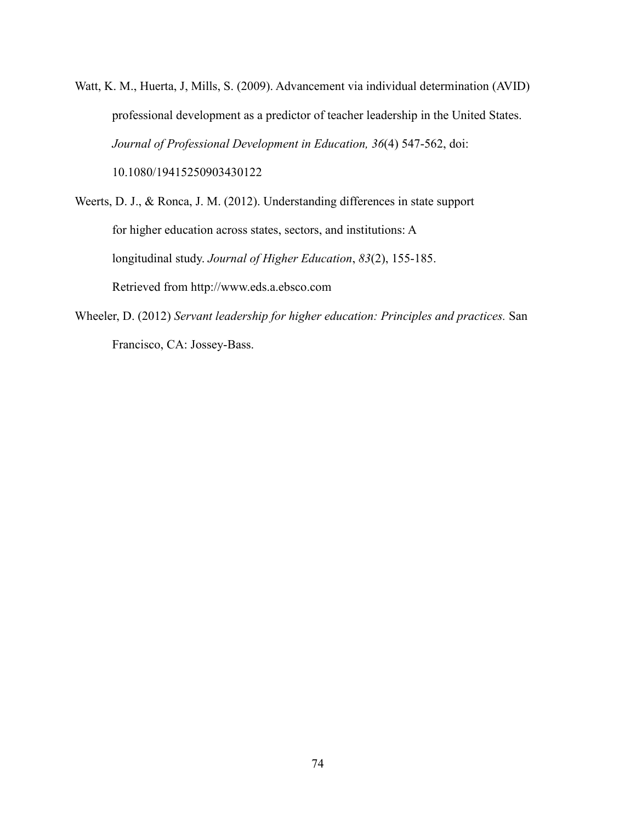- Watt, K. M., Huerta, J, Mills, S. (2009). Advancement via individual determination (AVID) professional development as a predictor of teacher leadership in the United States. *Journal of Professional Development in Education, 36*(4) 547-562, doi: 10.1080/19415250903430122
- Weerts, D. J., & Ronca, J. M. (2012). Understanding differences in state support for higher education across states, sectors, and institutions: A longitudinal study. *Journal of Higher Education*, *83*(2), 155-185. Retrieved from http://www.eds.a.ebsco.com
- Wheeler, D. (2012) *Servant leadership for higher education: Principles and practices.* San Francisco, CA: Jossey-Bass.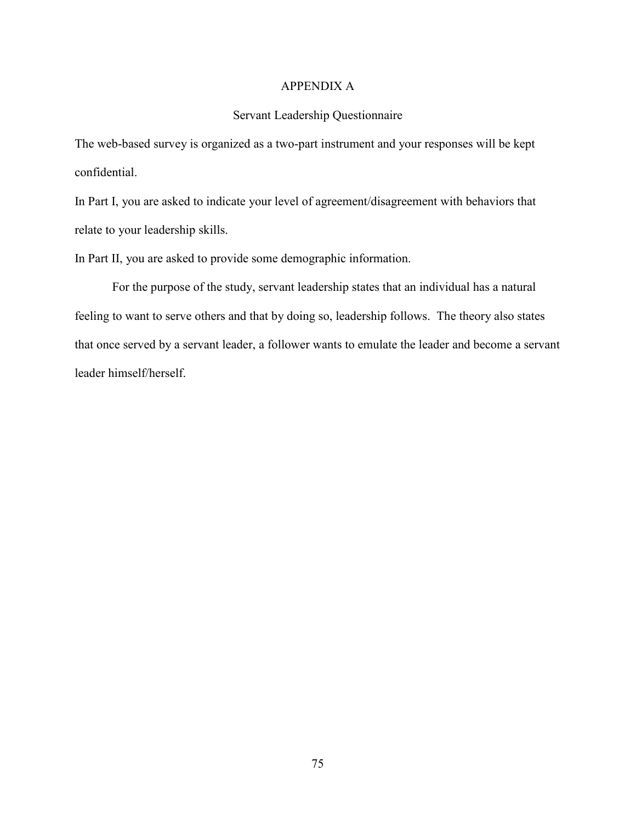#### APPENDIX A

#### Servant Leadership Questionnaire

The web-based survey is organized as a two-part instrument and your responses will be kept confidential.

In Part I, you are asked to indicate your level of agreement/disagreement with behaviors that relate to your leadership skills.

In Part II, you are asked to provide some demographic information.

For the purpose of the study, servant leadership states that an individual has a natural feeling to want to serve others and that by doing so, leadership follows. The theory also states that once served by a servant leader, a follower wants to emulate the leader and become a servant leader himself/herself.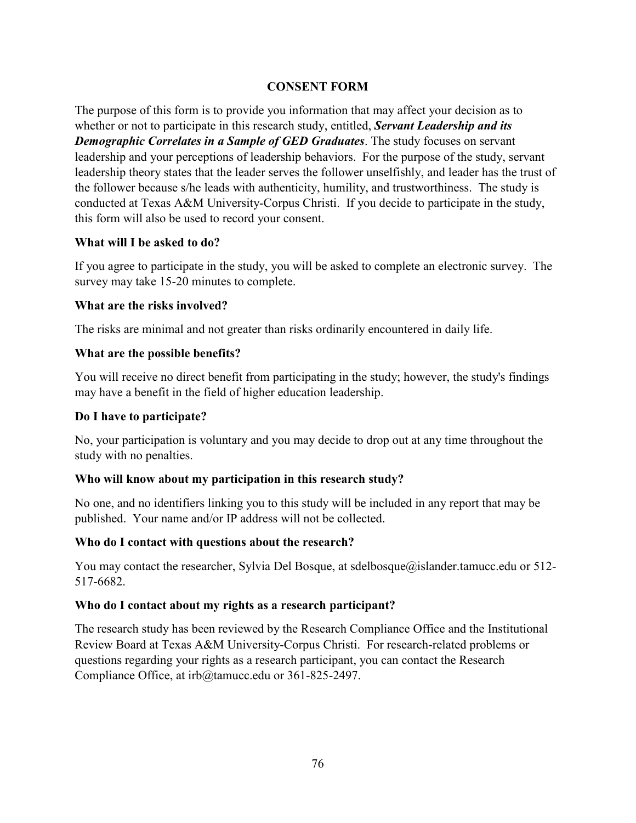## **CONSENT FORM**

The purpose of this form is to provide you information that may affect your decision as to whether or not to participate in this research study, entitled, *Servant Leadership and its Demographic Correlates in a Sample of GED Graduates*. The study focuses on servant leadership and your perceptions of leadership behaviors. For the purpose of the study, servant leadership theory states that the leader serves the follower unselfishly, and leader has the trust of the follower because s/he leads with authenticity, humility, and trustworthiness. The study is conducted at Texas A&M University-Corpus Christi. If you decide to participate in the study, this form will also be used to record your consent.

### **What will I be asked to do?**

If you agree to participate in the study, you will be asked to complete an electronic survey. The survey may take 15-20 minutes to complete.

#### **What are the risks involved?**

The risks are minimal and not greater than risks ordinarily encountered in daily life.

#### **What are the possible benefits?**

You will receive no direct benefit from participating in the study; however, the study's findings may have a benefit in the field of higher education leadership.

#### **Do I have to participate?**

No, your participation is voluntary and you may decide to drop out at any time throughout the study with no penalties.

### **Who will know about my participation in this research study?**

No one, and no identifiers linking you to this study will be included in any report that may be published. Your name and/or IP address will not be collected.

### **Who do I contact with questions about the research?**

You may contact the researcher, Sylvia Del Bosque, at sdelbosque@islander.tamucc.edu or 512-517-6682.

### **Who do I contact about my rights as a research participant?**

The research study has been reviewed by the Research Compliance Office and the Institutional Review Board at Texas A&M University-Corpus Christi. For research-related problems or questions regarding your rights as a research participant, you can contact the Research Compliance Office, at irb@tamucc.edu or 361-825-2497.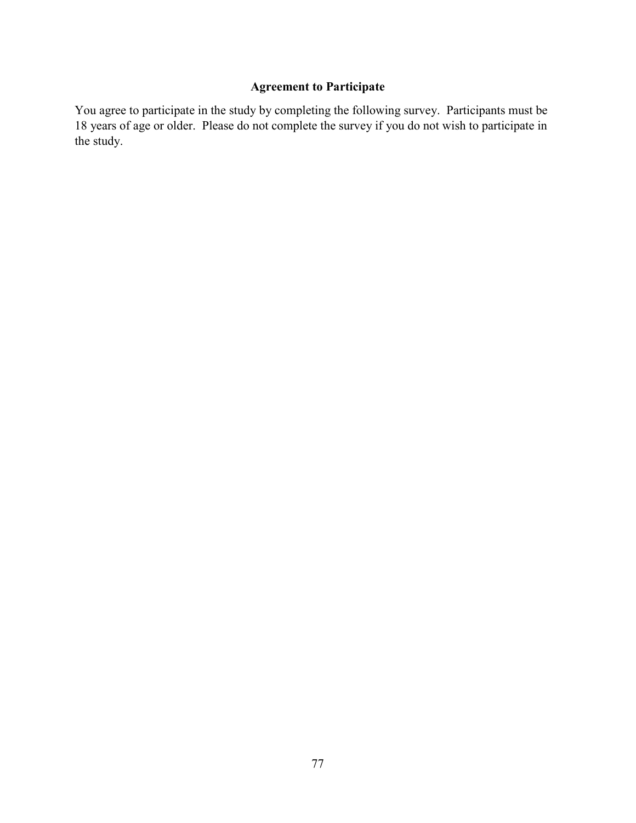# **Agreement to Participate**

You agree to participate in the study by completing the following survey. Participants must be 18 years of age or older. Please do not complete the survey if you do not wish to participate in the study.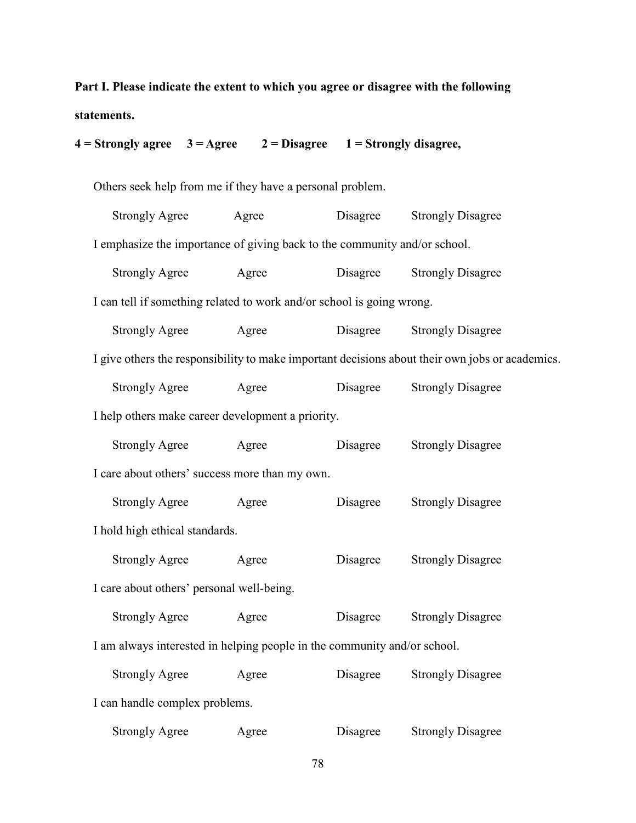**Part I. Please indicate the extent to which you agree or disagree with the following statements.** 

| $4 =$ Strongly agree $3 =$ Agree                                                                |       | $2 = Disagree \t1 = Strongly disagree,$ |          |                          |  |  |  |
|-------------------------------------------------------------------------------------------------|-------|-----------------------------------------|----------|--------------------------|--|--|--|
| Others seek help from me if they have a personal problem.                                       |       |                                         |          |                          |  |  |  |
| <b>Strongly Agree</b>                                                                           | Agree |                                         | Disagree | <b>Strongly Disagree</b> |  |  |  |
| I emphasize the importance of giving back to the community and/or school.                       |       |                                         |          |                          |  |  |  |
| <b>Strongly Agree</b>                                                                           | Agree |                                         | Disagree | <b>Strongly Disagree</b> |  |  |  |
| I can tell if something related to work and/or school is going wrong.                           |       |                                         |          |                          |  |  |  |
| <b>Strongly Agree</b>                                                                           | Agree |                                         | Disagree | <b>Strongly Disagree</b> |  |  |  |
| I give others the responsibility to make important decisions about their own jobs or academics. |       |                                         |          |                          |  |  |  |
| <b>Strongly Agree</b>                                                                           | Agree |                                         | Disagree | <b>Strongly Disagree</b> |  |  |  |
| I help others make career development a priority.                                               |       |                                         |          |                          |  |  |  |
| <b>Strongly Agree</b>                                                                           | Agree |                                         | Disagree | <b>Strongly Disagree</b> |  |  |  |
| I care about others' success more than my own.                                                  |       |                                         |          |                          |  |  |  |
| <b>Strongly Agree</b>                                                                           | Agree |                                         | Disagree | <b>Strongly Disagree</b> |  |  |  |
| I hold high ethical standards.                                                                  |       |                                         |          |                          |  |  |  |
| <b>Strongly Agree</b>                                                                           | Agree |                                         | Disagree | <b>Strongly Disagree</b> |  |  |  |
| I care about others' personal well-being.                                                       |       |                                         |          |                          |  |  |  |
| <b>Strongly Agree</b>                                                                           | Agree |                                         | Disagree | <b>Strongly Disagree</b> |  |  |  |
| I am always interested in helping people in the community and/or school.                        |       |                                         |          |                          |  |  |  |
| <b>Strongly Agree</b>                                                                           | Agree |                                         | Disagree | <b>Strongly Disagree</b> |  |  |  |
| I can handle complex problems.                                                                  |       |                                         |          |                          |  |  |  |
| <b>Strongly Agree</b>                                                                           | Agree |                                         | Disagree | <b>Strongly Disagree</b> |  |  |  |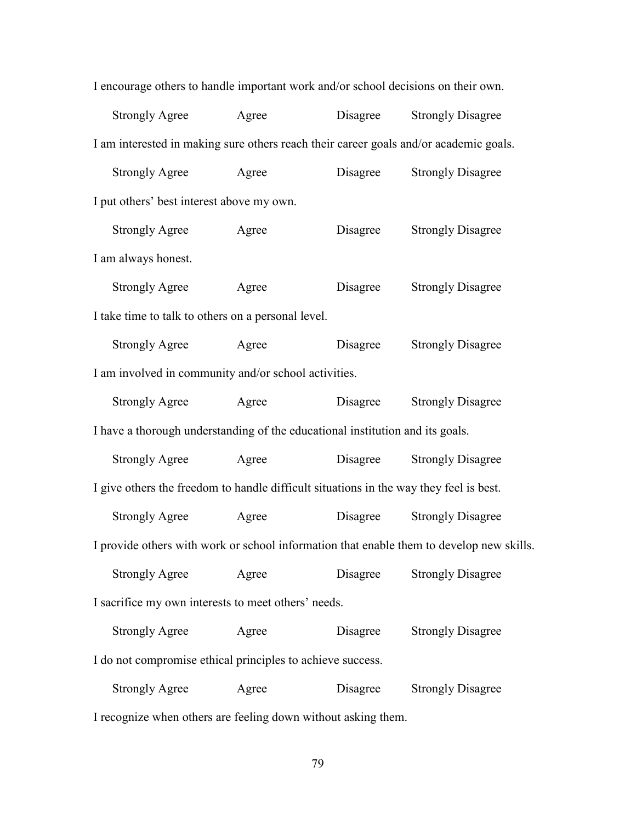| I encourage others to handle important work and/or school decisions on their own.        |                       |       |          |                          |  |  |
|------------------------------------------------------------------------------------------|-----------------------|-------|----------|--------------------------|--|--|
|                                                                                          | <b>Strongly Agree</b> | Agree | Disagree | <b>Strongly Disagree</b> |  |  |
| I am interested in making sure others reach their career goals and/or academic goals.    |                       |       |          |                          |  |  |
|                                                                                          | <b>Strongly Agree</b> | Agree | Disagree | <b>Strongly Disagree</b> |  |  |
| I put others' best interest above my own.                                                |                       |       |          |                          |  |  |
|                                                                                          | <b>Strongly Agree</b> | Agree | Disagree | <b>Strongly Disagree</b> |  |  |
| I am always honest.                                                                      |                       |       |          |                          |  |  |
|                                                                                          | <b>Strongly Agree</b> | Agree | Disagree | <b>Strongly Disagree</b> |  |  |
| I take time to talk to others on a personal level.                                       |                       |       |          |                          |  |  |
|                                                                                          | <b>Strongly Agree</b> | Agree | Disagree | <b>Strongly Disagree</b> |  |  |
| I am involved in community and/or school activities.                                     |                       |       |          |                          |  |  |
|                                                                                          | <b>Strongly Agree</b> | Agree | Disagree | <b>Strongly Disagree</b> |  |  |
| I have a thorough understanding of the educational institution and its goals.            |                       |       |          |                          |  |  |
|                                                                                          | <b>Strongly Agree</b> | Agree | Disagree | <b>Strongly Disagree</b> |  |  |
| I give others the freedom to handle difficult situations in the way they feel is best.   |                       |       |          |                          |  |  |
|                                                                                          | <b>Strongly Agree</b> | Agree | Disagree | <b>Strongly Disagree</b> |  |  |
| I provide others with work or school information that enable them to develop new skills. |                       |       |          |                          |  |  |
|                                                                                          | <b>Strongly Agree</b> | Agree | Disagree | <b>Strongly Disagree</b> |  |  |
| I sacrifice my own interests to meet others' needs.                                      |                       |       |          |                          |  |  |
|                                                                                          | <b>Strongly Agree</b> | Agree | Disagree | <b>Strongly Disagree</b> |  |  |
| I do not compromise ethical principles to achieve success.                               |                       |       |          |                          |  |  |
|                                                                                          | <b>Strongly Agree</b> | Agree | Disagree | <b>Strongly Disagree</b> |  |  |
|                                                                                          |                       |       |          |                          |  |  |

I recognize when others are feeling down without asking them.

79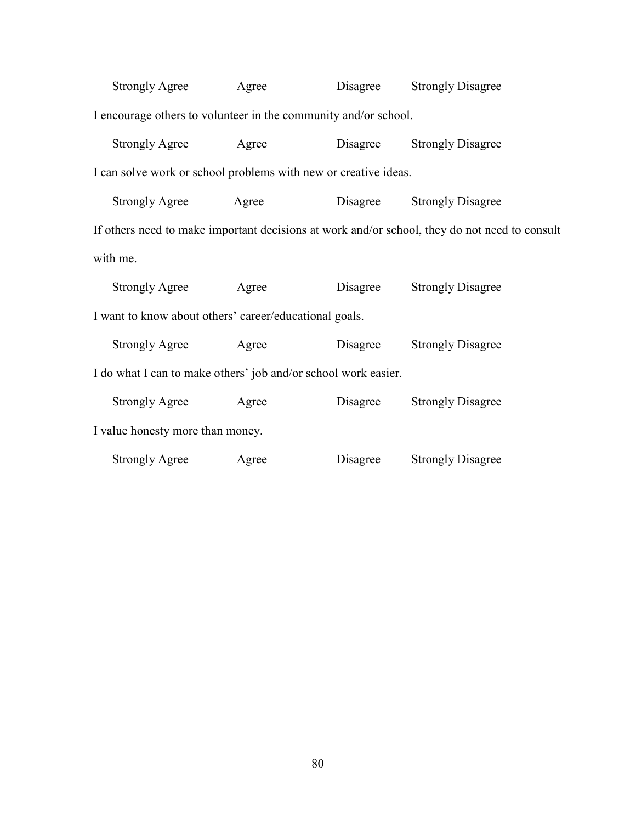| <b>Strongly Agree</b>                                                                         | Agree | Disagree | <b>Strongly Disagree</b> |  |  |  |  |
|-----------------------------------------------------------------------------------------------|-------|----------|--------------------------|--|--|--|--|
| I encourage others to volunteer in the community and/or school.                               |       |          |                          |  |  |  |  |
| <b>Strongly Agree</b>                                                                         | Agree | Disagree | <b>Strongly Disagree</b> |  |  |  |  |
| I can solve work or school problems with new or creative ideas.                               |       |          |                          |  |  |  |  |
| <b>Strongly Agree</b>                                                                         | Agree | Disagree | <b>Strongly Disagree</b> |  |  |  |  |
| If others need to make important decisions at work and/or school, they do not need to consult |       |          |                          |  |  |  |  |
| with me.                                                                                      |       |          |                          |  |  |  |  |
| <b>Strongly Agree</b>                                                                         | Agree | Disagree | <b>Strongly Disagree</b> |  |  |  |  |
| I want to know about others' career/educational goals.                                        |       |          |                          |  |  |  |  |
| <b>Strongly Agree</b>                                                                         | Agree | Disagree | <b>Strongly Disagree</b> |  |  |  |  |
| I do what I can to make others' job and/or school work easier.                                |       |          |                          |  |  |  |  |
| <b>Strongly Agree</b>                                                                         | Agree | Disagree | <b>Strongly Disagree</b> |  |  |  |  |
| I value honesty more than money.                                                              |       |          |                          |  |  |  |  |
| <b>Strongly Agree</b>                                                                         | Agree | Disagree | <b>Strongly Disagree</b> |  |  |  |  |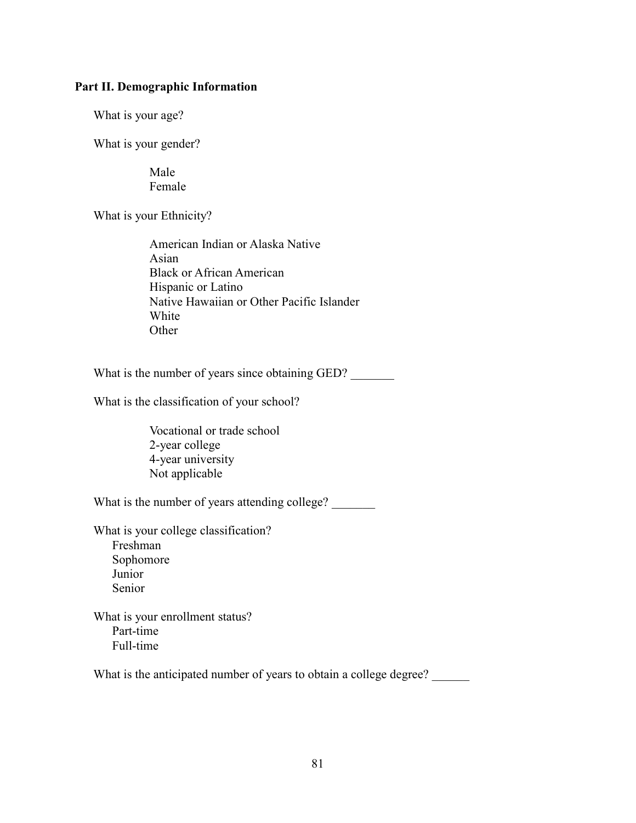#### **Part II. Demographic Information**

What is your age?

What is your gender?

Male Female

What is your Ethnicity?

American Indian or Alaska Native Asian Black or African American Hispanic or Latino Native Hawaiian or Other Pacific Islander White **Other** 

What is the number of years since obtaining GED?

What is the classification of your school?

Vocational or trade school 2-year college 4-year university Not applicable

What is the number of years attending college?

What is your college classification? Freshman Sophomore Junior Senior

What is your enrollment status? Part-time Full-time

What is the anticipated number of years to obtain a college degree?